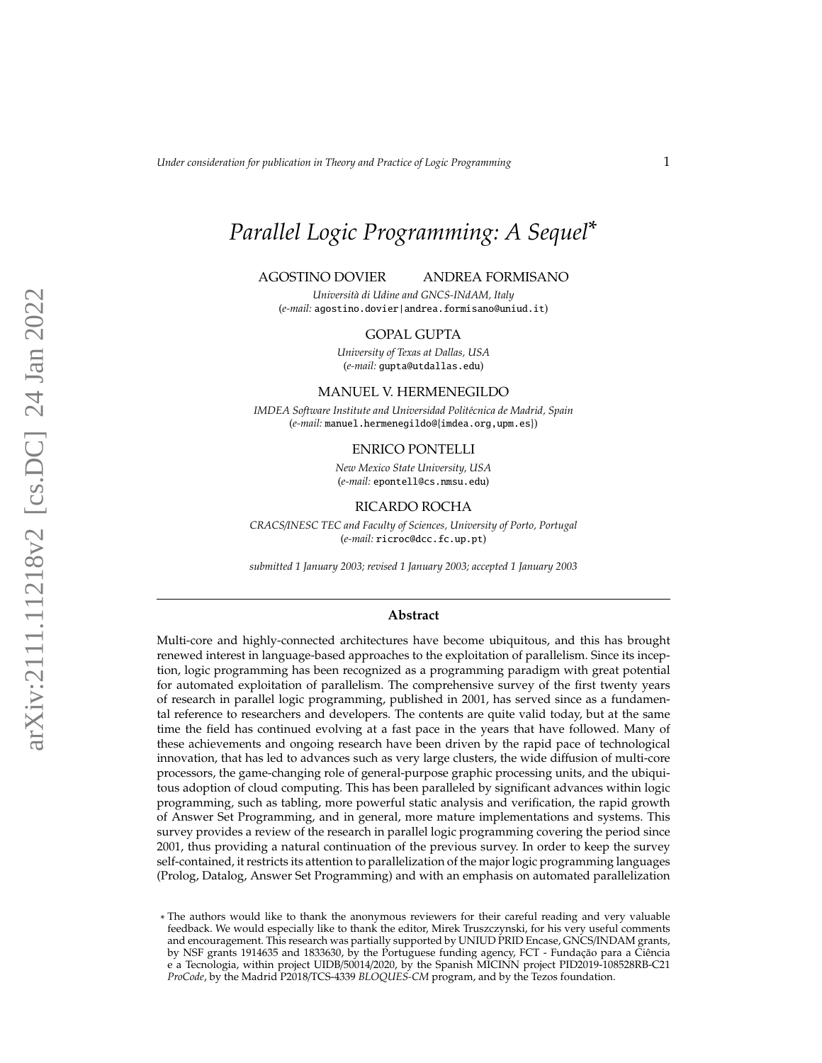# *Parallel Logic Programming: A Sequel*<sup>∗</sup>

#### AGOSTINO DOVIER ANDREA FORMISANO

*Universit`a di Udine and GNCS-INdAM, Italy* (*e-mail:* agostino.dovier|andrea.formisano@uniud.it)

#### GOPAL GUPTA

*University of Texas at Dallas, USA* (*e-mail:* gupta@utdallas.edu)

#### MANUEL V. HERMENEGILDO

*IMDEA Software Institute and Universidad Polit´ecnica de Madrid, Spain* (*e-mail:* manuel.hermenegildo@{imdea.org,upm.es})

#### ENRICO PONTELLI

*New Mexico State University, USA* (*e-mail:* epontell@cs.nmsu.edu)

## RICARDO ROCHA

*CRACS*/*INESC TEC and Faculty of Sciences, University of Porto, Portugal* (*e-mail:* ricroc@dcc.fc.up.pt)

*submitted 1 January 2003; revised 1 January 2003; accepted 1 January 2003*

#### **Abstract**

Multi-core and highly-connected architectures have become ubiquitous, and this has brought renewed interest in language-based approaches to the exploitation of parallelism. Since its inception, logic programming has been recognized as a programming paradigm with great potential for automated exploitation of parallelism. The comprehensive survey of the first twenty years of research in parallel logic programming, published in 2001, has served since as a fundamental reference to researchers and developers. The contents are quite valid today, but at the same time the field has continued evolving at a fast pace in the years that have followed. Many of these achievements and ongoing research have been driven by the rapid pace of technological innovation, that has led to advances such as very large clusters, the wide diffusion of multi-core processors, the game-changing role of general-purpose graphic processing units, and the ubiquitous adoption of cloud computing. This has been paralleled by significant advances within logic programming, such as tabling, more powerful static analysis and verification, the rapid growth of Answer Set Programming, and in general, more mature implementations and systems. This survey provides a review of the research in parallel logic programming covering the period since 2001, thus providing a natural continuation of the previous survey. In order to keep the survey self-contained, it restricts its attention to parallelization of the major logic programming languages (Prolog, Datalog, Answer Set Programming) and with an emphasis on automated parallelization

<sup>∗</sup> The authors would like to thank the anonymous reviewers for their careful reading and very valuable feedback. We would especially like to thank the editor, Mirek Truszczynski, for his very useful comments and encouragement. This research was partially supported by UNIUD PRID Encase, GNCS/INDAM grants, by NSF grants 1914635 and 1833630, by the Portuguese funding agency, FCT - Fundação para a Ciência e a Tecnologia, within project UIDB/50014/2020, by the Spanish MICINN project PID2019-108528RB-C21 *ProCode*, by the Madrid P2018/TCS-4339 *BLOQUES-CM* program, and by the Tezos foundation.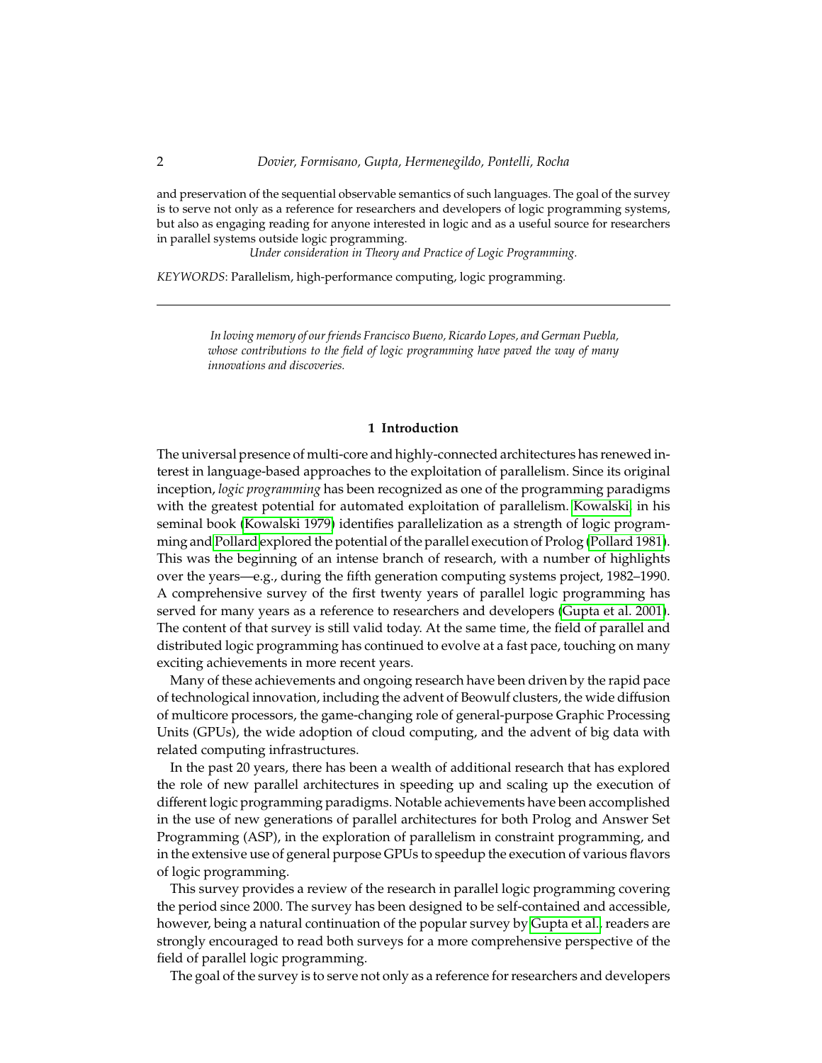and preservation of the sequential observable semantics of such languages. The goal of the survey is to serve not only as a reference for researchers and developers of logic programming systems, but also as engaging reading for anyone interested in logic and as a useful source for researchers in parallel systems outside logic programming.

*Under consideration in Theory and Practice of Logic Programming.*

*KEYWORDS*: Parallelism, high-performance computing, logic programming.

*In loving memory of our friends Francisco Bueno, Ricardo Lopes, and German Puebla, whose contributions to the field of logic programming have paved the way of many innovations and discoveries.*

# **1 Introduction**

The universal presence of multi-core and highly-connected architectures has renewed interest in language-based approaches to the exploitation of parallelism. Since its original inception, *logic programming* has been recognized as one of the programming paradigms with the greatest potential for automated exploitation of parallelism. [Kowalski,](#page-59-0) in his seminal book [\(Kowalski 1979\)](#page-59-0) identifies parallelization as a strength of logic programming and [Pollard](#page-63-0) explored the potential of the parallel execution of Prolog [\(Pollard 1981\)](#page-63-0). This was the beginning of an intense branch of research, with a number of highlights over the years—e.g., during the fifth generation computing systems project, 1982–1990. A comprehensive survey of the first twenty years of parallel logic programming has served for many years as a reference to researchers and developers [\(Gupta et al. 2001\)](#page-57-0). The content of that survey is still valid today. At the same time, the field of parallel and distributed logic programming has continued to evolve at a fast pace, touching on many exciting achievements in more recent years.

Many of these achievements and ongoing research have been driven by the rapid pace of technological innovation, including the advent of Beowulf clusters, the wide diffusion of multicore processors, the game-changing role of general-purpose Graphic Processing Units (GPUs), the wide adoption of cloud computing, and the advent of big data with related computing infrastructures.

In the past 20 years, there has been a wealth of additional research that has explored the role of new parallel architectures in speeding up and scaling up the execution of different logic programming paradigms. Notable achievements have been accomplished in the use of new generations of parallel architectures for both Prolog and Answer Set Programming (ASP), in the exploration of parallelism in constraint programming, and in the extensive use of general purpose GPUs to speedup the execution of various flavors of logic programming.

This survey provides a review of the research in parallel logic programming covering the period since 2000. The survey has been designed to be self-contained and accessible, however, being a natural continuation of the popular survey by [Gupta et al.,](#page-57-0) readers are strongly encouraged to read both surveys for a more comprehensive perspective of the field of parallel logic programming.

The goal of the survey is to serve not only as a reference for researchers and developers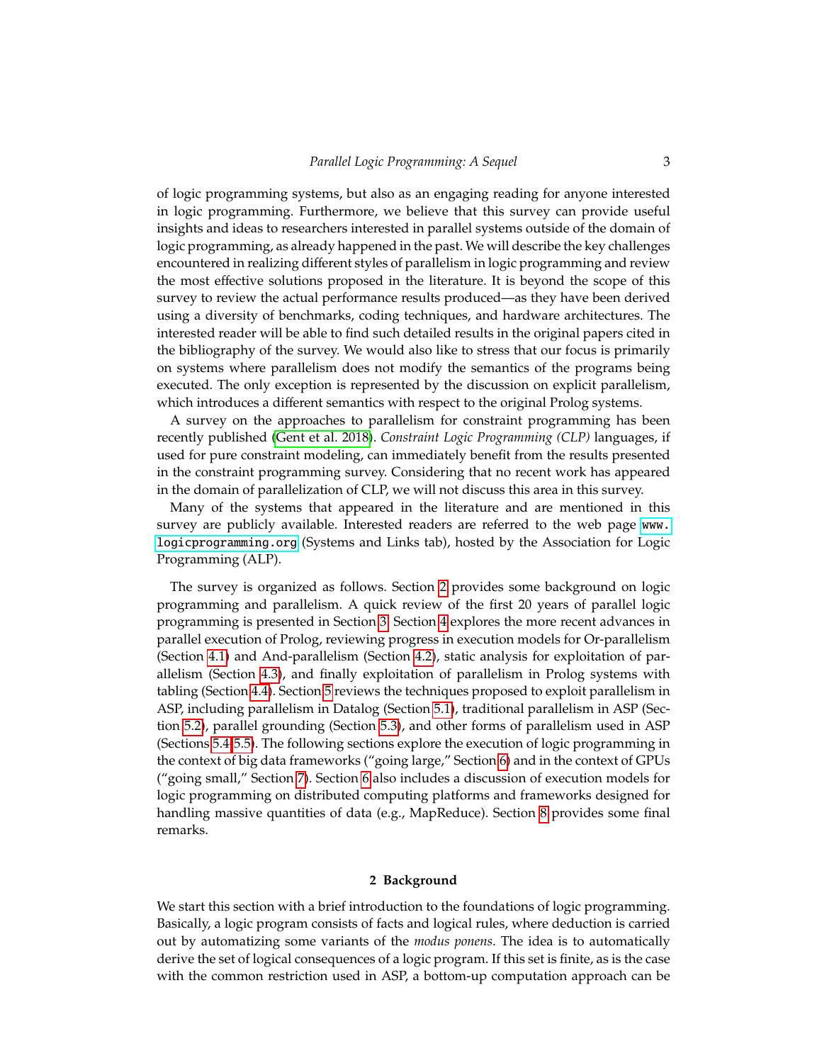of logic programming systems, but also as an engaging reading for anyone interested in logic programming. Furthermore, we believe that this survey can provide useful insights and ideas to researchers interested in parallel systems outside of the domain of logic programming, as already happened in the past. We will describe the key challenges encountered in realizing different styles of parallelism in logic programming and review the most effective solutions proposed in the literature. It is beyond the scope of this survey to review the actual performance results produced—as they have been derived using a diversity of benchmarks, coding techniques, and hardware architectures. The interested reader will be able to find such detailed results in the original papers cited in the bibliography of the survey. We would also like to stress that our focus is primarily on systems where parallelism does not modify the semantics of the programs being executed. The only exception is represented by the discussion on explicit parallelism, which introduces a different semantics with respect to the original Prolog systems.

A survey on the approaches to parallelism for constraint programming has been recently published [\(Gent et al. 2018\)](#page-57-1). *Constraint Logic Programming (CLP)* languages, if used for pure constraint modeling, can immediately benefit from the results presented in the constraint programming survey. Considering that no recent work has appeared in the domain of parallelization of CLP, we will not discuss this area in this survey.

Many of the systems that appeared in the literature and are mentioned in this survey are publicly available. Interested readers are referred to the web page [www.](www.logicprogramming.org) [logicprogramming.org](www.logicprogramming.org) (Systems and Links tab), hosted by the Association for Logic Programming (ALP).

The survey is organized as follows. Section [2](#page-2-0) provides some background on logic programming and parallelism. A quick review of the first 20 years of parallel logic programming is presented in Section [3.](#page-6-0) Section [4](#page-14-0) explores the more recent advances in parallel execution of Prolog, reviewing progress in execution models for Or-parallelism (Section [4.1\)](#page-15-0) and And-parallelism (Section [4.2\)](#page-18-0), static analysis for exploitation of parallelism (Section [4.3\)](#page-23-0), and finally exploitation of parallelism in Prolog systems with tabling (Section [4.4\)](#page-25-0). Section [5](#page-31-0) reviews the techniques proposed to exploit parallelism in ASP, including parallelism in Datalog (Section [5.1\)](#page-32-0), traditional parallelism in ASP (Section [5.2\)](#page-33-0), parallel grounding (Section [5.3\)](#page-36-0), and other forms of parallelism used in ASP (Sections [5.4](#page-37-0)[-5.5\)](#page-38-0). The following sections explore the execution of logic programming in the context of big data frameworks ("going large," Section [6\)](#page-40-0) and in the context of GPUs ("going small," Section [7\)](#page-45-0). Section [6](#page-40-0) also includes a discussion of execution models for logic programming on distributed computing platforms and frameworks designed for handling massive quantities of data (e.g., MapReduce). Section [8](#page-50-0) provides some final remarks.

## **2 Background**

<span id="page-2-0"></span>We start this section with a brief introduction to the foundations of logic programming. Basically, a logic program consists of facts and logical rules, where deduction is carried out by automatizing some variants of the *modus ponens*. The idea is to automatically derive the set of logical consequences of a logic program. If this set is finite, as is the case with the common restriction used in ASP, a bottom-up computation approach can be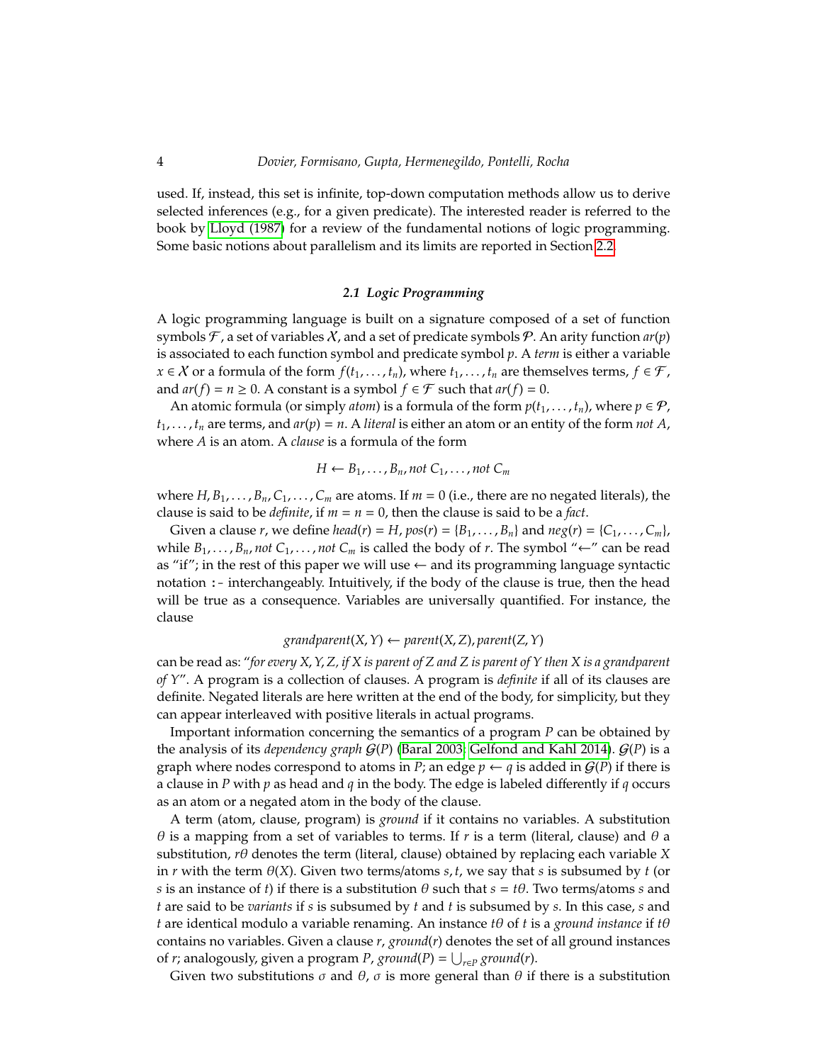used. If, instead, this set is infinite, top-down computation methods allow us to derive selected inferences (e.g., for a given predicate). The interested reader is referred to the book by [Lloyd \(1987\)](#page-60-0) for a review of the fundamental notions of logic programming. Some basic notions about parallelism and its limits are reported in Section [2.2.](#page-5-0)

# *2.1 Logic Programming*

<span id="page-3-0"></span>A logic programming language is built on a signature composed of a set of function symbols  $\mathcal F$ , a set of variables  $\mathcal X$ , and a set of predicate symbols  $\mathcal P$ . An arity function  $ar(p)$ is associated to each function symbol and predicate symbol *p*. A *term* is either a variable *x* ∈ *X* or a formula of the form *f*( $t_1$ , . . . ,  $t_n$ ), where  $t_1$ , . . . ,  $t_n$  are themselves terms,  $f \in \mathcal{F}$ , and  $ar(f) = n \ge 0$ . A constant is a symbol  $f \in \mathcal{F}$  such that  $ar(f) = 0$ .

An atomic formula (or simply *atom*) is a formula of the form  $p(t_1, \ldots, t_n)$ , where  $p \in \mathcal{P}$ ,  $t_1, \ldots, t_n$  are terms, and  $ar(p) = n$ . A *literal* is either an atom or an entity of the form *not* A, where *A* is an atom. A *clause* is a formula of the form

$$
H \leftarrow B_1, \ldots, B_n, not \; C_1, \ldots, not \; C_m
$$

where  $H, B_1, \ldots, B_n, C_1, \ldots, C_m$  are atoms. If  $m = 0$  (i.e., there are no negated literals), the clause is said to be *definite*, if  $m = n = 0$ , then the clause is said to be a *fact*.

Given a clause *r*, we define *head*(*r*) = *H*, *pos*(*r*) = {*B*<sub>1</sub>, . . . , *B*<sub>*n*</sub>} and *neg*(*r*) = {*C*<sub>1</sub>, . . . , *C*<sub>*m*</sub>}, while  $B_1, \ldots, B_n$ , *not*  $C_1, \ldots,$  *not*  $C_m$  is called the body of *r*. The symbol "←" can be read as "if"; in the rest of this paper we will use  $\leftarrow$  and its programming language syntactic notation :- interchangeably. Intuitively, if the body of the clause is true, then the head will be true as a consequence. Variables are universally quantified. For instance, the clause

# $grandparent(X, Y) \leftarrow parent(X, Z)$ ,  $parent(Z, Y)$

can be read as: "*for every X*,*Y*,*Z, if X is parent of Z and Z is parent of Y then X is a grandparent of Y*". A program is a collection of clauses. A program is *definite* if all of its clauses are definite. Negated literals are here written at the end of the body, for simplicity, but they can appear interleaved with positive literals in actual programs.

Important information concerning the semantics of a program *P* can be obtained by the analysis of its *dependency graph* G(*P*) [\(Baral 2003;](#page-51-0) [Gelfond and Kahl 2014\)](#page-57-2). G(*P*) is a graph where nodes correspond to atoms in *P*; an edge  $p \leftarrow q$  is added in  $\mathcal{G}(P)$  if there is a clause in *P* with *p* as head and *q* in the body. The edge is labeled differently if *q* occurs as an atom or a negated atom in the body of the clause.

A term (atom, clause, program) is *ground* if it contains no variables. A substitution  $\theta$  is a mapping from a set of variables to terms. If *r* is a term (literal, clause) and  $\theta$  a substitution, *r*θ denotes the term (literal, clause) obtained by replacing each variable *X* in *r* with the term  $\theta$ (*X*). Given two terms/atoms *s*, *t*, we say that *s* is subsumed by *t* (or *s* is an instance of *t*) if there is a substitution  $\theta$  such that  $s = t\theta$ . Two terms/atoms *s* and *t* are said to be *variants* if *s* is subsumed by *t* and *t* is subsumed by *s*. In this case, *s* and *t* are identical modulo a variable renaming. An instance *t*θ of *t* is a *ground instance* if *t*θ contains no variables. Given a clause *r*, *ground*(*r*) denotes the set of all ground instances of *r*; analogously, given a program *P*, *ground*(*P*) = S *<sup>r</sup>*∈*<sup>P</sup> ground*(*r*).

Given two substitutions  $\sigma$  and  $\theta$ ,  $\sigma$  is more general than  $\theta$  if there is a substitution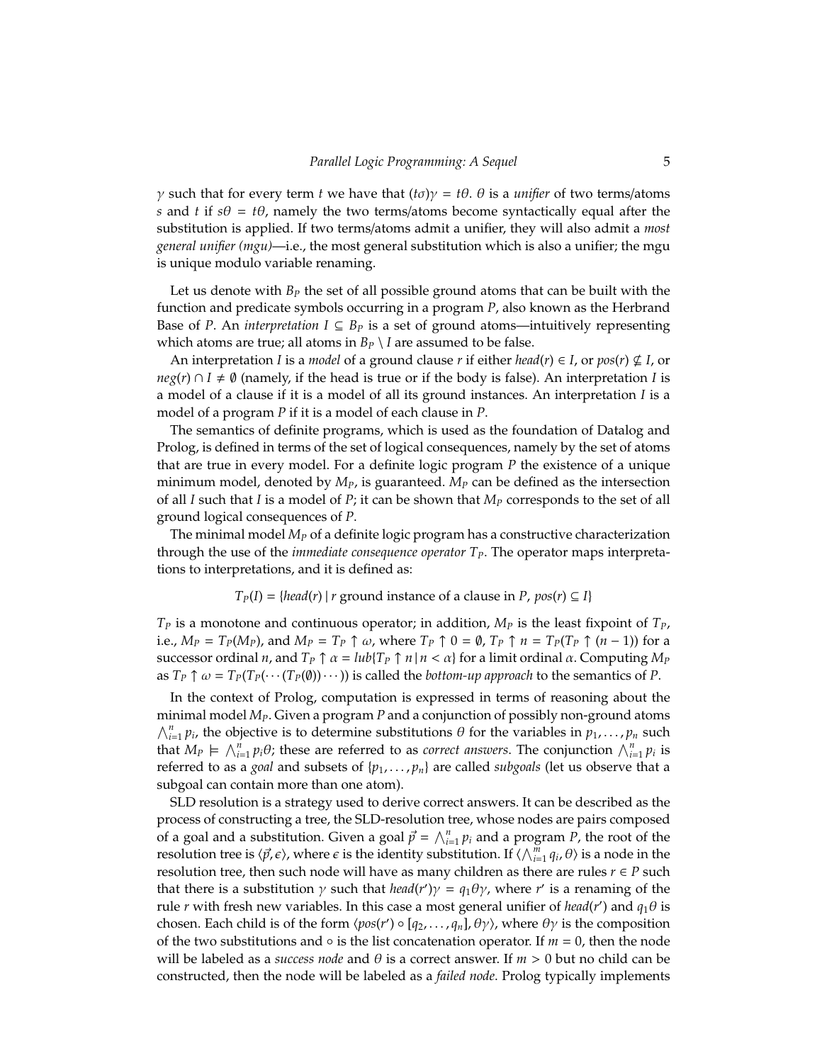γ such that for every term *t* we have that (*t*σ)γ = *t*θ. θ is a *unifier* of two terms/atoms *s* and *t* if  $s\theta = t\theta$ , namely the two terms/atoms become syntactically equal after the substitution is applied. If two terms/atoms admit a unifier, they will also admit a *most general unifier (mgu)*—i.e., the most general substitution which is also a unifier; the mgu is unique modulo variable renaming.

Let us denote with  $B_p$  the set of all possible ground atoms that can be built with the function and predicate symbols occurring in a program *P*, also known as the Herbrand Base of *P*. An *interpretation*  $I \subseteq B_P$  is a set of ground atoms—intuitively representing which atoms are true; all atoms in  $B_P \setminus I$  are assumed to be false.

An interpretation *I* is a *model* of a ground clause *r* if either *head*(*r*)  $\in$  *I*, or *pos*(*r*)  $\nsubseteq$  *I*, or  $neg(r) \cap I \neq \emptyset$  (namely, if the head is true or if the body is false). An interpretation *I* is a model of a clause if it is a model of all its ground instances. An interpretation *I* is a model of a program *P* if it is a model of each clause in *P*.

The semantics of definite programs, which is used as the foundation of Datalog and Prolog, is defined in terms of the set of logical consequences, namely by the set of atoms that are true in every model. For a definite logic program *P* the existence of a unique minimum model, denoted by *MP*, is guaranteed. *M<sup>P</sup>* can be defined as the intersection of all *I* such that *I* is a model of *P*; it can be shown that *M<sup>P</sup>* corresponds to the set of all ground logical consequences of *P*.

The minimal model *M<sup>P</sup>* of a definite logic program has a constructive characterization through the use of the *immediate consequence operator TP*. The operator maps interpretations to interpretations, and it is defined as:

$$
T_P(I) = \{head(r) \mid r \text{ ground instance of a clause in } P, \text{ } pos(r) \subseteq I\}
$$

 $T_P$  is a monotone and continuous operator; in addition,  $M_P$  is the least fixpoint of  $T_P$ , i.e.,  $M_P = T_P(M_P)$ , and  $M_P = T_P \uparrow \omega$ , where  $T_P \uparrow 0 = \emptyset$ ,  $T_P \uparrow n = T_P(T_P \uparrow (n-1))$  for a successor ordinal *n*, and  $T_P \uparrow \alpha = lub\{T_P \uparrow n \mid n < \alpha\}$  for a limit ordinal *α*. Computing  $M_P$ as  $T_P \uparrow \omega = T_P(T_P(\cdots(T_P(\emptyset)) \cdots))$  is called the *bottom-up approach* to the semantics of *P*.

In the context of Prolog, computation is expressed in terms of reasoning about the minimal model *MP*. Given a program *P* and a conjunction of possibly non-ground atoms  $\bigwedge_{i=1}^{n} p_i$ , the objective is to determine substitutions  $\theta$  for the variables in  $p_1, \ldots, p_n$  such that  $M_P \models \bigwedge_{i=1}^n p_i \theta$ ; these are referred to as *correct answers*. The conjunction  $\bigwedge_{i=1}^n p_i$  is referred to as a *goal* and subsets of {*p*1, . . . , *pn*} are called *subgoals* (let us observe that a subgoal can contain more than one atom).

SLD resolution is a strategy used to derive correct answers. It can be described as the process of constructing a tree, the SLD-resolution tree, whose nodes are pairs composed of a goal and a substitution. Given a goal  $\vec{p} = \bigwedge_{i=1}^{n} p_i$  and a program *P*, the root of the resolution tree is  $\langle \vec{p}, \epsilon \rangle$ , where  $\epsilon$  is the identity substitution. If  $\langle \bigwedge_{i=1}^m q_i, \theta \rangle$  is a node in the resolution tree, then such node will have as many children as there are rules  $r \in P$  such that there is a substitution  $\gamma$  such that *head*(*r'*) $\gamma = q_1 \theta \gamma$ , where *r'* is a renaming of the rule *r* with fresh new variables. In this case a most general unifier of *head*(*r'*) and  $q_1\theta$  is chosen. Each child is of the form  $\langle pos(r') \circ [q_2, \ldots, q_n]$ ,  $\theta \gamma$ , where  $\theta \gamma$  is the composition of the two substitutions and ◦ is the list concatenation operator. If *m* = 0, then the node will be labeled as a *success node* and θ is a correct answer. If *m* > 0 but no child can be constructed, then the node will be labeled as a *failed node*. Prolog typically implements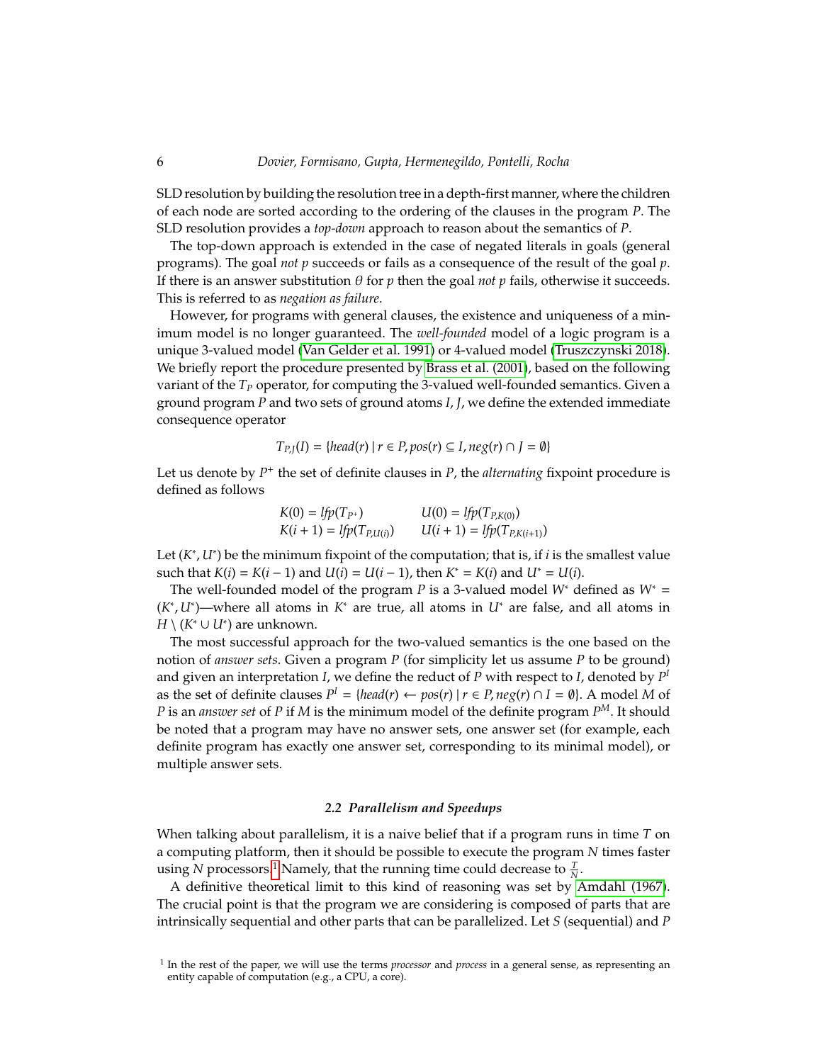SLD resolution by building the resolution tree in a depth-first manner, where the children of each node are sorted according to the ordering of the clauses in the program *P*. The SLD resolution provides a *top-down* approach to reason about the semantics of *P*.

The top-down approach is extended in the case of negated literals in goals (general programs). The goal *not p* succeeds or fails as a consequence of the result of the goal *p*. If there is an answer substitution  $\theta$  for  $p$  then the goal *not*  $p$  fails, otherwise it succeeds. This is referred to as *negation as failure*.

However, for programs with general clauses, the existence and uniqueness of a minimum model is no longer guaranteed. The *well-founded* model of a logic program is a unique 3-valued model [\(Van Gelder et al. 1991\)](#page-66-0) or 4-valued model [\(Truszczynski 2018\)](#page-66-1). We briefly report the procedure presented by [Brass et al. \(2001\)](#page-52-0), based on the following variant of the *T<sup>P</sup>* operator, for computing the 3-valued well-founded semantics. Given a ground program *P* and two sets of ground atoms *I*, *J*, we define the extended immediate consequence operator

$$
T_{P,J}(I) = \{head(r) \mid r \in P, pos(r) \subseteq I, neg(r) \cap J = \emptyset\}
$$

Let us denote by  $P^+$  the set of definite clauses in *P*, the *alternating* fixpoint procedure is defined as follows

$$
K(0) = lfp(T_{P^+})
$$
  
\n
$$
K(i + 1) = lfp(T_{P,U(i)})
$$
  
\n
$$
U(0) = lfp(T_{P,K(0)})
$$
  
\n
$$
U(i + 1) = lfp(T_{P,K(i+1)})
$$

Let  $(K^*, U^*)$  be the minimum fixpoint of the computation; that is, if *i* is the smallest value such that *K*(*i*) = *K*(*i* − 1) and *U*(*i*) = *U*(*i* − 1), then *K*<sup>\*</sup> = *K*(*i*) and *U*<sup>\*</sup> = *U*(*i*).

The well-founded model of the program *P* is a 3-valued model *W*<sup>∗</sup> defined as *W*<sup>∗</sup> =  $(K^*, U^*)$ —where all atoms in  $K^*$  are true, all atoms in  $U^*$  are false, and all atoms in *H*  $\setminus$  (*K*<sup>\*</sup> ∪ *U*<sup>\*</sup>) are unknown.

The most successful approach for the two-valued semantics is the one based on the notion of *answer sets*. Given a program *P* (for simplicity let us assume *P* to be ground) and given an interpretation *I*, we define the reduct of *P* with respect to *I*, denoted by *P I* as the set of definite clauses  $P^I = \{head(r) \leftarrow pos(r) | r \in P, neg(r) \cap I = \emptyset\}$ . A model *M* of *P* is an *answer set* of *P* if *M* is the minimum model of the definite program  $P^M$ . It should be noted that a program may have no answer sets, one answer set (for example, each definite program has exactly one answer set, corresponding to its minimal model), or multiple answer sets.

# *2.2 Parallelism and Speedups*

<span id="page-5-0"></span>When talking about parallelism, it is a naive belief that if a program runs in time *T* on a computing platform, then it should be possible to execute the program *N* times faster using *N* processors.<sup>[1](#page-5-1)</sup> Namely, that the running time could decrease to  $\frac{T}{N}$ .

A definitive theoretical limit to this kind of reasoning was set by [Amdahl \(1967\)](#page-51-1). The crucial point is that the program we are considering is composed of parts that are intrinsically sequential and other parts that can be parallelized. Let *S* (sequential) and *P*

<span id="page-5-1"></span><sup>1</sup> In the rest of the paper, we will use the terms *processor* and *process* in a general sense, as representing an entity capable of computation (e.g., a CPU, a core).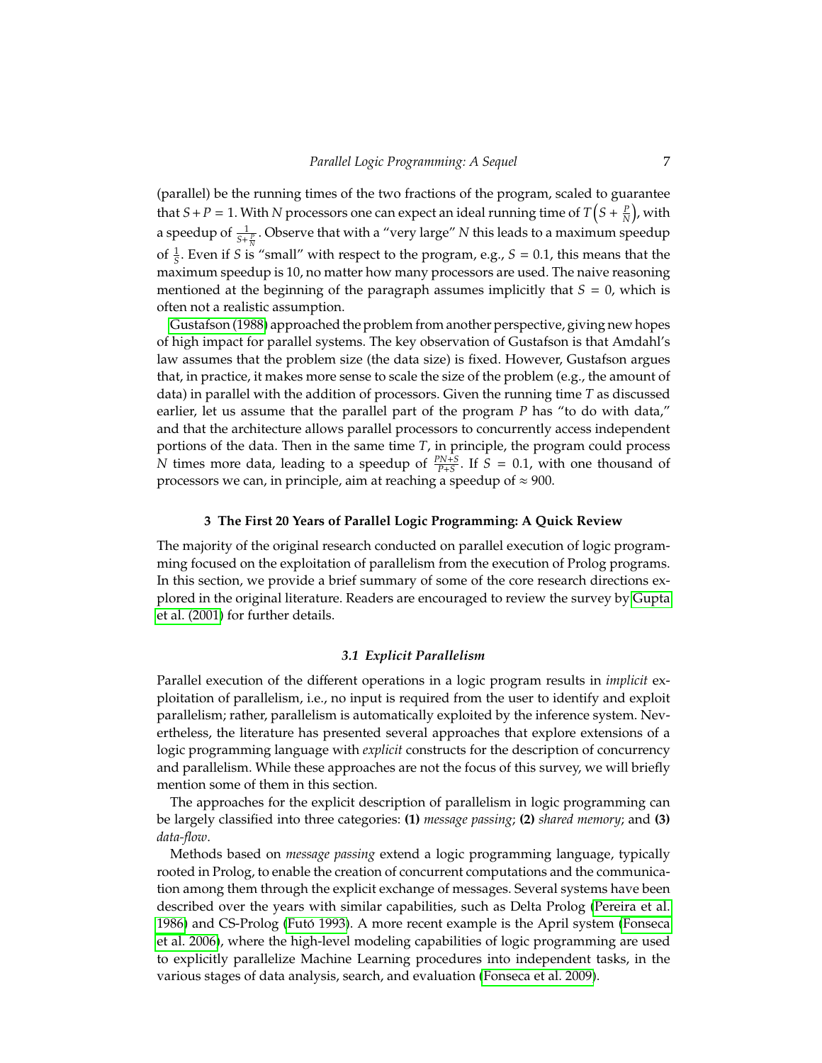(parallel) be the running times of the two fractions of the program, scaled to guarantee that  $S+P=1.$  With  $N$  processors one can expect an ideal running time of  $T\left(S+\frac{P}{N}\right)$ , with a speedup of  $\frac{1}{S + \frac{p}{N}}$ . Observe that with a "very large" *N* this leads to a maximum speedup of  $\frac{1}{5}$ . Even if *S* is "small" with respect to the program, e.g., *S* = 0.1, this means that the maximum speedup is 10, no matter how many processors are used. The naive reasoning mentioned at the beginning of the paragraph assumes implicitly that  $S = 0$ , which is often not a realistic assumption.

[Gustafson \(1988\)](#page-57-3) approached the problem from another perspective, giving new hopes of high impact for parallel systems. The key observation of Gustafson is that Amdahl's law assumes that the problem size (the data size) is fixed. However, Gustafson argues that, in practice, it makes more sense to scale the size of the problem (e.g., the amount of data) in parallel with the addition of processors. Given the running time *T* as discussed earlier, let us assume that the parallel part of the program *P* has "to do with data," and that the architecture allows parallel processors to concurrently access independent portions of the data. Then in the same time *T*, in principle, the program could process *N* times more data, leading to a speedup of  $\frac{PN+S}{P+S}$ . If *S* = 0.1, with one thousand of processors we can, in principle, aim at reaching a speedup of  $\approx 900$ .

#### **3 The First 20 Years of Parallel Logic Programming: A Quick Review**

<span id="page-6-0"></span>The majority of the original research conducted on parallel execution of logic programming focused on the exploitation of parallelism from the execution of Prolog programs. In this section, we provide a brief summary of some of the core research directions explored in the original literature. Readers are encouraged to review the survey by [Gupta](#page-57-0) [et al. \(2001\)](#page-57-0) for further details.

# *3.1 Explicit Parallelism*

Parallel execution of the different operations in a logic program results in *implicit* exploitation of parallelism, i.e., no input is required from the user to identify and exploit parallelism; rather, parallelism is automatically exploited by the inference system. Nevertheless, the literature has presented several approaches that explore extensions of a logic programming language with *explicit* constructs for the description of concurrency and parallelism. While these approaches are not the focus of this survey, we will briefly mention some of them in this section.

The approaches for the explicit description of parallelism in logic programming can be largely classified into three categories: **(1)** *message passing*; **(2)** *shared memory*; and **(3)** *data-flow*.

Methods based on *message passing* extend a logic programming language, typically rooted in Prolog, to enable the creation of concurrent computations and the communication among them through the explicit exchange of messages. Several systems have been described over the years with similar capabilities, such as Delta Prolog [\(Pereira et al.](#page-62-0) [1986\)](#page-62-0) and CS-Prolog [\(Futo 1993\)](#page-56-0). A more recent example is the April system [\(Fonseca](#page-55-0) ´ [et al. 2006\)](#page-55-0), where the high-level modeling capabilities of logic programming are used to explicitly parallelize Machine Learning procedures into independent tasks, in the various stages of data analysis, search, and evaluation [\(Fonseca et al. 2009\)](#page-55-1).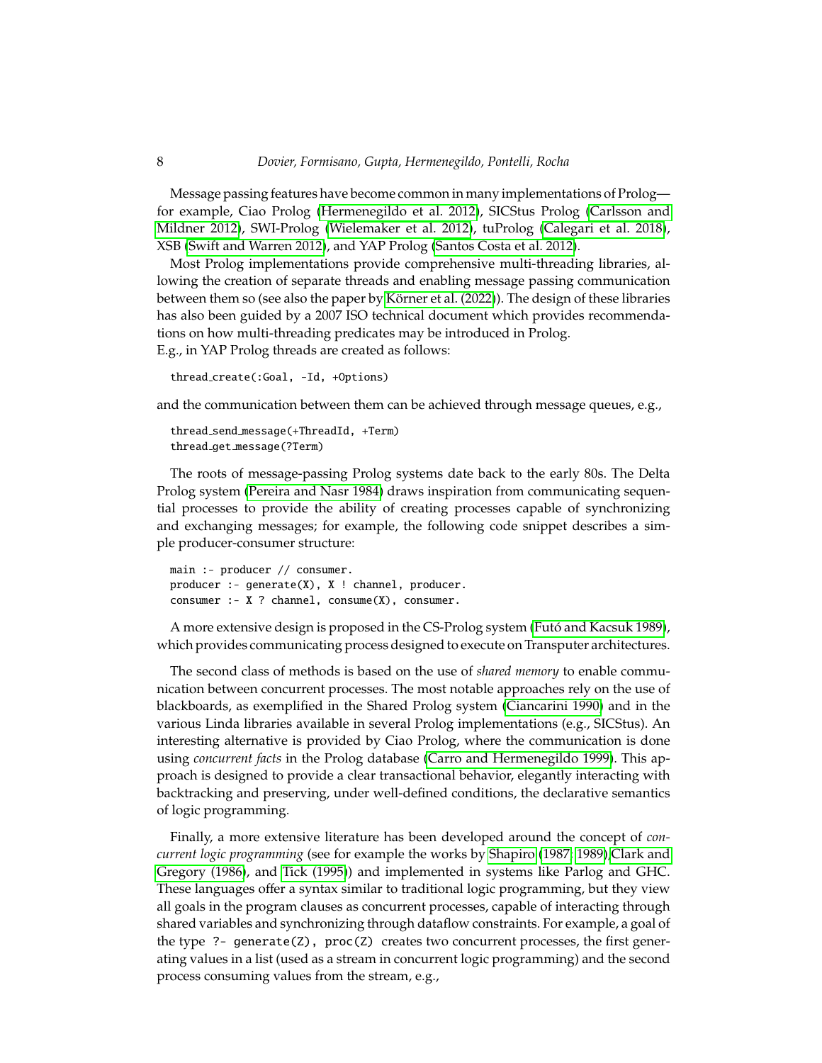## 8 *Dovier, Formisano, Gupta, Hermenegildo, Pontelli, Rocha*

Message passing features have become common in many implementations of Prolog for example, Ciao Prolog [\(Hermenegildo et al. 2012\)](#page-58-0), SICStus Prolog [\(Carlsson and](#page-52-1) [Mildner 2012\)](#page-52-1), SWI-Prolog [\(Wielemaker et al. 2012\)](#page-67-0), tuProlog [\(Calegari et al. 2018\)](#page-52-2), XSB [\(Swift and Warren 2012\)](#page-65-0), and YAP Prolog [\(Santos Costa et al. 2012\)](#page-64-0).

Most Prolog implementations provide comprehensive multi-threading libraries, allowing the creation of separate threads and enabling message passing communication between them so (see also the paper by Körner et al. (2022)). The design of these libraries has also been guided by a 2007 ISO technical document which provides recommendations on how multi-threading predicates may be introduced in Prolog. E.g., in YAP Prolog threads are created as follows:

```
thread create(:Goal, -Id, +Options)
```
and the communication between them can be achieved through message queues, e.g.,

```
thread send message(+ThreadId, +Term)
thread get message(?Term)
```
The roots of message-passing Prolog systems date back to the early 80s. The Delta Prolog system [\(Pereira and Nasr 1984\)](#page-63-1) draws inspiration from communicating sequential processes to provide the ability of creating processes capable of synchronizing and exchanging messages; for example, the following code snippet describes a simple producer-consumer structure:

main :- producer // consumer. producer :- generate(X), X ! channel, producer. consumer :- X ? channel, consume(X), consumer.

A more extensive design is proposed in the CS-Prolog system [\(Futo and Kacsuk 1989\)](#page-56-1), ´ which provides communicating process designed to execute on Transputer architectures.

The second class of methods is based on the use of *shared memory* to enable communication between concurrent processes. The most notable approaches rely on the use of blackboards, as exemplified in the Shared Prolog system [\(Ciancarini 1990\)](#page-53-0) and in the various Linda libraries available in several Prolog implementations (e.g., SICStus). An interesting alternative is provided by Ciao Prolog, where the communication is done using *concurrent facts* in the Prolog database [\(Carro and Hermenegildo 1999\)](#page-53-1). This approach is designed to provide a clear transactional behavior, elegantly interacting with backtracking and preserving, under well-defined conditions, the declarative semantics of logic programming.

Finally, a more extensive literature has been developed around the concept of *concurrent logic programming* (see for example the works by [Shapiro](#page-65-1) [\(1987;](#page-65-1) [1989\)](#page-65-2)[,Clark and](#page-53-2) [Gregory \(1986\)](#page-53-2), and [Tick \(1995\)](#page-66-2)) and implemented in systems like Parlog and GHC. These languages offer a syntax similar to traditional logic programming, but they view all goals in the program clauses as concurrent processes, capable of interacting through shared variables and synchronizing through dataflow constraints. For example, a goal of the type ?- generate(Z), proc(Z) creates two concurrent processes, the first generating values in a list (used as a stream in concurrent logic programming) and the second process consuming values from the stream, e.g.,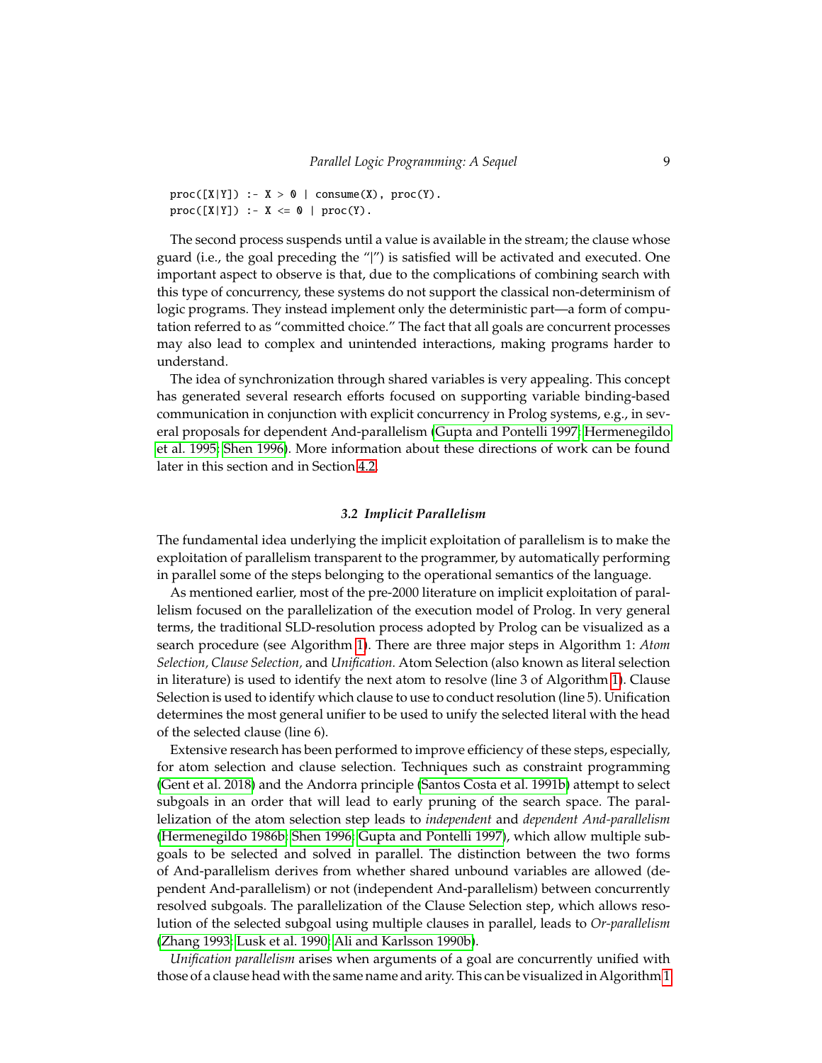$proc([X|Y])$  :-  $X > 0$  | consume(X),  $proc(Y)$ .  $proc([X|Y])$  :-  $X \leq 0$  |  $proc(Y)$ .

The second process suspends until a value is available in the stream; the clause whose guard (i.e., the goal preceding the "|") is satisfied will be activated and executed. One important aspect to observe is that, due to the complications of combining search with this type of concurrency, these systems do not support the classical non-determinism of logic programs. They instead implement only the deterministic part—a form of computation referred to as "committed choice." The fact that all goals are concurrent processes may also lead to complex and unintended interactions, making programs harder to understand.

The idea of synchronization through shared variables is very appealing. This concept has generated several research efforts focused on supporting variable binding-based communication in conjunction with explicit concurrency in Prolog systems, e.g., in several proposals for dependent And-parallelism [\(Gupta and Pontelli 1997;](#page-57-4) [Hermenegildo](#page-58-1) [et al. 1995;](#page-58-1) [Shen 1996\)](#page-65-3). More information about these directions of work can be found later in this section and in Section [4.2.](#page-18-0)

## *3.2 Implicit Parallelism*

The fundamental idea underlying the implicit exploitation of parallelism is to make the exploitation of parallelism transparent to the programmer, by automatically performing in parallel some of the steps belonging to the operational semantics of the language.

As mentioned earlier, most of the pre-2000 literature on implicit exploitation of parallelism focused on the parallelization of the execution model of Prolog. In very general terms, the traditional SLD-resolution process adopted by Prolog can be visualized as a search procedure (see Algorithm [1\)](#page-9-0). There are three major steps in Algorithm 1: *Atom Selection, Clause Selection,* and *Unification.* Atom Selection (also known as literal selection in literature) is used to identify the next atom to resolve (line 3 of Algorithm [1\)](#page-9-0). Clause Selection is used to identify which clause to use to conduct resolution (line 5). Unification determines the most general unifier to be used to unify the selected literal with the head of the selected clause (line 6).

Extensive research has been performed to improve efficiency of these steps, especially, for atom selection and clause selection. Techniques such as constraint programming [\(Gent et al. 2018\)](#page-57-1) and the Andorra principle [\(Santos Costa et al. 1991b\)](#page-64-1) attempt to select subgoals in an order that will lead to early pruning of the search space. The parallelization of the atom selection step leads to *independent* and *dependent And-parallelism* [\(Hermenegildo 1986b;](#page-58-2) [Shen 1996;](#page-65-3) [Gupta and Pontelli 1997\)](#page-57-4), which allow multiple subgoals to be selected and solved in parallel. The distinction between the two forms of And-parallelism derives from whether shared unbound variables are allowed (dependent And-parallelism) or not (independent And-parallelism) between concurrently resolved subgoals. The parallelization of the Clause Selection step, which allows resolution of the selected subgoal using multiple clauses in parallel, leads to *Or-parallelism* [\(Zhang 1993;](#page-67-1) [Lusk et al. 1990;](#page-60-1) [Ali and Karlsson 1990b\)](#page-51-2).

*Unification parallelism* arises when arguments of a goal are concurrently unified with those of a clause head with the same name and arity. This can be visualized in Algorithm [1](#page-9-0)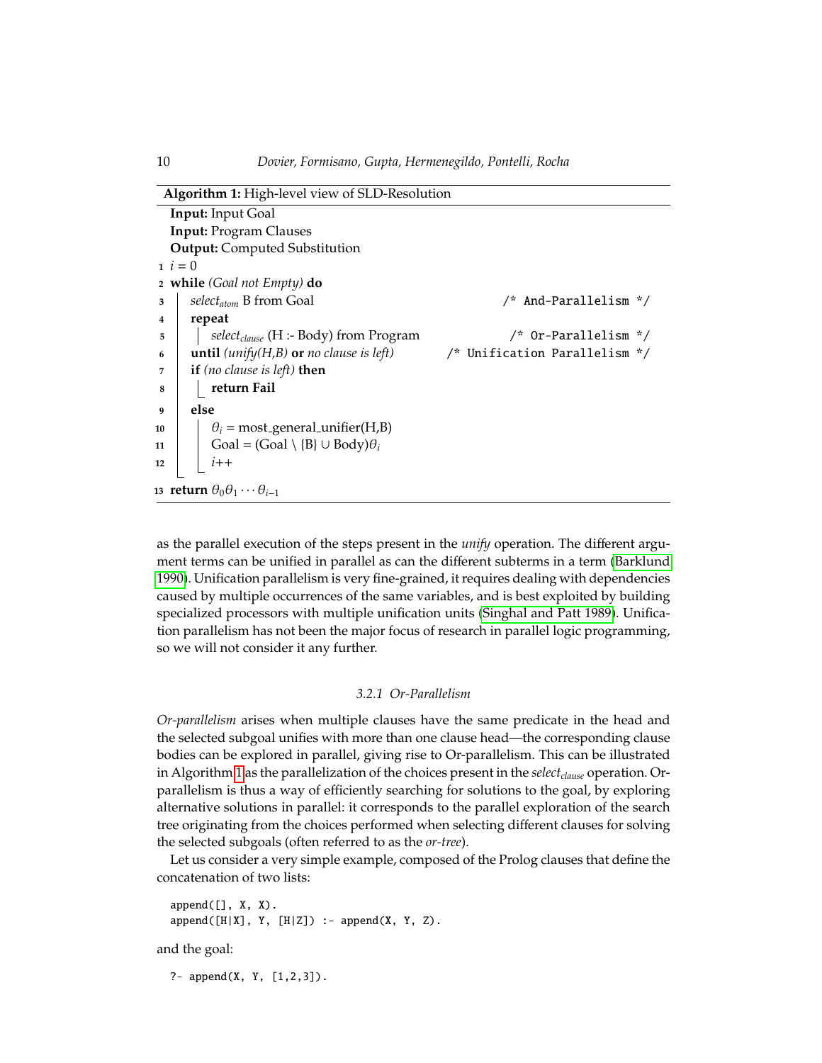| Algorithm 1: High-level view of SLD-Resolution                       |                               |
|----------------------------------------------------------------------|-------------------------------|
| <b>Input:</b> Input Goal                                             |                               |
| <b>Input: Program Clauses</b>                                        |                               |
| <b>Output:</b> Computed Substitution                                 |                               |
| $i = 0$                                                              |                               |
| 2 while (Goal not Empty) do                                          |                               |
| $select_{atom}$ B from Goal<br>3                                     | And-Parallelism */            |
| repeat<br>4                                                          |                               |
| select <sub>clause</sub> ( $H$ :- Body) from Program<br>5            | /* Or-Parallelism */          |
| <b>until</b> ( <i>unify</i> ( $H$ , $B$ ) or no clause is left)<br>6 | /* Unification Parallelism */ |
| if (no clause is left) then<br>7                                     |                               |
| return Fail<br>8                                                     |                               |
| else<br>9                                                            |                               |
| $\theta_i$ = most_general_unifier(H,B)<br>10                         |                               |
| $Goal = (Goal \setminus {B} \cup Body)\theta_i$<br>11                |                               |
| $i++$<br>12                                                          |                               |
| 13 return $\theta_0 \theta_1 \cdots \theta_{i-1}$                    |                               |
|                                                                      |                               |

<span id="page-9-0"></span>as the parallel execution of the steps present in the *unify* operation. The different argument terms can be unified in parallel as can the different subterms in a term [\(Barklund](#page-51-3) [1990\)](#page-51-3). Unification parallelism is very fine-grained, it requires dealing with dependencies caused by multiple occurrences of the same variables, and is best exploited by building specialized processors with multiple unification units [\(Singhal and Patt 1989\)](#page-65-4). Unification parallelism has not been the major focus of research in parallel logic programming, so we will not consider it any further.

# *3.2.1 Or-Parallelism*

*Or-parallelism* arises when multiple clauses have the same predicate in the head and the selected subgoal unifies with more than one clause head—the corresponding clause bodies can be explored in parallel, giving rise to Or-parallelism. This can be illustrated in Algorithm [1](#page-9-0) as the parallelization of the choices present in the *selectclause* operation. Orparallelism is thus a way of efficiently searching for solutions to the goal, by exploring alternative solutions in parallel: it corresponds to the parallel exploration of the search tree originating from the choices performed when selecting different clauses for solving the selected subgoals (often referred to as the *or-tree*).

Let us consider a very simple example, composed of the Prolog clauses that define the concatenation of two lists:

 $append([], X, X)$ .  $append([H|X], Y, [H|Z]) :- append(X, Y, Z).$ 

and the goal:

?- append(X, Y, [1,2,3]).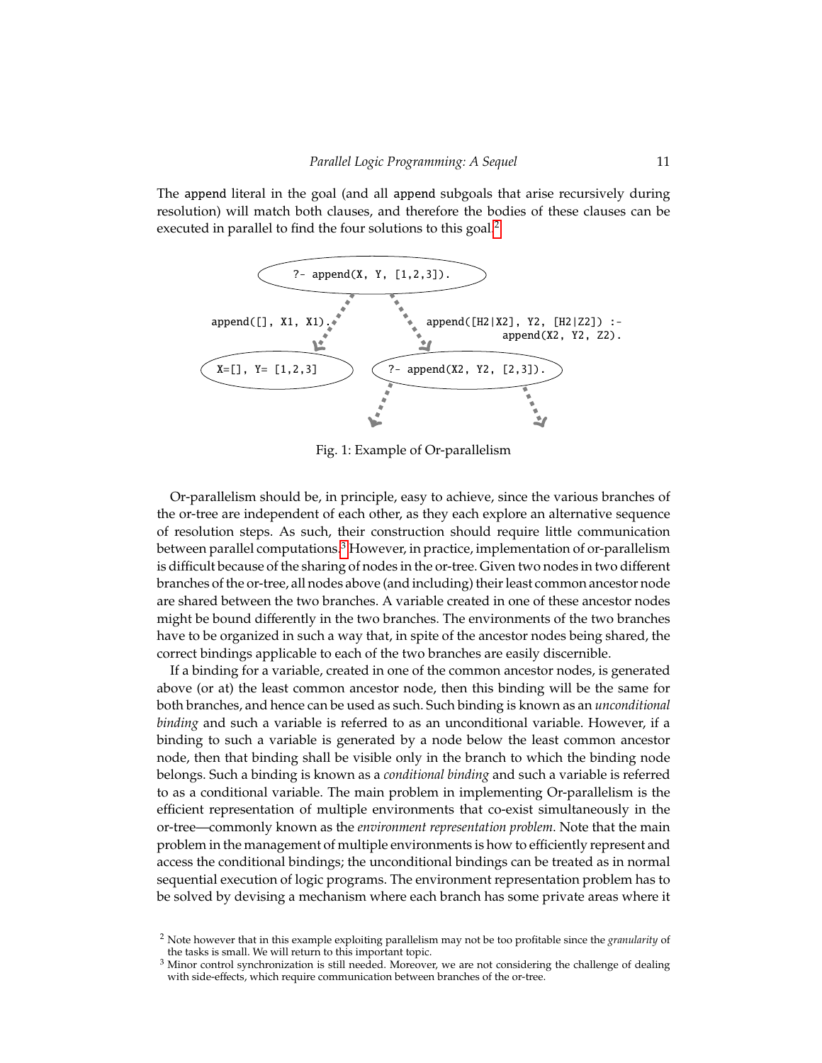The append literal in the goal (and all append subgoals that arise recursively during resolution) will match both clauses, and therefore the bodies of these clauses can be executed in parallel to find the four solutions to this goal.<sup>[2](#page-10-0)</sup>



Fig. 1: Example of Or-parallelism

Or-parallelism should be, in principle, easy to achieve, since the various branches of the or-tree are independent of each other, as they each explore an alternative sequence of resolution steps. As such, their construction should require little communication between parallel computations.[3](#page-10-1) However, in practice, implementation of or-parallelism is difficult because of the sharing of nodes in the or-tree. Given two nodes in two different branches of the or-tree, all nodes above (and including) their least common ancestor node are shared between the two branches. A variable created in one of these ancestor nodes might be bound differently in the two branches. The environments of the two branches have to be organized in such a way that, in spite of the ancestor nodes being shared, the correct bindings applicable to each of the two branches are easily discernible.

If a binding for a variable, created in one of the common ancestor nodes, is generated above (or at) the least common ancestor node, then this binding will be the same for both branches, and hence can be used as such. Such binding is known as an *unconditional binding* and such a variable is referred to as an unconditional variable. However, if a binding to such a variable is generated by a node below the least common ancestor node, then that binding shall be visible only in the branch to which the binding node belongs. Such a binding is known as a *conditional binding* and such a variable is referred to as a conditional variable. The main problem in implementing Or-parallelism is the efficient representation of multiple environments that co-exist simultaneously in the or-tree—commonly known as the *environment representation problem*. Note that the main problem in the management of multiple environments is how to efficiently represent and access the conditional bindings; the unconditional bindings can be treated as in normal sequential execution of logic programs. The environment representation problem has to be solved by devising a mechanism where each branch has some private areas where it

<span id="page-10-0"></span><sup>2</sup> Note however that in this example exploiting parallelism may not be too profitable since the *granularity* of the tasks is small. We will return to this important topic.

<span id="page-10-1"></span><sup>&</sup>lt;sup>3</sup> Minor control synchronization is still needed. Moreover, we are not considering the challenge of dealing with side-effects, which require communication between branches of the or-tree.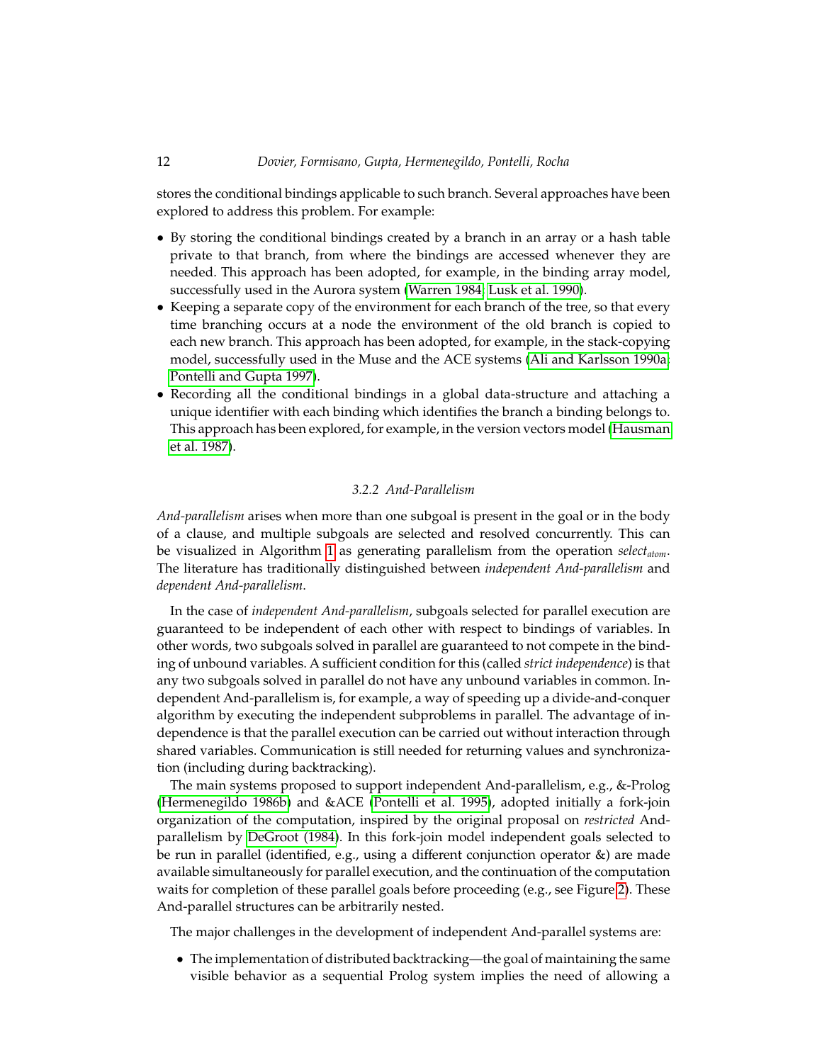stores the conditional bindings applicable to such branch. Several approaches have been explored to address this problem. For example:

- By storing the conditional bindings created by a branch in an array or a hash table private to that branch, from where the bindings are accessed whenever they are needed. This approach has been adopted, for example, in the binding array model, successfully used in the Aurora system [\(Warren 1984;](#page-67-2) [Lusk et al. 1990\)](#page-60-1).
- Keeping a separate copy of the environment for each branch of the tree, so that every time branching occurs at a node the environment of the old branch is copied to each new branch. This approach has been adopted, for example, in the stack-copying model, successfully used in the Muse and the ACE systems [\(Ali and Karlsson 1990a;](#page-51-4) [Pontelli and Gupta 1997\)](#page-63-2).
- Recording all the conditional bindings in a global data-structure and attaching a unique identifier with each binding which identifies the branch a binding belongs to. This approach has been explored, for example, in the version vectors model [\(Hausman](#page-57-5) [et al. 1987\)](#page-57-5).

# *3.2.2 And-Parallelism*

*And-parallelism* arises when more than one subgoal is present in the goal or in the body of a clause, and multiple subgoals are selected and resolved concurrently. This can be visualized in Algorithm [1](#page-9-0) as generating parallelism from the operation *selectatom*. The literature has traditionally distinguished between *independent And-parallelism* and *dependent And-parallelism*.

In the case of *independent And-parallelism*, subgoals selected for parallel execution are guaranteed to be independent of each other with respect to bindings of variables. In other words, two subgoals solved in parallel are guaranteed to not compete in the binding of unbound variables. A sufficient condition for this (called *strict independence*) is that any two subgoals solved in parallel do not have any unbound variables in common. Independent And-parallelism is, for example, a way of speeding up a divide-and-conquer algorithm by executing the independent subproblems in parallel. The advantage of independence is that the parallel execution can be carried out without interaction through shared variables. Communication is still needed for returning values and synchronization (including during backtracking).

The main systems proposed to support independent And-parallelism, e.g., &-Prolog [\(Hermenegildo 1986b\)](#page-58-2) and &ACE [\(Pontelli et al. 1995\)](#page-63-3), adopted initially a fork-join organization of the computation, inspired by the original proposal on *restricted* Andparallelism by [DeGroot \(1984\)](#page-54-0). In this fork-join model independent goals selected to be run in parallel (identified, e.g., using a different conjunction operator &) are made available simultaneously for parallel execution, and the continuation of the computation waits for completion of these parallel goals before proceeding (e.g., see Figure [2\)](#page-12-0). These And-parallel structures can be arbitrarily nested.

The major challenges in the development of independent And-parallel systems are:

• The implementation of distributed backtracking—the goal of maintaining the same visible behavior as a sequential Prolog system implies the need of allowing a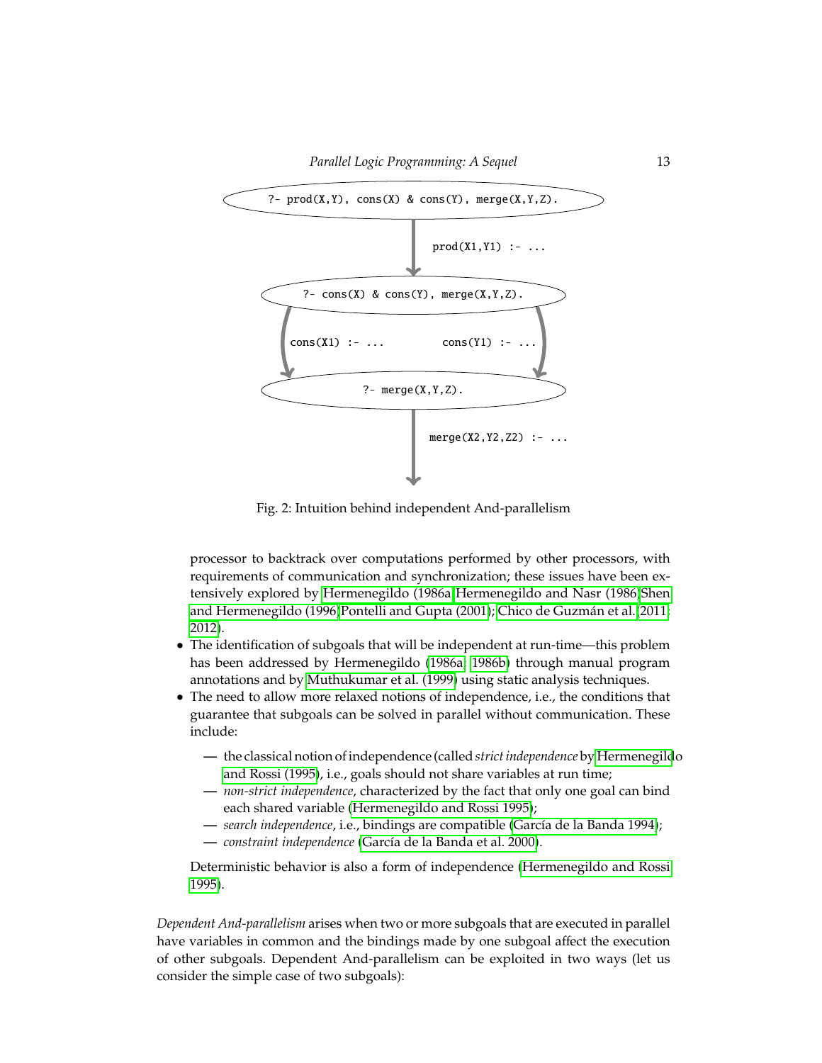<span id="page-12-0"></span>

Fig. 2: Intuition behind independent And-parallelism

processor to backtrack over computations performed by other processors, with requirements of communication and synchronization; these issues have been extensively explored by [Hermenegildo \(1986a\)](#page-58-3)[Hermenegildo and Nasr \(1986](#page-58-4)[\)Shen](#page-65-5) [and Hermenegildo \(1996\)](#page-65-5)[Pontelli and Gupta \(2001\)](#page-63-4); [Chico de Guzman et al.\(2011;](#page-53-3) ´ [2012\)](#page-53-4).

- The identification of subgoals that will be independent at run-time—this problem has been addressed by Hermenegildo [\(1986a;](#page-58-3) [1986b\)](#page-58-2) through manual program annotations and by [Muthukumar et al. \(1999\)](#page-62-1) using static analysis techniques.
- The need to allow more relaxed notions of independence, i.e., the conditions that guarantee that subgoals can be solved in parallel without communication. These include:
	- **—** the classical notion of independence (called*strict independence* by [Hermenegild](#page-58-5)o [and Rossi \(1995\)](#page-58-5), i.e., goals should not share variables at run time;
	- **—** *non-strict independence*, characterized by the fact that only one goal can bind each shared variable [\(Hermenegildo and Rossi 1995\)](#page-58-5);
	- **—** *search independence*, i.e., bindings are compatible [\(Garc´ıa de la Banda 1994\)](#page-56-2);
	- **—** *constraint independence* [\(Garc´ıa de la Banda et al. 2000\)](#page-56-3).

Deterministic behavior is also a form of independence [\(Hermenegildo and Rossi](#page-58-5) [1995\)](#page-58-5).

*Dependent And-parallelism* arises when two or more subgoals that are executed in parallel have variables in common and the bindings made by one subgoal affect the execution of other subgoals. Dependent And-parallelism can be exploited in two ways (let us consider the simple case of two subgoals):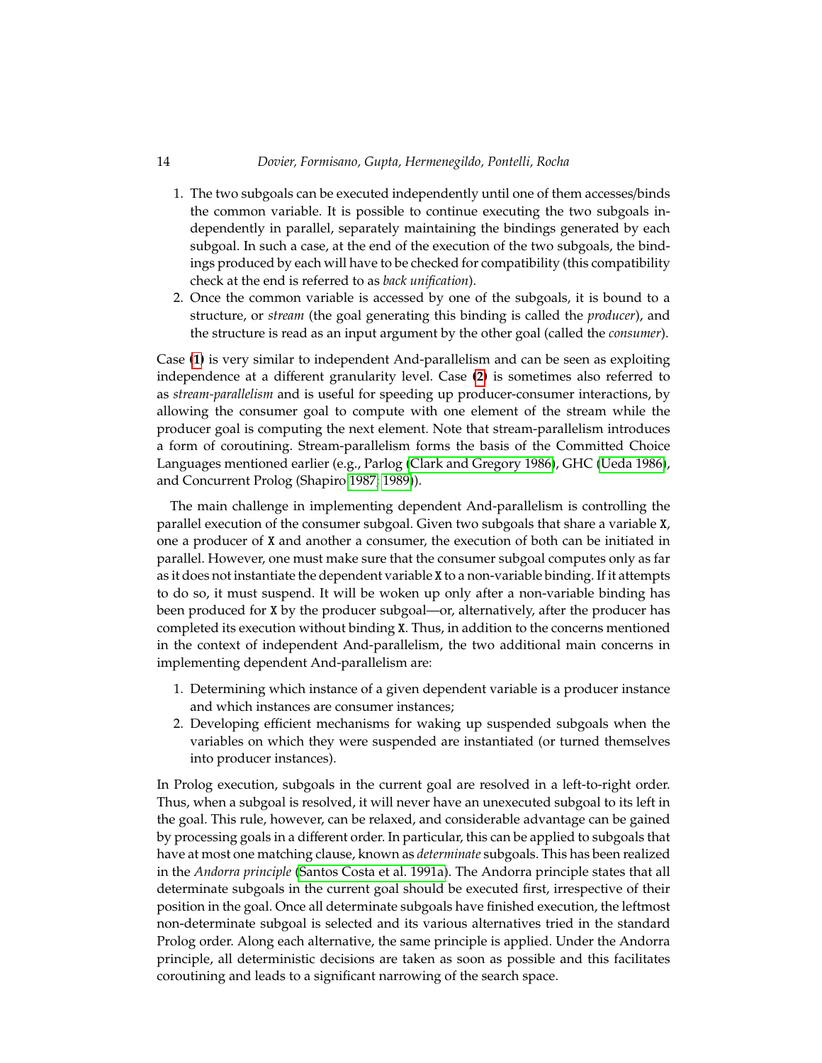# 14 *Dovier, Formisano, Gupta, Hermenegildo, Pontelli, Rocha*

- <span id="page-13-0"></span>1. The two subgoals can be executed independently until one of them accesses/binds the common variable. It is possible to continue executing the two subgoals independently in parallel, separately maintaining the bindings generated by each subgoal. In such a case, at the end of the execution of the two subgoals, the bindings produced by each will have to be checked for compatibility (this compatibility check at the end is referred to as *back unification*).
- <span id="page-13-1"></span>2. Once the common variable is accessed by one of the subgoals, it is bound to a structure, or *stream* (the goal generating this binding is called the *producer*), and the structure is read as an input argument by the other goal (called the *consumer*).

Case **[\(1\)](#page-13-0)** is very similar to independent And-parallelism and can be seen as exploiting independence at a different granularity level. Case **[\(2\)](#page-13-1)** is sometimes also referred to as *stream-parallelism* and is useful for speeding up producer-consumer interactions, by allowing the consumer goal to compute with one element of the stream while the producer goal is computing the next element. Note that stream-parallelism introduces a form of coroutining. Stream-parallelism forms the basis of the Committed Choice Languages mentioned earlier (e.g., Parlog [\(Clark and Gregory 1986\)](#page-53-2), GHC [\(Ueda 1986\)](#page-66-3), and Concurrent Prolog (Shapiro [1987;](#page-65-1) [1989\)](#page-65-2)).

The main challenge in implementing dependent And-parallelism is controlling the parallel execution of the consumer subgoal. Given two subgoals that share a variable X, one a producer of X and another a consumer, the execution of both can be initiated in parallel. However, one must make sure that the consumer subgoal computes only as far as it does not instantiate the dependent variable X to a non-variable binding. If it attempts to do so, it must suspend. It will be woken up only after a non-variable binding has been produced for X by the producer subgoal—or, alternatively, after the producer has completed its execution without binding X. Thus, in addition to the concerns mentioned in the context of independent And-parallelism, the two additional main concerns in implementing dependent And-parallelism are:

- 1. Determining which instance of a given dependent variable is a producer instance and which instances are consumer instances;
- 2. Developing efficient mechanisms for waking up suspended subgoals when the variables on which they were suspended are instantiated (or turned themselves into producer instances).

In Prolog execution, subgoals in the current goal are resolved in a left-to-right order. Thus, when a subgoal is resolved, it will never have an unexecuted subgoal to its left in the goal. This rule, however, can be relaxed, and considerable advantage can be gained by processing goals in a different order. In particular, this can be applied to subgoals that have at most one matching clause, known as *determinate* subgoals. This has been realized in the *Andorra principle* [\(Santos Costa et al. 1991a\)](#page-64-2). The Andorra principle states that all determinate subgoals in the current goal should be executed first, irrespective of their position in the goal. Once all determinate subgoals have finished execution, the leftmost non-determinate subgoal is selected and its various alternatives tried in the standard Prolog order. Along each alternative, the same principle is applied. Under the Andorra principle, all deterministic decisions are taken as soon as possible and this facilitates coroutining and leads to a significant narrowing of the search space.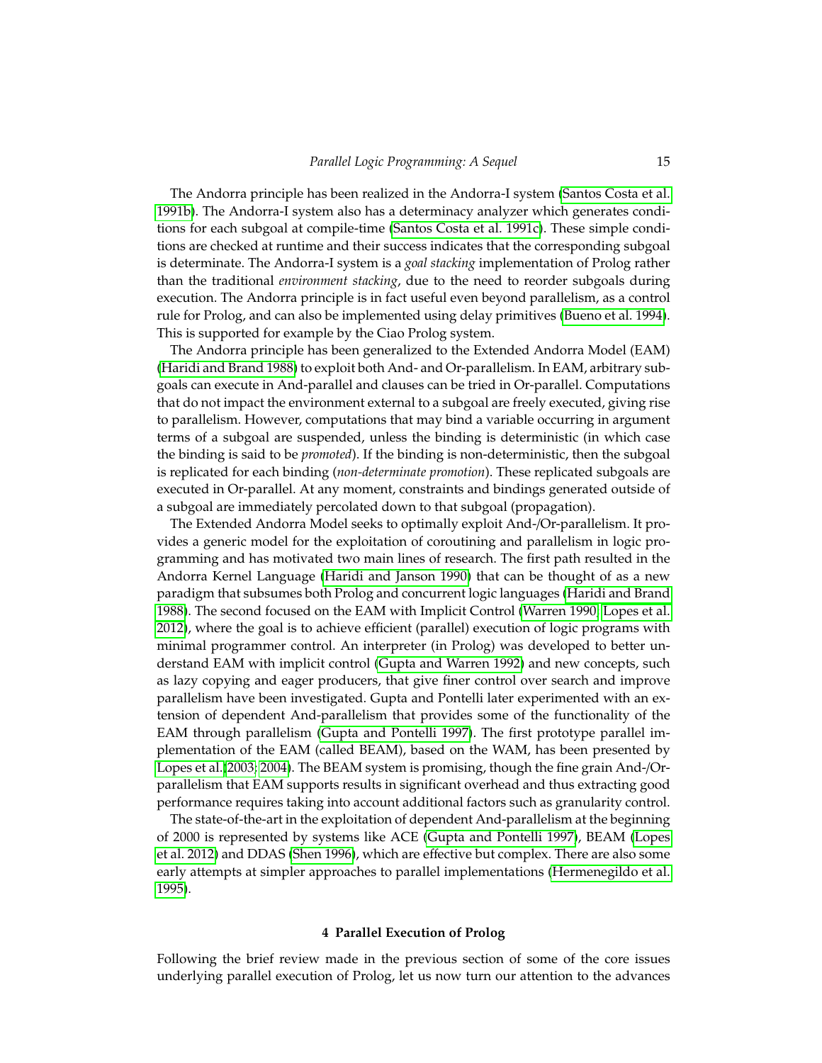The Andorra principle has been realized in the Andorra-I system [\(Santos Costa et al.](#page-64-1) [1991b\)](#page-64-1). The Andorra-I system also has a determinacy analyzer which generates conditions for each subgoal at compile-time [\(Santos Costa et al. 1991c\)](#page-64-3). These simple conditions are checked at runtime and their success indicates that the corresponding subgoal is determinate. The Andorra-I system is a *goal stacking* implementation of Prolog rather than the traditional *environment stacking*, due to the need to reorder subgoals during execution. The Andorra principle is in fact useful even beyond parallelism, as a control rule for Prolog, and can also be implemented using delay primitives [\(Bueno et al. 1994\)](#page-52-3). This is supported for example by the Ciao Prolog system.

The Andorra principle has been generalized to the Extended Andorra Model (EAM) [\(Haridi and Brand 1988\)](#page-57-6) to exploit both And- and Or-parallelism. In EAM, arbitrary subgoals can execute in And-parallel and clauses can be tried in Or-parallel. Computations that do not impact the environment external to a subgoal are freely executed, giving rise to parallelism. However, computations that may bind a variable occurring in argument terms of a subgoal are suspended, unless the binding is deterministic (in which case the binding is said to be *promoted*). If the binding is non-deterministic, then the subgoal is replicated for each binding (*non-determinate promotion*). These replicated subgoals are executed in Or-parallel. At any moment, constraints and bindings generated outside of a subgoal are immediately percolated down to that subgoal (propagation).

The Extended Andorra Model seeks to optimally exploit And-/Or-parallelism. It provides a generic model for the exploitation of coroutining and parallelism in logic programming and has motivated two main lines of research. The first path resulted in the Andorra Kernel Language [\(Haridi and Janson 1990\)](#page-57-7) that can be thought of as a new paradigm that subsumes both Prolog and concurrent logic languages [\(Haridi and Brand](#page-57-6) [1988\)](#page-57-6). The second focused on the EAM with Implicit Control [\(Warren 1990;](#page-67-3) [Lopes et al.](#page-60-2) [2012\)](#page-60-2), where the goal is to achieve efficient (parallel) execution of logic programs with minimal programmer control. An interpreter (in Prolog) was developed to better understand EAM with implicit control [\(Gupta and Warren 1992\)](#page-57-8) and new concepts, such as lazy copying and eager producers, that give finer control over search and improve parallelism have been investigated. Gupta and Pontelli later experimented with an extension of dependent And-parallelism that provides some of the functionality of the EAM through parallelism [\(Gupta and Pontelli 1997\)](#page-57-4). The first prototype parallel implementation of the EAM (called BEAM), based on the WAM, has been presented by [Lopes et al.\(2003;](#page-60-3) [2004\)](#page-60-4). The BEAM system is promising, though the fine grain And-/Orparallelism that EAM supports results in significant overhead and thus extracting good performance requires taking into account additional factors such as granularity control.

The state-of-the-art in the exploitation of dependent And-parallelism at the beginning of 2000 is represented by systems like ACE [\(Gupta and Pontelli 1997\)](#page-57-4), BEAM [\(Lopes](#page-60-2) [et al. 2012\)](#page-60-2) and DDAS [\(Shen 1996\)](#page-65-3), which are effective but complex. There are also some early attempts at simpler approaches to parallel implementations [\(Hermenegildo et al.](#page-58-6) [1995\)](#page-58-6).

# **4 Parallel Execution of Prolog**

<span id="page-14-0"></span>Following the brief review made in the previous section of some of the core issues underlying parallel execution of Prolog, let us now turn our attention to the advances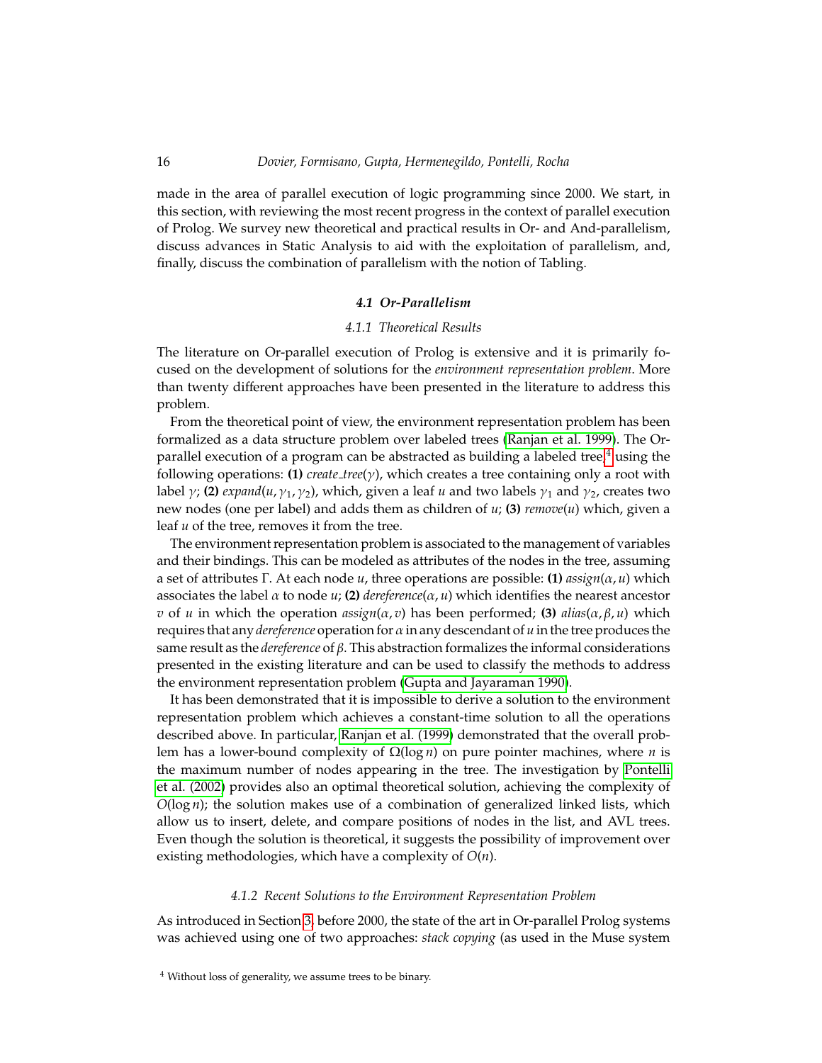# 16 *Dovier, Formisano, Gupta, Hermenegildo, Pontelli, Rocha*

made in the area of parallel execution of logic programming since 2000. We start, in this section, with reviewing the most recent progress in the context of parallel execution of Prolog. We survey new theoretical and practical results in Or- and And-parallelism, discuss advances in Static Analysis to aid with the exploitation of parallelism, and, finally, discuss the combination of parallelism with the notion of Tabling.

# *4.1 Or-Parallelism*

## *4.1.1 Theoretical Results*

<span id="page-15-0"></span>The literature on Or-parallel execution of Prolog is extensive and it is primarily focused on the development of solutions for the *environment representation problem*. More than twenty different approaches have been presented in the literature to address this problem.

From the theoretical point of view, the environment representation problem has been formalized as a data structure problem over labeled trees [\(Ranjan et al. 1999\)](#page-63-5). The Orparallel execution of a program can be abstracted as building a labeled tree, $4$  using the following operations: **(1)** *create\_tree*( $\gamma$ ), which creates a tree containing only a root with label  $\gamma$ ; **(2)** *expand*(*u*,  $\gamma_1$ ,  $\gamma_2$ ), which, given a leaf *u* and two labels  $\gamma_1$  and  $\gamma_2$ , creates two new nodes (one per label) and adds them as children of *u*; **(3)** *remove*(*u*) which, given a leaf *u* of the tree, removes it from the tree.

The environment representation problem is associated to the management of variables and their bindings. This can be modeled as attributes of the nodes in the tree, assuming a set of attributes Γ. At each node *u*, three operations are possible: **(1)**  $assign(\alpha, u)$  which associates the label  $\alpha$  to node  $u$ ; (2) *dereference*( $\alpha$ ,  $u$ ) which identifies the nearest ancestor *v* of *u* in which the operation  $assign(\alpha, v)$  has been performed; (3)  $alias(\alpha, \beta, u)$  which requires that any *dereference* operation for α in any descendant of *u* in the tree produces the same result as the *dereference* of β. This abstraction formalizes the informal considerations presented in the existing literature and can be used to classify the methods to address the environment representation problem [\(Gupta and Jayaraman 1990\)](#page-57-9).

It has been demonstrated that it is impossible to derive a solution to the environment representation problem which achieves a constant-time solution to all the operations described above. In particular, [Ranjan et al. \(1999\)](#page-63-5) demonstrated that the overall problem has a lower-bound complexity of Ω(log *n*) on pure pointer machines, where *n* is the maximum number of nodes appearing in the tree. The investigation by [Pontelli](#page-63-6) [et al. \(2002\)](#page-63-6) provides also an optimal theoretical solution, achieving the complexity of  $O(log n)$ ; the solution makes use of a combination of generalized linked lists, which allow us to insert, delete, and compare positions of nodes in the list, and AVL trees. Even though the solution is theoretical, it suggests the possibility of improvement over existing methodologies, which have a complexity of *O*(*n*).

#### *4.1.2 Recent Solutions to the Environment Representation Problem*

As introduced in Section [3,](#page-6-0) before 2000, the state of the art in Or-parallel Prolog systems was achieved using one of two approaches: *stack copying* (as used in the Muse system

<span id="page-15-1"></span><sup>&</sup>lt;sup>4</sup> Without loss of generality, we assume trees to be binary.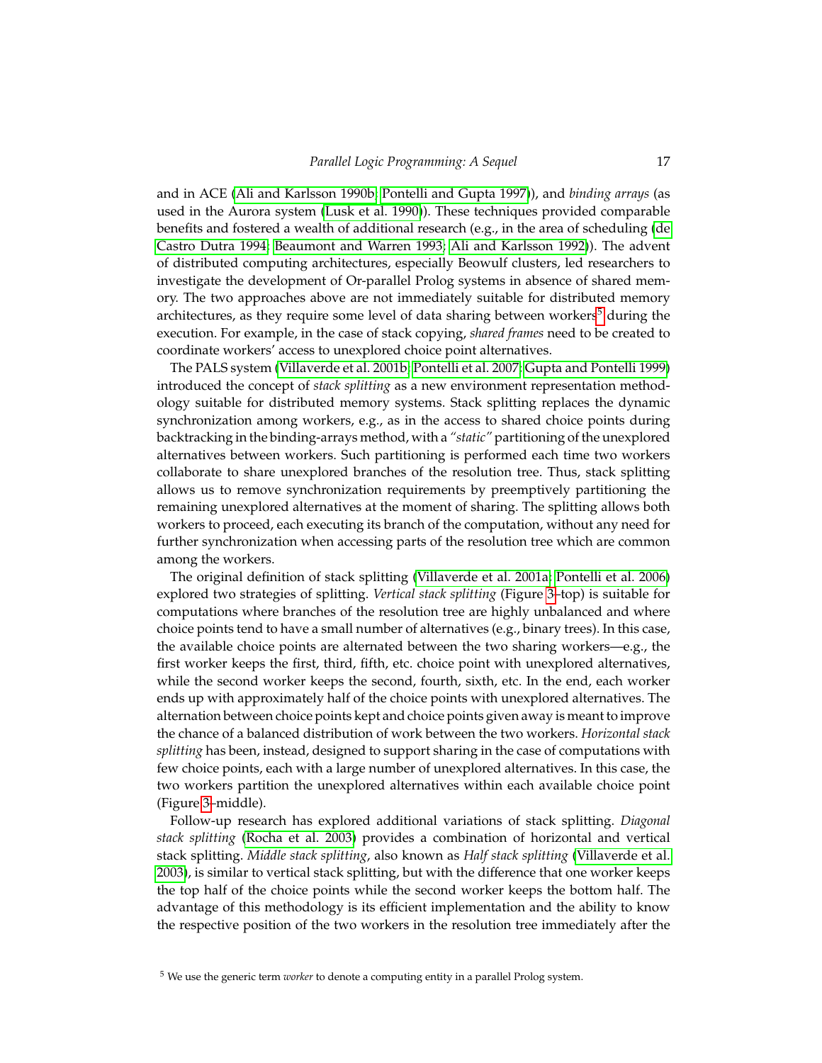and in ACE [\(Ali and Karlsson 1990b;](#page-51-2) [Pontelli and Gupta 1997\)](#page-63-2)), and *binding arrays* (as used in the Aurora system [\(Lusk et al. 1990\)](#page-60-1)). These techniques provided comparable benefits and fostered a wealth of additional research (e.g., in the area of scheduling [\(de](#page-54-1) [Castro Dutra 1994;](#page-54-1) [Beaumont and Warren 1993;](#page-51-5) [Ali and Karlsson 1992\)](#page-51-6)). The advent of distributed computing architectures, especially Beowulf clusters, led researchers to investigate the development of Or-parallel Prolog systems in absence of shared memory. The two approaches above are not immediately suitable for distributed memory architectures, as they require some level of data sharing between workers<sup>[5](#page-16-0)</sup> during the execution. For example, in the case of stack copying, *shared frames* need to be created to coordinate workers' access to unexplored choice point alternatives.

The PALS system [\(Villaverde et al. 2001b;](#page-66-4) [Pontelli et al. 2007;](#page-63-7) [Gupta and Pontelli 1999\)](#page-57-10) introduced the concept of *stack splitting* as a new environment representation methodology suitable for distributed memory systems. Stack splitting replaces the dynamic synchronization among workers, e.g., as in the access to shared choice points during backtracking in the binding-arrays method, with a *"static"* partitioning of the unexplored alternatives between workers. Such partitioning is performed each time two workers collaborate to share unexplored branches of the resolution tree. Thus, stack splitting allows us to remove synchronization requirements by preemptively partitioning the remaining unexplored alternatives at the moment of sharing. The splitting allows both workers to proceed, each executing its branch of the computation, without any need for further synchronization when accessing parts of the resolution tree which are common among the workers.

The original definition of stack splitting [\(Villaverde et al. 2001a;](#page-66-5) [Pontelli et al. 2006\)](#page-63-8) explored two strategies of splitting. *Vertical stack splitting* (Figure [3–](#page-17-0)top) is suitable for computations where branches of the resolution tree are highly unbalanced and where choice points tend to have a small number of alternatives (e.g., binary trees). In this case, the available choice points are alternated between the two sharing workers—e.g., the first worker keeps the first, third, fifth, etc. choice point with unexplored alternatives, while the second worker keeps the second, fourth, sixth, etc. In the end, each worker ends up with approximately half of the choice points with unexplored alternatives. The alternation between choice points kept and choice points given away is meant to improve the chance of a balanced distribution of work between the two workers. *Horizontal stack splitting* has been, instead, designed to support sharing in the case of computations with few choice points, each with a large number of unexplored alternatives. In this case, the two workers partition the unexplored alternatives within each available choice point (Figure [3–](#page-17-0)middle).

Follow-up research has explored additional variations of stack splitting. *Diagonal stack splitting* [\(Rocha et al. 2003\)](#page-63-9) provides a combination of horizontal and vertical stack splitting. *Middle stack splitting*, also known as *Half stack splitting* [\(Villaverde et al.](#page-66-6) [2003\)](#page-66-6), is similar to vertical stack splitting, but with the difference that one worker keeps the top half of the choice points while the second worker keeps the bottom half. The advantage of this methodology is its efficient implementation and the ability to know the respective position of the two workers in the resolution tree immediately after the

<span id="page-16-0"></span><sup>5</sup> We use the generic term *worker* to denote a computing entity in a parallel Prolog system.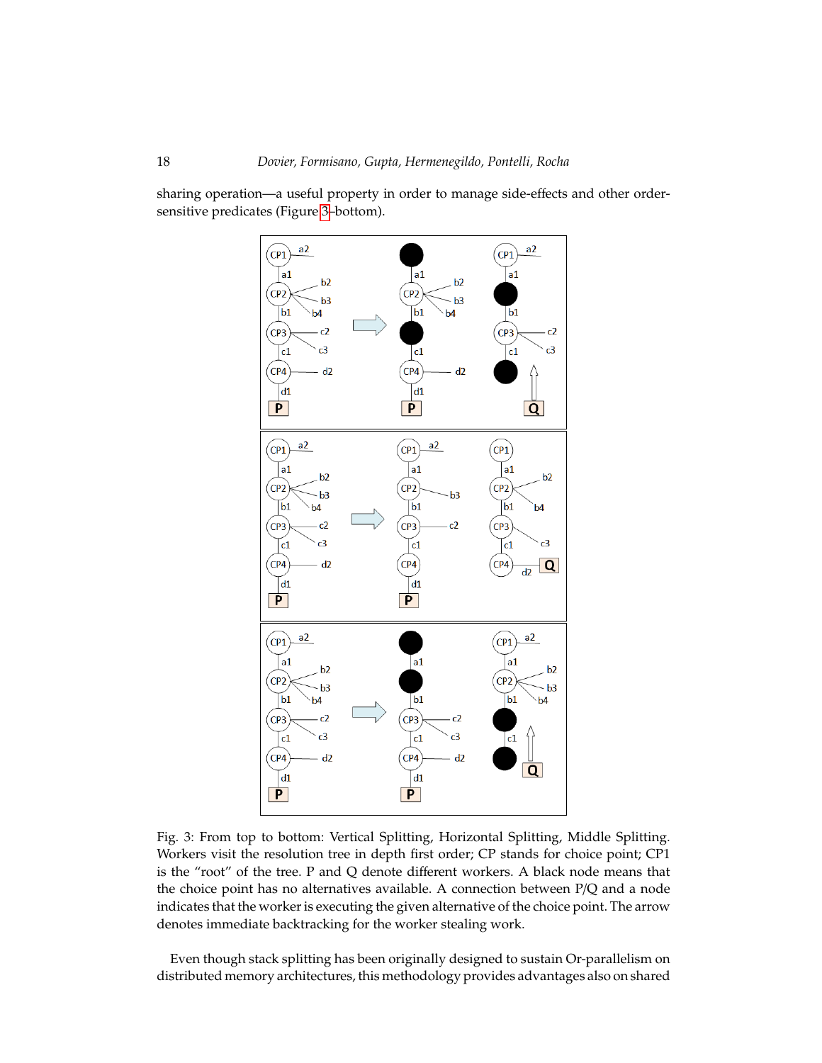<span id="page-17-0"></span>sharing operation—a useful property in order to manage side-effects and other ordersensitive predicates (Figure [3–](#page-17-0)bottom).



Fig. 3: From top to bottom: Vertical Splitting, Horizontal Splitting, Middle Splitting. Workers visit the resolution tree in depth first order; CP stands for choice point; CP1 is the "root" of the tree. P and Q denote different workers. A black node means that the choice point has no alternatives available. A connection between P/Q and a node indicates that the worker is executing the given alternative of the choice point. The arrow denotes immediate backtracking for the worker stealing work.

Even though stack splitting has been originally designed to sustain Or-parallelism on distributed memory architectures, this methodology provides advantages also on shared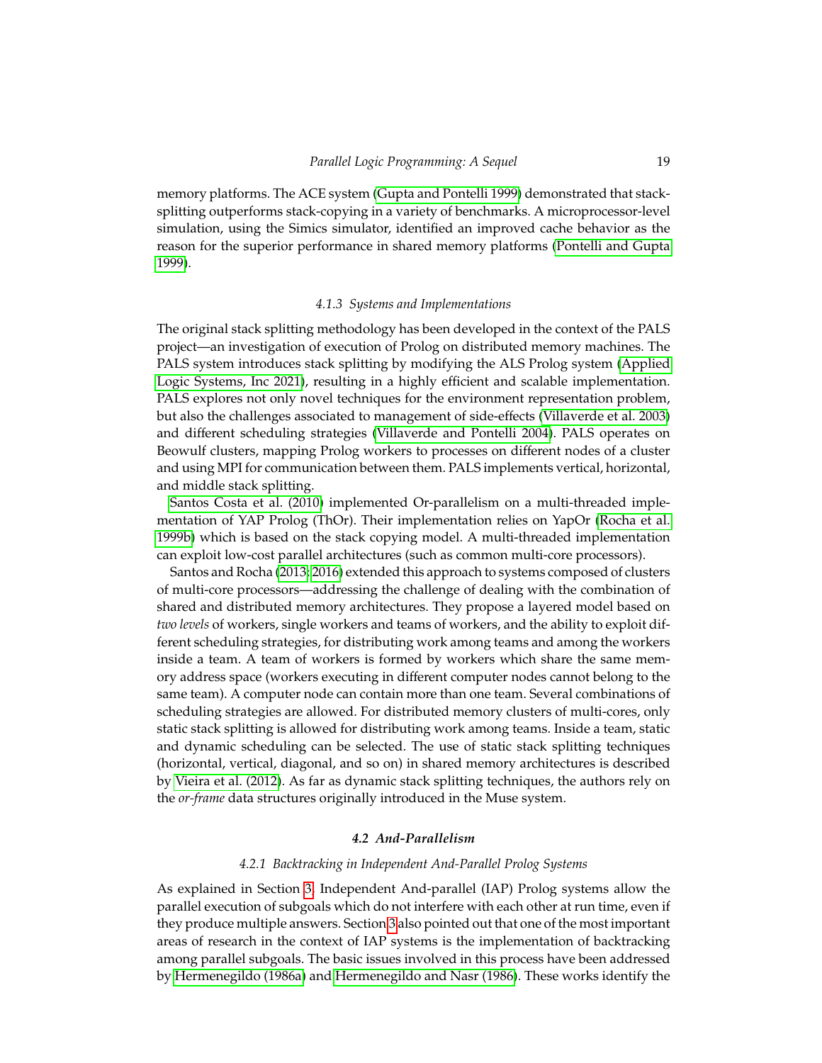memory platforms. The ACE system [\(Gupta and Pontelli 1999\)](#page-57-10) demonstrated that stacksplitting outperforms stack-copying in a variety of benchmarks. A microprocessor-level simulation, using the Simics simulator, identified an improved cache behavior as the reason for the superior performance in shared memory platforms [\(Pontelli and Gupta](#page-63-10) [1999\)](#page-63-10).

## *4.1.3 Systems and Implementations*

The original stack splitting methodology has been developed in the context of the PALS project—an investigation of execution of Prolog on distributed memory machines. The PALS system introduces stack splitting by modifying the ALS Prolog system [\(Applied](#page-51-7) [Logic Systems, Inc 2021\)](#page-51-7), resulting in a highly efficient and scalable implementation. PALS explores not only novel techniques for the environment representation problem, but also the challenges associated to management of side-effects [\(Villaverde et al. 2003\)](#page-66-6) and different scheduling strategies [\(Villaverde and Pontelli 2004\)](#page-66-7). PALS operates on Beowulf clusters, mapping Prolog workers to processes on different nodes of a cluster and using MPI for communication between them. PALS implements vertical, horizontal, and middle stack splitting.

[Santos Costa et al. \(2010\)](#page-64-4) implemented Or-parallelism on a multi-threaded implementation of YAP Prolog (ThOr). Their implementation relies on YapOr [\(Rocha et al.](#page-64-5) [1999b\)](#page-64-5) which is based on the stack copying model. A multi-threaded implementation can exploit low-cost parallel architectures (such as common multi-core processors).

Santos and Rocha [\(2013;](#page-64-6) [2016\)](#page-64-7) extended this approach to systems composed of clusters of multi-core processors—addressing the challenge of dealing with the combination of shared and distributed memory architectures. They propose a layered model based on *two levels* of workers, single workers and teams of workers, and the ability to exploit different scheduling strategies, for distributing work among teams and among the workers inside a team. A team of workers is formed by workers which share the same memory address space (workers executing in different computer nodes cannot belong to the same team). A computer node can contain more than one team. Several combinations of scheduling strategies are allowed. For distributed memory clusters of multi-cores, only static stack splitting is allowed for distributing work among teams. Inside a team, static and dynamic scheduling can be selected. The use of static stack splitting techniques (horizontal, vertical, diagonal, and so on) in shared memory architectures is described by [Vieira et al. \(2012\)](#page-66-8). As far as dynamic stack splitting techniques, the authors rely on the *or-frame* data structures originally introduced in the Muse system.

# *4.2 And-Parallelism*

# *4.2.1 Backtracking in Independent And-Parallel Prolog Systems*

<span id="page-18-0"></span>As explained in Section [3,](#page-6-0) Independent And-parallel (IAP) Prolog systems allow the parallel execution of subgoals which do not interfere with each other at run time, even if they produce multiple answers. Section [3](#page-6-0) also pointed out that one of the most important areas of research in the context of IAP systems is the implementation of backtracking among parallel subgoals. The basic issues involved in this process have been addressed by [Hermenegildo \(1986a\)](#page-58-3) and [Hermenegildo and Nasr \(1986\)](#page-58-4). These works identify the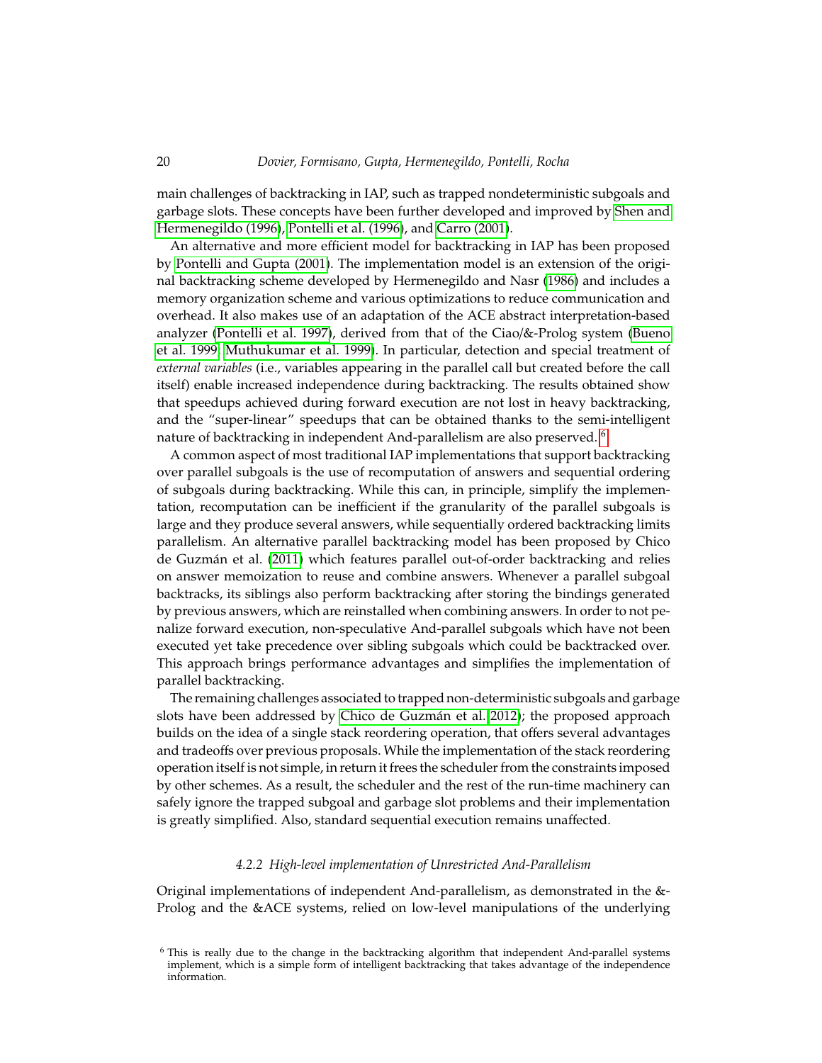main challenges of backtracking in IAP, such as trapped nondeterministic subgoals and garbage slots. These concepts have been further developed and improved by [Shen and](#page-65-5) [Hermenegildo \(1996\)](#page-65-5), [Pontelli et al. \(1996\)](#page-63-11), and [Carro \(2001\)](#page-52-4).

An alternative and more efficient model for backtracking in IAP has been proposed by [Pontelli and Gupta \(2001\)](#page-63-4). The implementation model is an extension of the original backtracking scheme developed by Hermenegildo and Nasr [\(1986\)](#page-58-4) and includes a memory organization scheme and various optimizations to reduce communication and overhead. It also makes use of an adaptation of the ACE abstract interpretation-based analyzer [\(Pontelli et al. 1997\)](#page-63-12), derived from that of the Ciao/&-Prolog system [\(Bueno](#page-52-5) [et al. 1999;](#page-52-5) [Muthukumar et al. 1999\)](#page-62-1). In particular, detection and special treatment of *external variables* (i.e., variables appearing in the parallel call but created before the call itself) enable increased independence during backtracking. The results obtained show that speedups achieved during forward execution are not lost in heavy backtracking, and the "super-linear" speedups that can be obtained thanks to the semi-intelligent nature of backtracking in independent And-parallelism are also preserved. <sup>[6](#page-19-0)</sup>

A common aspect of most traditional IAP implementations that support backtracking over parallel subgoals is the use of recomputation of answers and sequential ordering of subgoals during backtracking. While this can, in principle, simplify the implementation, recomputation can be inefficient if the granularity of the parallel subgoals is large and they produce several answers, while sequentially ordered backtracking limits parallelism. An alternative parallel backtracking model has been proposed by Chico de Guzmán et al. [\(2011\)](#page-53-3) which features parallel out-of-order backtracking and relies on answer memoization to reuse and combine answers. Whenever a parallel subgoal backtracks, its siblings also perform backtracking after storing the bindings generated by previous answers, which are reinstalled when combining answers. In order to not penalize forward execution, non-speculative And-parallel subgoals which have not been executed yet take precedence over sibling subgoals which could be backtracked over. This approach brings performance advantages and simplifies the implementation of parallel backtracking.

The remaining challenges associated to trapped non-deterministic subgoals and garbage slots have been addressed by Chico de Guzmán et al.(2012); the proposed approach builds on the idea of a single stack reordering operation, that offers several advantages and tradeoffs over previous proposals. While the implementation of the stack reordering operation itself is not simple, in return it frees the scheduler from the constraints imposed by other schemes. As a result, the scheduler and the rest of the run-time machinery can safely ignore the trapped subgoal and garbage slot problems and their implementation is greatly simplified. Also, standard sequential execution remains unaffected.

# *4.2.2 High-level implementation of Unrestricted And-Parallelism*

<span id="page-19-1"></span>Original implementations of independent And-parallelism, as demonstrated in the &- Prolog and the &ACE systems, relied on low-level manipulations of the underlying

<span id="page-19-0"></span><sup>6</sup> This is really due to the change in the backtracking algorithm that independent And-parallel systems implement, which is a simple form of intelligent backtracking that takes advantage of the independence information.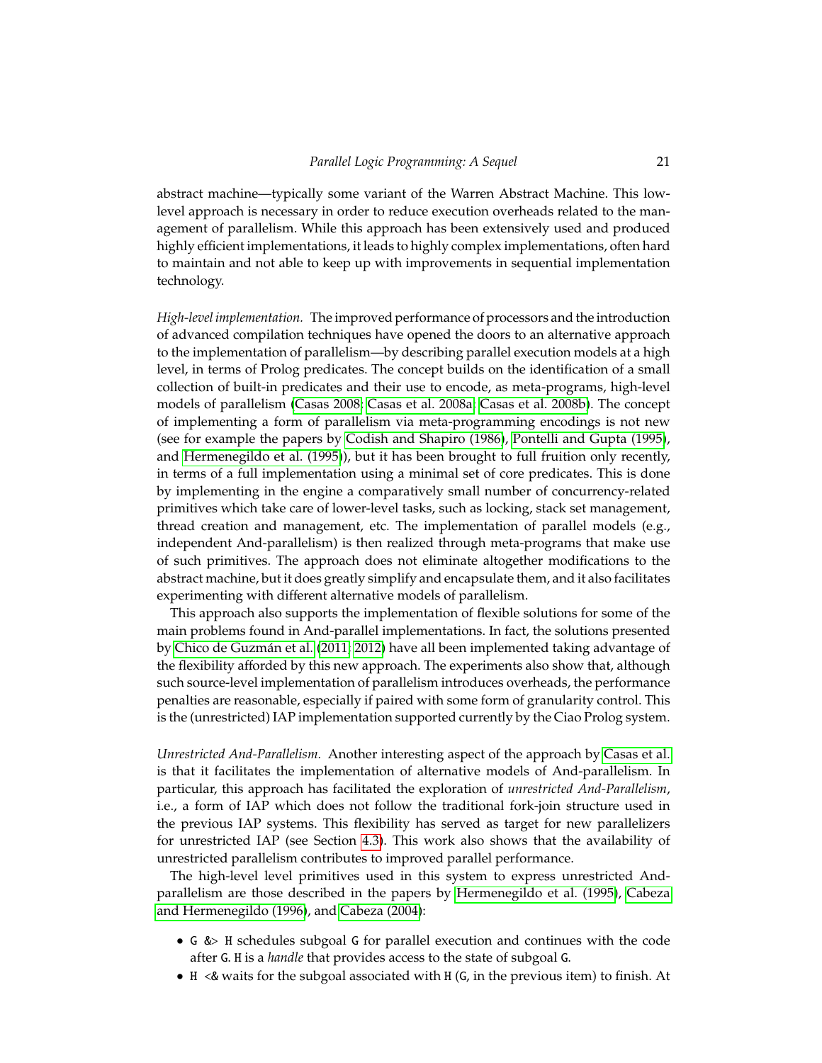abstract machine—typically some variant of the Warren Abstract Machine. This lowlevel approach is necessary in order to reduce execution overheads related to the management of parallelism. While this approach has been extensively used and produced highly efficient implementations, it leads to highly complex implementations, often hard to maintain and not able to keep up with improvements in sequential implementation technology.

*High-level implementation.* The improved performance of processors and the introduction of advanced compilation techniques have opened the doors to an alternative approach to the implementation of parallelism—by describing parallel execution models at a high level, in terms of Prolog predicates. The concept builds on the identification of a small collection of built-in predicates and their use to encode, as meta-programs, high-level models of parallelism [\(Casas 2008;](#page-53-5) [Casas et al. 2008a;](#page-53-6) [Casas et al. 2008b\)](#page-53-7). The concept of implementing a form of parallelism via meta-programming encodings is not new (see for example the papers by [Codish and Shapiro \(1986\)](#page-54-2), [Pontelli and Gupta \(1995\)](#page-63-13), and [Hermenegildo et al. \(1995\)](#page-58-6)), but it has been brought to full fruition only recently, in terms of a full implementation using a minimal set of core predicates. This is done by implementing in the engine a comparatively small number of concurrency-related primitives which take care of lower-level tasks, such as locking, stack set management, thread creation and management, etc. The implementation of parallel models (e.g., independent And-parallelism) is then realized through meta-programs that make use of such primitives. The approach does not eliminate altogether modifications to the abstract machine, but it does greatly simplify and encapsulate them, and it also facilitates experimenting with different alternative models of parallelism.

This approach also supports the implementation of flexible solutions for some of the main problems found in And-parallel implementations. In fact, the solutions presented by Chico de Guzmán et al. [\(2011;](#page-53-3) [2012\)](#page-53-4) have all been implemented taking advantage of the flexibility afforded by this new approach. The experiments also show that, although such source-level implementation of parallelism introduces overheads, the performance penalties are reasonable, especially if paired with some form of granularity control. This is the (unrestricted) IAP implementation supported currently by the Ciao Prolog system.

<span id="page-20-0"></span>*Unrestricted And-Parallelism.* Another interesting aspect of the approach by [Casas et al.](#page-53-7) is that it facilitates the implementation of alternative models of And-parallelism. In particular, this approach has facilitated the exploration of *unrestricted And-Parallelism*, i.e., a form of IAP which does not follow the traditional fork-join structure used in the previous IAP systems. This flexibility has served as target for new parallelizers for unrestricted IAP (see Section [4.3\)](#page-23-0). This work also shows that the availability of unrestricted parallelism contributes to improved parallel performance.

The high-level level primitives used in this system to express unrestricted Andparallelism are those described in the papers by [Hermenegildo et al. \(1995\)](#page-58-1), [Cabeza](#page-52-6) [and Hermenegildo \(1996\)](#page-52-6), and [Cabeza \(2004\)](#page-52-7):

- G &> H schedules subgoal G for parallel execution and continues with the code after G. H is a *handle* that provides access to the state of subgoal G.
- H <& waits for the subgoal associated with H (G, in the previous item) to finish. At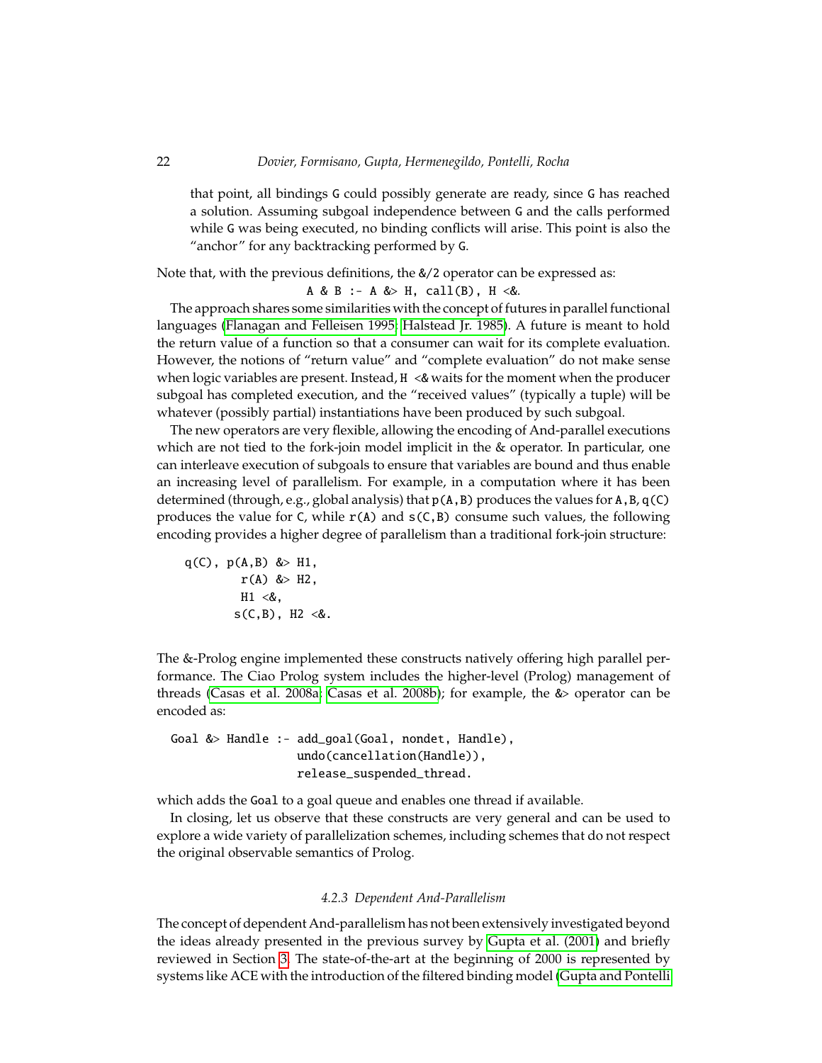that point, all bindings G could possibly generate are ready, since G has reached a solution. Assuming subgoal independence between G and the calls performed while G was being executed, no binding conflicts will arise. This point is also the "anchor" for any backtracking performed by G.

Note that, with the previous definitions, the &/2 operator can be expressed as:

A & B :- A & H, call(B), H < &.

The approach shares some similarities with the concept of futures in parallel functional languages [\(Flanagan and Felleisen 1995;](#page-55-2) [Halstead Jr. 1985\)](#page-57-11). A future is meant to hold the return value of a function so that a consumer can wait for its complete evaluation. However, the notions of "return value" and "complete evaluation" do not make sense when logic variables are present. Instead, H <& waits for the moment when the producer subgoal has completed execution, and the "received values" (typically a tuple) will be whatever (possibly partial) instantiations have been produced by such subgoal.

The new operators are very flexible, allowing the encoding of And-parallel executions which are not tied to the fork-join model implicit in the & operator. In particular, one can interleave execution of subgoals to ensure that variables are bound and thus enable an increasing level of parallelism. For example, in a computation where it has been determined (through, e.g., global analysis) that  $p(A, B)$  produces the values for  $A, B, q(C)$ produces the value for C, while  $r(A)$  and  $s(C, B)$  consume such values, the following encoding provides a higher degree of parallelism than a traditional fork-join structure:

 $q(C)$ ,  $p(A,B)$  & H1,  $r(A)$  & H2, H1 <&,  $s(C,B)$ , H2 <&.

The &-Prolog engine implemented these constructs natively offering high parallel performance. The Ciao Prolog system includes the higher-level (Prolog) management of threads [\(Casas et al. 2008a;](#page-53-6) [Casas et al. 2008b\)](#page-53-7); for example, the &> operator can be encoded as:

Goal &> Handle :- add\_goal(Goal, nondet, Handle), undo(cancellation(Handle)), release\_suspended\_thread.

which adds the Goal to a goal queue and enables one thread if available.

In closing, let us observe that these constructs are very general and can be used to explore a wide variety of parallelization schemes, including schemes that do not respect the original observable semantics of Prolog.

# *4.2.3 Dependent And-Parallelism*

The concept of dependent And-parallelism has not been extensively investigated beyond the ideas already presented in the previous survey by [Gupta et al. \(2001\)](#page-57-0) and briefly reviewed in Section [3.](#page-6-0) The state-of-the-art at the beginning of 2000 is represented by systems like ACE with the introduction of the filtered binding model [\(Gupta and Pontelli](#page-57-4)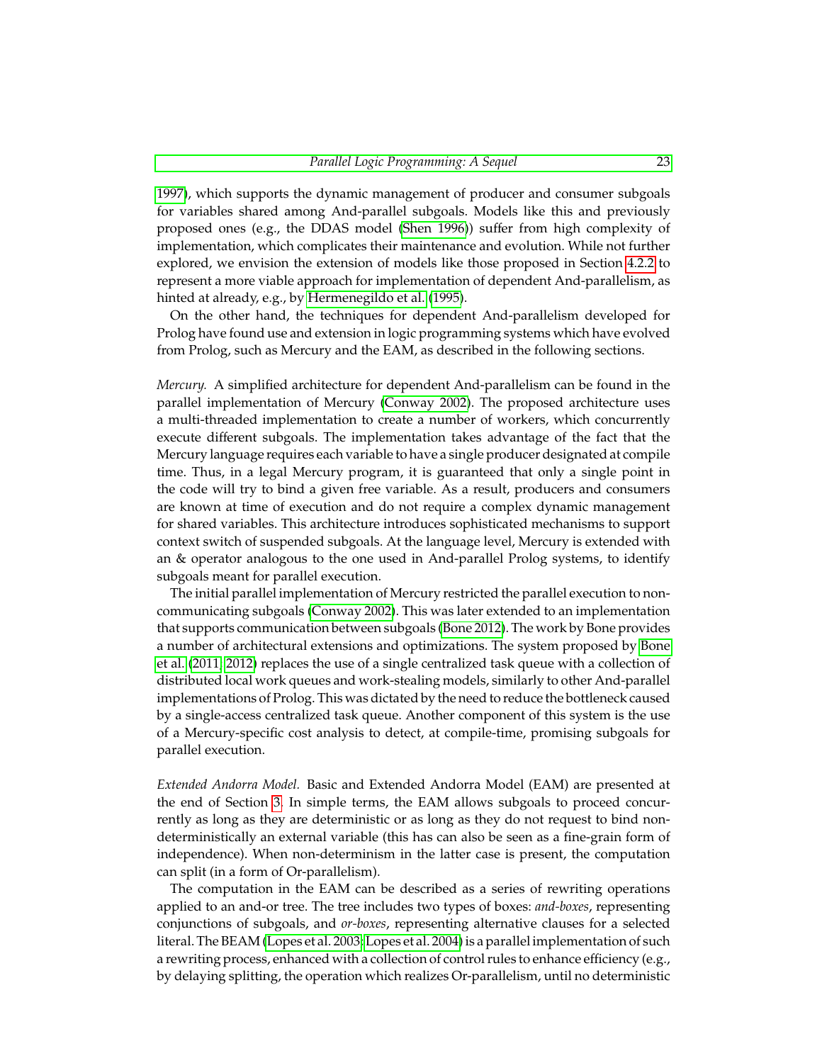[1997\)](#page-57-4), which supports the dynamic management of producer and consumer subgoals for variables shared among And-parallel subgoals. Models like this and previously proposed ones (e.g., the DDAS model [\(Shen 1996\)](#page-65-3)) suffer from high complexity of implementation, which complicates their maintenance and evolution. While not further explored, we envision the extension of models like those proposed in Section [4.2.2](#page-20-0) to represent a more viable approach for implementation of dependent And-parallelism, as hinted at already, e.g., by [Hermenegildo et al.](#page-58-6) [\(1995\)](#page-58-6).

On the other hand, the techniques for dependent And-parallelism developed for Prolog have found use and extension in logic programming systems which have evolved from Prolog, such as Mercury and the EAM, as described in the following sections.

*Mercury.* A simplified architecture for dependent And-parallelism can be found in the parallel implementation of Mercury [\(Conway 2002\)](#page-54-3). The proposed architecture uses a multi-threaded implementation to create a number of workers, which concurrently execute different subgoals. The implementation takes advantage of the fact that the Mercury language requires each variable to have a single producer designated at compile time. Thus, in a legal Mercury program, it is guaranteed that only a single point in the code will try to bind a given free variable. As a result, producers and consumers are known at time of execution and do not require a complex dynamic management for shared variables. This architecture introduces sophisticated mechanisms to support context switch of suspended subgoals. At the language level, Mercury is extended with an & operator analogous to the one used in And-parallel Prolog systems, to identify subgoals meant for parallel execution.

The initial parallel implementation of Mercury restricted the parallel execution to noncommunicating subgoals [\(Conway 2002\)](#page-54-3). This was later extended to an implementation that supports communication between subgoals [\(Bone 2012\)](#page-52-8). The work by Bone provides a number of architectural extensions and optimizations. The system proposed by [Bone](#page-52-9) [et al.](#page-52-9) [\(2011;](#page-52-10) [2012\)](#page-52-9) replaces the use of a single centralized task queue with a collection of distributed local work queues and work-stealing models, similarly to other And-parallel implementations of Prolog. This was dictated by the need to reduce the bottleneck caused by a single-access centralized task queue. Another component of this system is the use of a Mercury-specific cost analysis to detect, at compile-time, promising subgoals for parallel execution.

*Extended Andorra Model.* Basic and Extended Andorra Model (EAM) are presented at the end of Section [3.](#page-6-0) In simple terms, the EAM allows subgoals to proceed concurrently as long as they are deterministic or as long as they do not request to bind nondeterministically an external variable (this has can also be seen as a fine-grain form of independence). When non-determinism in the latter case is present, the computation can split (in a form of Or-parallelism).

The computation in the EAM can be described as a series of rewriting operations applied to an and-or tree. The tree includes two types of boxes: *and-boxes*, representing conjunctions of subgoals, and *or-boxes*, representing alternative clauses for a selected literal. The BEAM [\(Lopes et al. 2003;](#page-60-3) [Lopes et al. 2004\)](#page-60-4) is a parallel implementation of such a rewriting process, enhanced with a collection of control rules to enhance efficiency (e.g., by delaying splitting, the operation which realizes Or-parallelism, until no deterministic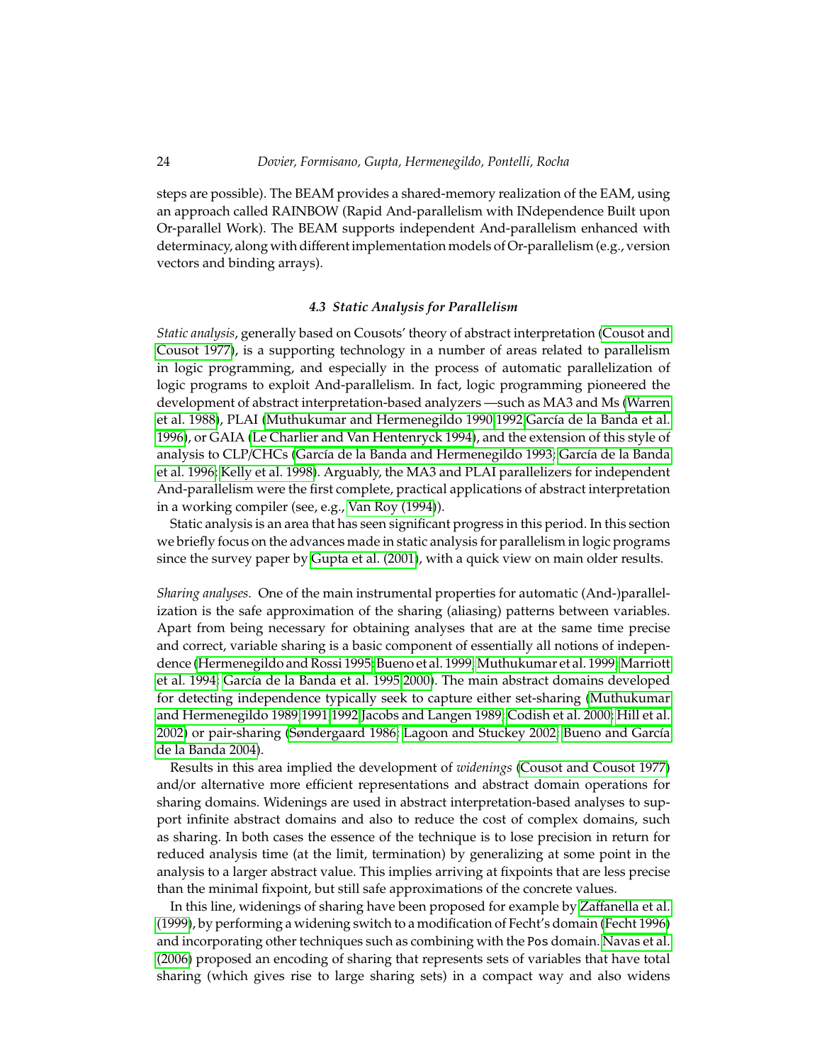steps are possible). The BEAM provides a shared-memory realization of the EAM, using an approach called RAINBOW (Rapid And-parallelism with INdependence Built upon Or-parallel Work). The BEAM supports independent And-parallelism enhanced with determinacy, along with different implementation models of Or-parallelism (e.g., version vectors and binding arrays).

#### *4.3 Static Analysis for Parallelism*

<span id="page-23-0"></span>*Static analysis*, generally based on Cousots' theory of abstract interpretation [\(Cousot and](#page-54-4) [Cousot 1977\)](#page-54-4), is a supporting technology in a number of areas related to parallelism in logic programming, and especially in the process of automatic parallelization of logic programs to exploit And-parallelism. In fact, logic programming pioneered the development of abstract interpretation-based analyzers —such as MA3 and Ms [\(Warren](#page-67-4) [et al. 1988\)](#page-67-4), PLAI [\(Muthukumar and Hermenegildo 1990;](#page-62-2)[1992;](#page-62-3)García de la Banda et al. [1996\)](#page-56-4), or GAIA [\(Le Charlier and Van Hentenryck 1994\)](#page-59-2), and the extension of this style of analysis to CLP/CHCs (García de la Banda and Hermenegildo 1993; García de la Banda [et al. 1996;](#page-56-4) [Kelly et al. 1998\)](#page-59-3). Arguably, the MA3 and PLAI parallelizers for independent And-parallelism were the first complete, practical applications of abstract interpretation in a working compiler (see, e.g., [Van Roy \(1994\)](#page-66-9)).

Static analysis is an area that has seen significant progress in this period. In this section we briefly focus on the advances made in static analysis for parallelism in logic programs since the survey paper by [Gupta et al. \(2001\)](#page-57-0), with a quick view on main older results.

*Sharing analyses.* One of the main instrumental properties for automatic (And-)parallelization is the safe approximation of the sharing (aliasing) patterns between variables. Apart from being necessary for obtaining analyses that are at the same time precise and correct, variable sharing is a basic component of essentially all notions of independence [\(Hermenegildo and Rossi 1995;](#page-58-5) [Bueno et al. 1999;](#page-52-5)[Muthukumar et al. 1999;](#page-62-1)[Marriott](#page-61-0) [et al. 1994;](#page-61-0) García de la Banda et al. 1995[;2000\)](#page-56-3). The main abstract domains developed for detecting independence typically seek to capture either set-sharing [\(Muthukumar](#page-62-4) [and Hermenegildo 1989;](#page-62-4)[1991](#page-62-5)[;1992](#page-62-3)[;Jacobs and Langen 1989;](#page-58-7) [Codish et al. 2000;](#page-53-8) [Hill et al.](#page-58-8) [2002\)](#page-58-8) or pair-sharing [\(Søndergaard 1986;](#page-65-6) [Lagoon and Stuckey 2002;](#page-59-4) Bueno and García [de la Banda 2004\)](#page-52-11).

Results in this area implied the development of *widenings* [\(Cousot and Cousot 1977\)](#page-54-4) and/or alternative more efficient representations and abstract domain operations for sharing domains. Widenings are used in abstract interpretation-based analyses to support infinite abstract domains and also to reduce the cost of complex domains, such as sharing. In both cases the essence of the technique is to lose precision in return for reduced analysis time (at the limit, termination) by generalizing at some point in the analysis to a larger abstract value. This implies arriving at fixpoints that are less precise than the minimal fixpoint, but still safe approximations of the concrete values.

In this line, widenings of sharing have been proposed for example by Zaff[anella et al.](#page-67-5) [\(1999\)](#page-67-5), by performing a widening switch to a modification of Fecht's domain [\(Fecht 1996\)](#page-55-3) and incorporating other techniques such as combining with the Pos domain. [Navas et al.](#page-62-6) [\(2006\)](#page-62-6) proposed an encoding of sharing that represents sets of variables that have total sharing (which gives rise to large sharing sets) in a compact way and also widens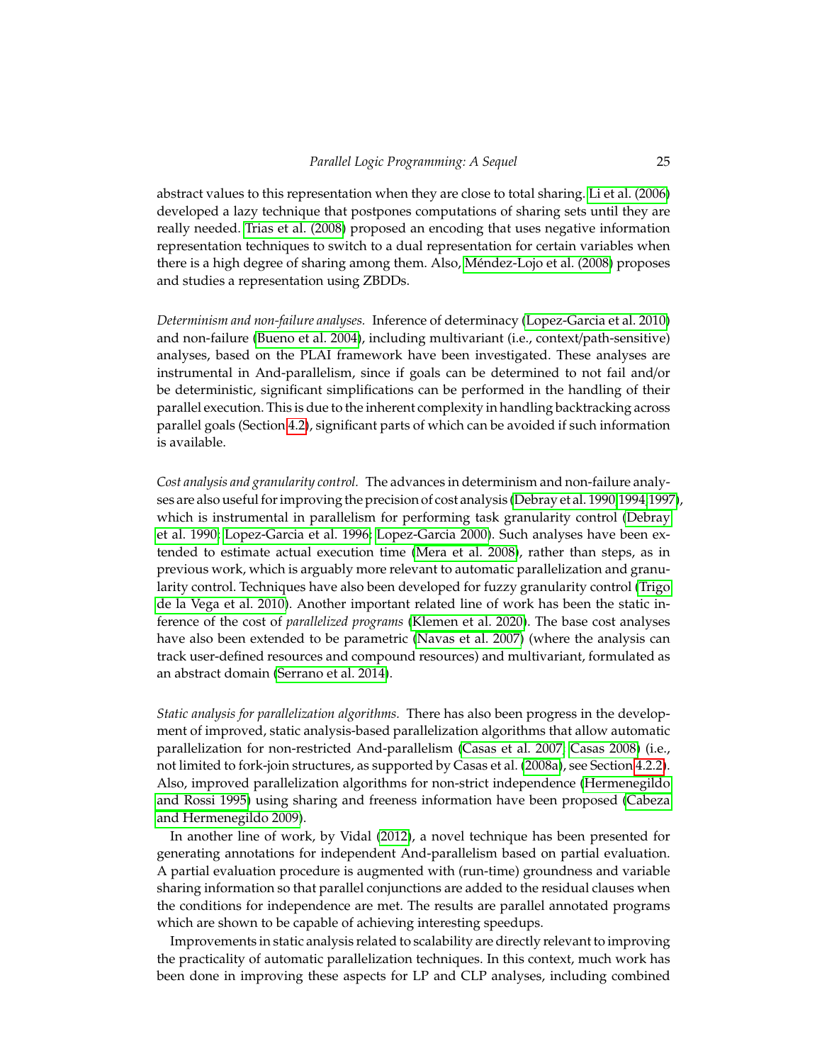abstract values to this representation when they are close to total sharing. [Li et al. \(2006\)](#page-59-5) developed a lazy technique that postpones computations of sharing sets until they are really needed. [Trias et al. \(2008\)](#page-66-10) proposed an encoding that uses negative information representation techniques to switch to a dual representation for certain variables when there is a high degree of sharing among them. Also, [Mendez-Lojo et al. \(2008\)](#page-61-1) proposes ´ and studies a representation using ZBDDs.

*Determinism and non-failure analyses.* Inference of determinacy [\(Lopez-Garcia et al. 2010\)](#page-60-5) and non-failure [\(Bueno et al. 2004\)](#page-52-12), including multivariant (i.e., context/path-sensitive) analyses, based on the PLAI framework have been investigated. These analyses are instrumental in And-parallelism, since if goals can be determined to not fail and/or be deterministic, significant simplifications can be performed in the handling of their parallel execution. This is due to the inherent complexity in handling backtracking across parallel goals (Section [4.2\)](#page-18-0), significant parts of which can be avoided if such information is available.

*Cost analysis and granularity control.* The advances in determinism and non-failure analyses are also useful for improving the precision of cost analysis [\(Debray et al. 1990](#page-54-5)[;1994](#page-54-6)[;1997\)](#page-54-7), which is instrumental in parallelism for performing task granularity control [\(Debray](#page-54-5) [et al. 1990;](#page-54-5) [Lopez-Garcia et al. 1996;](#page-60-6) [Lopez-Garcia 2000\)](#page-60-7). Such analyses have been extended to estimate actual execution time [\(Mera et al. 2008\)](#page-61-2), rather than steps, as in previous work, which is arguably more relevant to automatic parallelization and granularity control. Techniques have also been developed for fuzzy granularity control [\(Trigo](#page-66-11) [de la Vega et al. 2010\)](#page-66-11). Another important related line of work has been the static inference of the cost of *parallelized programs* [\(Klemen et al. 2020\)](#page-59-6). The base cost analyses have also been extended to be parametric [\(Navas et al. 2007\)](#page-62-7) (where the analysis can track user-defined resources and compound resources) and multivariant, formulated as an abstract domain [\(Serrano et al. 2014\)](#page-64-8).

*Static analysis for parallelization algorithms.* There has also been progress in the development of improved, static analysis-based parallelization algorithms that allow automatic parallelization for non-restricted And-parallelism [\(Casas et al. 2007;](#page-53-9) [Casas 2008\)](#page-53-5) (i.e., not limited to fork-join structures, as supported by Casas et al. [\(2008a\)](#page-53-6), see Section [4.2.2\)](#page-19-1). Also, improved parallelization algorithms for non-strict independence [\(Hermenegildo](#page-58-5) [and Rossi 1995\)](#page-58-5) using sharing and freeness information have been proposed [\(Cabeza](#page-52-13) [and Hermenegildo 2009\)](#page-52-13).

In another line of work, by Vidal [\(2012\)](#page-66-12), a novel technique has been presented for generating annotations for independent And-parallelism based on partial evaluation. A partial evaluation procedure is augmented with (run-time) groundness and variable sharing information so that parallel conjunctions are added to the residual clauses when the conditions for independence are met. The results are parallel annotated programs which are shown to be capable of achieving interesting speedups.

Improvements in static analysis related to scalability are directly relevant to improving the practicality of automatic parallelization techniques. In this context, much work has been done in improving these aspects for LP and CLP analyses, including combined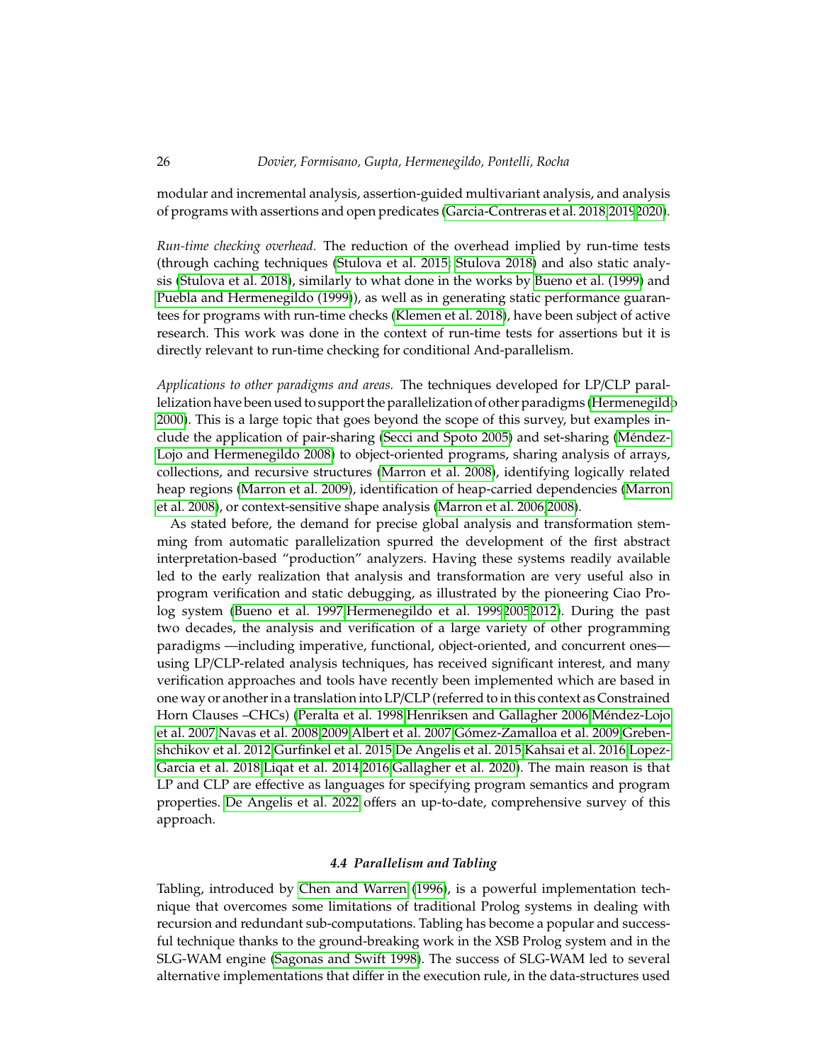# 26 *Dovier, Formisano, Gupta, Hermenegildo, Pontelli, Rocha*

modular and incremental analysis, assertion-guided multivariant analysis, and analysis of programs with assertions and open predicates [\(Garcia-Contreras et al. 2018;](#page-56-7)[2019](#page-56-8)[2020\)](#page-56-9).

*Run-time checking overhead.* The reduction of the overhead implied by run-time tests (through caching techniques [\(Stulova et al. 2015;](#page-65-7) [Stulova 2018\)](#page-65-8) and also static analysis [\(Stulova et al. 2018\)](#page-65-9), similarly to what done in the works by [Bueno et al. \(1999\)](#page-52-5) and [Puebla and Hermenegildo \(1999\)](#page-63-14)), as well as in generating static performance guarantees for programs with run-time checks [\(Klemen et al. 2018\)](#page-59-7), have been subject of active research. This work was done in the context of run-time tests for assertions but it is directly relevant to run-time checking for conditional And-parallelism.

*Applications to other paradigms and areas.* The techniques developed for LP/CLP parallelization have been used to support the parallelization of other paradigms [\(Hermenegildo](#page-58-9) [2000\)](#page-58-9). This is a large topic that goes beyond the scope of this survey, but examples include the application of pair-sharing [\(Secci and Spoto 2005\)](#page-64-9) and set-sharing [\(Mendez-](#page-61-3) ´ [Lojo and Hermenegildo 2008\)](#page-61-3) to object-oriented programs, sharing analysis of arrays, collections, and recursive structures [\(Marron et al. 2008\)](#page-61-4), identifying logically related heap regions [\(Marron et al. 2009\)](#page-61-5), identification of heap-carried dependencies [\(Marron](#page-61-6) [et al. 2008\)](#page-61-6), or context-sensitive shape analysis [\(Marron et al. 2006](#page-61-7)[;2008\)](#page-61-8).

As stated before, the demand for precise global analysis and transformation stemming from automatic parallelization spurred the development of the first abstract interpretation-based "production" analyzers. Having these systems readily available led to the early realization that analysis and transformation are very useful also in program verification and static debugging, as illustrated by the pioneering Ciao Prolog system [\(Bueno et al. 1997;](#page-52-14)[Hermenegildo et al. 1999](#page-58-10)[2005](#page-58-11)[2012\)](#page-58-0). During the past two decades, the analysis and verification of a large variety of other programming paradigms —including imperative, functional, object-oriented, and concurrent ones using LP/CLP-related analysis techniques, has received significant interest, and many verification approaches and tools have recently been implemented which are based in one way or another in a translation into LP/CLP (referred to in this context as Constrained Horn Clauses –CHCs) [\(Peralta et al. 1998](#page-62-8)[;Henriksen and Gallagher 2006](#page-57-12);Méndez-Lojo [et al. 2007](#page-61-9)[;Navas et al. 2008;](#page-62-9)[2009](#page-62-10)[;Albert et al. 2007;](#page-51-8)[Gomez-Zamalloa et al. 2009](#page-57-13)[;Greben-](#page-57-14) ´ [shchikov et al. 2012](#page-57-14)[;Gurfinkel et al. 2015;](#page-57-15)[De Angelis et al. 2015](#page-54-8)[;Kahsai et al. 2016](#page-59-8)[;Lopez-](#page-60-8)[Garcia et al. 2018](#page-60-8)[;Liqat et al. 2014;](#page-60-9)[2016](#page-60-10)[;Gallagher et al. 2020\)](#page-56-10). The main reason is that LP and CLP are effective as languages for specifying program semantics and program properties. [De Angelis et al. 2022](#page-54-9) offers an up-to-date, comprehensive survey of this approach.

# *4.4 Parallelism and Tabling*

<span id="page-25-0"></span>Tabling, introduced by [Chen and Warren](#page-53-10) [\(1996\)](#page-53-10), is a powerful implementation technique that overcomes some limitations of traditional Prolog systems in dealing with recursion and redundant sub-computations. Tabling has become a popular and successful technique thanks to the ground-breaking work in the XSB Prolog system and in the SLG-WAM engine [\(Sagonas and Swift 1998\)](#page-64-10). The success of SLG-WAM led to several alternative implementations that differ in the execution rule, in the data-structures used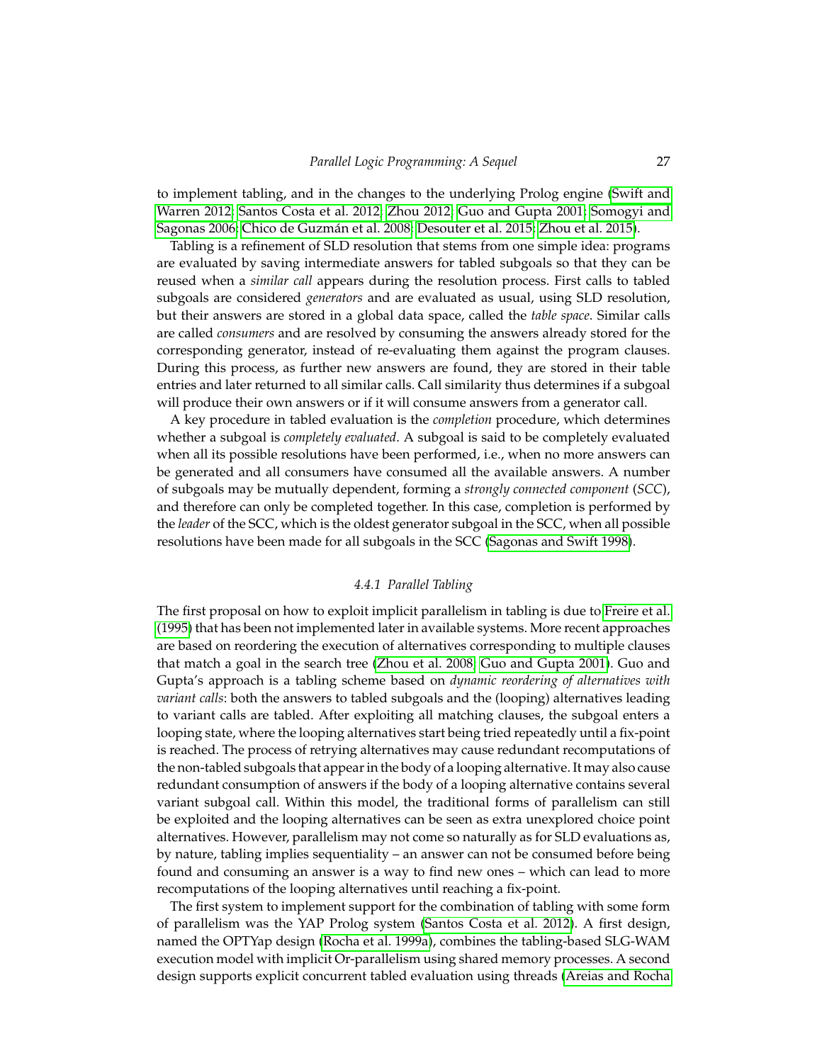to implement tabling, and in the changes to the underlying Prolog engine [\(Swift and](#page-65-0) [Warren 2012;](#page-65-0) [Santos Costa et al. 2012;](#page-64-0) [Zhou 2012;](#page-67-6) [Guo and Gupta 2001;](#page-57-16) [Somogyi and](#page-65-10) [Sagonas 2006;](#page-65-10) Chico de Guzmán et al. 2008; [Desouter et al. 2015;](#page-54-10) [Zhou et al. 2015\)](#page-67-7).

Tabling is a refinement of SLD resolution that stems from one simple idea: programs are evaluated by saving intermediate answers for tabled subgoals so that they can be reused when a *similar call* appears during the resolution process. First calls to tabled subgoals are considered *generators* and are evaluated as usual, using SLD resolution, but their answers are stored in a global data space, called the *table space*. Similar calls are called *consumers* and are resolved by consuming the answers already stored for the corresponding generator, instead of re-evaluating them against the program clauses. During this process, as further new answers are found, they are stored in their table entries and later returned to all similar calls. Call similarity thus determines if a subgoal will produce their own answers or if it will consume answers from a generator call.

A key procedure in tabled evaluation is the *completion* procedure, which determines whether a subgoal is *completely evaluated*. A subgoal is said to be completely evaluated when all its possible resolutions have been performed, i.e., when no more answers can be generated and all consumers have consumed all the available answers. A number of subgoals may be mutually dependent, forming a *strongly connected component* (*SCC*), and therefore can only be completed together. In this case, completion is performed by the *leader* of the SCC, which is the oldest generator subgoal in the SCC, when all possible resolutions have been made for all subgoals in the SCC [\(Sagonas and Swift 1998\)](#page-64-10).

# *4.4.1 Parallel Tabling*

The first proposal on how to exploit implicit parallelism in tabling is due to [Freire et al.](#page-55-4) [\(1995\)](#page-55-4) that has been not implemented later in available systems. More recent approaches are based on reordering the execution of alternatives corresponding to multiple clauses that match a goal in the search tree [\(Zhou et al. 2008;](#page-67-8) [Guo and Gupta 2001\)](#page-57-16). Guo and Gupta's approach is a tabling scheme based on *dynamic reordering of alternatives with variant calls*: both the answers to tabled subgoals and the (looping) alternatives leading to variant calls are tabled. After exploiting all matching clauses, the subgoal enters a looping state, where the looping alternatives start being tried repeatedly until a fix-point is reached. The process of retrying alternatives may cause redundant recomputations of the non-tabled subgoals that appear in the body of a looping alternative. It may also cause redundant consumption of answers if the body of a looping alternative contains several variant subgoal call. Within this model, the traditional forms of parallelism can still be exploited and the looping alternatives can be seen as extra unexplored choice point alternatives. However, parallelism may not come so naturally as for SLD evaluations as, by nature, tabling implies sequentiality – an answer can not be consumed before being found and consuming an answer is a way to find new ones – which can lead to more recomputations of the looping alternatives until reaching a fix-point.

The first system to implement support for the combination of tabling with some form of parallelism was the YAP Prolog system [\(Santos Costa et al. 2012\)](#page-64-0). A first design, named the OPTYap design [\(Rocha et al. 1999a\)](#page-64-11), combines the tabling-based SLG-WAM execution model with implicit Or-parallelism using shared memory processes. A second design supports explicit concurrent tabled evaluation using threads [\(Areias and Rocha](#page-51-9)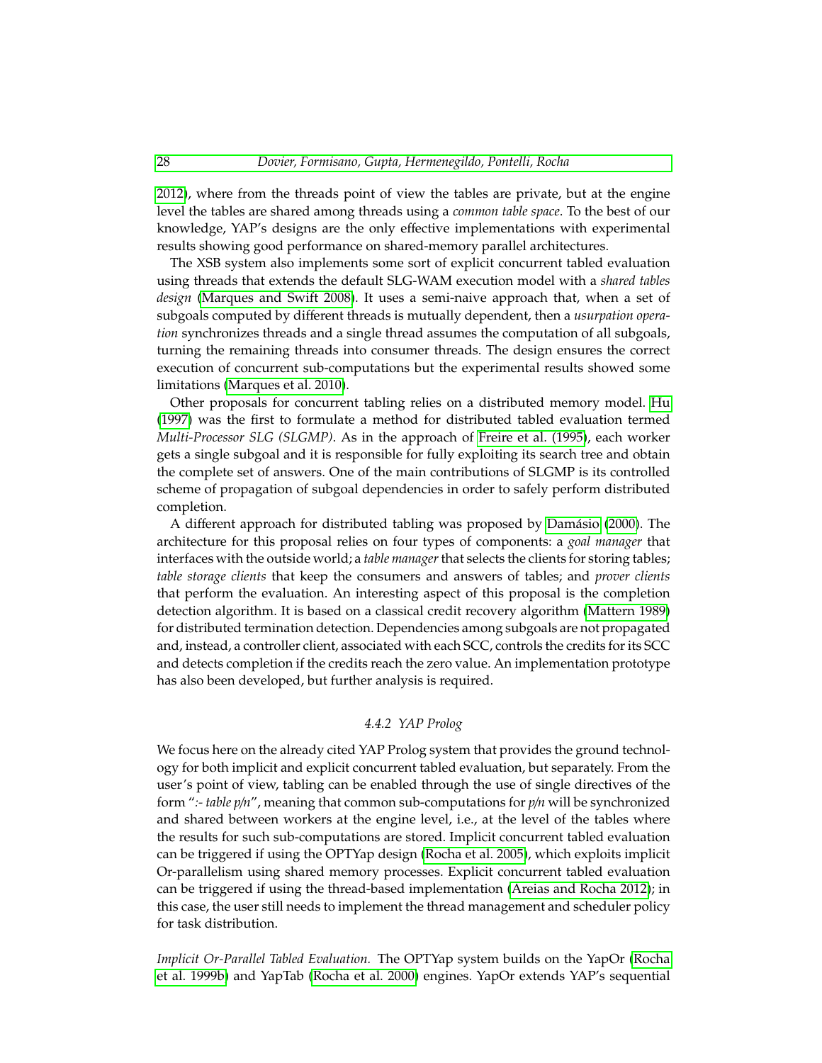## 28 *[Dovier, Formisano, Gupta, Hermenegildo, Pontelli, Rocha](#page-51-9)*

[2012\)](#page-51-9), where from the threads point of view the tables are private, but at the engine level the tables are shared among threads using a *common table space*. To the best of our knowledge, YAP's designs are the only effective implementations with experimental results showing good performance on shared-memory parallel architectures.

The XSB system also implements some sort of explicit concurrent tabled evaluation using threads that extends the default SLG-WAM execution model with a *shared tables design* [\(Marques and Swift 2008\)](#page-61-10). It uses a semi-naive approach that, when a set of subgoals computed by different threads is mutually dependent, then a *usurpation operation* synchronizes threads and a single thread assumes the computation of all subgoals, turning the remaining threads into consumer threads. The design ensures the correct execution of concurrent sub-computations but the experimental results showed some limitations [\(Marques et al. 2010\)](#page-61-11).

Other proposals for concurrent tabling relies on a distributed memory model. [Hu](#page-58-12) [\(1997\)](#page-58-12) was the first to formulate a method for distributed tabled evaluation termed *Multi-Processor SLG (SLGMP)*. As in the approach of [Freire et al. \(1995\)](#page-55-4), each worker gets a single subgoal and it is responsible for fully exploiting its search tree and obtain the complete set of answers. One of the main contributions of SLGMP is its controlled scheme of propagation of subgoal dependencies in order to safely perform distributed completion.

A different approach for distributed tabling was proposed by Damásio [\(2000\)](#page-54-11). The architecture for this proposal relies on four types of components: a *goal manager* that interfaces with the outside world; a *table manager*that selects the clients for storing tables; *table storage clients* that keep the consumers and answers of tables; and *prover clients* that perform the evaluation. An interesting aspect of this proposal is the completion detection algorithm. It is based on a classical credit recovery algorithm [\(Mattern 1989\)](#page-61-12) for distributed termination detection. Dependencies among subgoals are not propagated and, instead, a controller client, associated with each SCC, controls the credits for its SCC and detects completion if the credits reach the zero value. An implementation prototype has also been developed, but further analysis is required.

# *4.4.2 YAP Prolog*

We focus here on the already cited YAP Prolog system that provides the ground technology for both implicit and explicit concurrent tabled evaluation, but separately. From the user's point of view, tabling can be enabled through the use of single directives of the form "*:- table p*/*n*", meaning that common sub-computations for *p*/*n* will be synchronized and shared between workers at the engine level, i.e., at the level of the tables where the results for such sub-computations are stored. Implicit concurrent tabled evaluation can be triggered if using the OPTYap design [\(Rocha et al. 2005\)](#page-64-12), which exploits implicit Or-parallelism using shared memory processes. Explicit concurrent tabled evaluation can be triggered if using the thread-based implementation [\(Areias and Rocha 2012\)](#page-51-9); in this case, the user still needs to implement the thread management and scheduler policy for task distribution.

*Implicit Or-Parallel Tabled Evaluation.* The OPTYap system builds on the YapOr [\(Rocha](#page-64-5) [et al. 1999b\)](#page-64-5) and YapTab [\(Rocha et al. 2000\)](#page-64-13) engines. YapOr extends YAP's sequential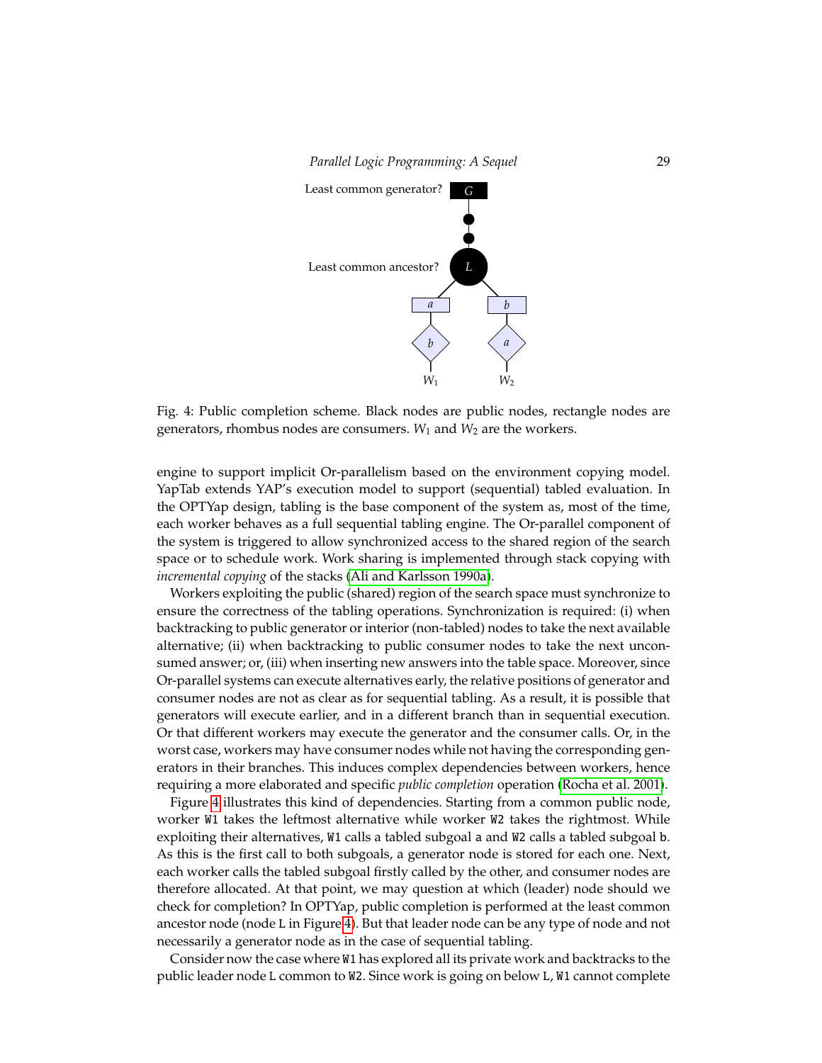<span id="page-28-0"></span>

Fig. 4: Public completion scheme. Black nodes are public nodes, rectangle nodes are generators, rhombus nodes are consumers.  $W_1$  and  $W_2$  are the workers.

engine to support implicit Or-parallelism based on the environment copying model. YapTab extends YAP's execution model to support (sequential) tabled evaluation. In the OPTYap design, tabling is the base component of the system as, most of the time, each worker behaves as a full sequential tabling engine. The Or-parallel component of the system is triggered to allow synchronized access to the shared region of the search space or to schedule work. Work sharing is implemented through stack copying with *incremental copying* of the stacks [\(Ali and Karlsson 1990a\)](#page-51-4).

Workers exploiting the public (shared) region of the search space must synchronize to ensure the correctness of the tabling operations. Synchronization is required: (i) when backtracking to public generator or interior (non-tabled) nodes to take the next available alternative; (ii) when backtracking to public consumer nodes to take the next unconsumed answer; or, (iii) when inserting new answers into the table space. Moreover, since Or-parallel systems can execute alternatives early, the relative positions of generator and consumer nodes are not as clear as for sequential tabling. As a result, it is possible that generators will execute earlier, and in a different branch than in sequential execution. Or that different workers may execute the generator and the consumer calls. Or, in the worst case, workers may have consumer nodes while not having the corresponding generators in their branches. This induces complex dependencies between workers, hence requiring a more elaborated and specific *public completion* operation [\(Rocha et al. 2001\)](#page-64-14).

Figure [4](#page-28-0) illustrates this kind of dependencies. Starting from a common public node, worker W1 takes the leftmost alternative while worker W2 takes the rightmost. While exploiting their alternatives, W1 calls a tabled subgoal a and W2 calls a tabled subgoal b. As this is the first call to both subgoals, a generator node is stored for each one. Next, each worker calls the tabled subgoal firstly called by the other, and consumer nodes are therefore allocated. At that point, we may question at which (leader) node should we check for completion? In OPTYap, public completion is performed at the least common ancestor node (node L in Figure [4\)](#page-28-0). But that leader node can be any type of node and not necessarily a generator node as in the case of sequential tabling.

Consider now the case where W1 has explored all its private work and backtracks to the public leader node L common to W2. Since work is going on below L, W1 cannot complete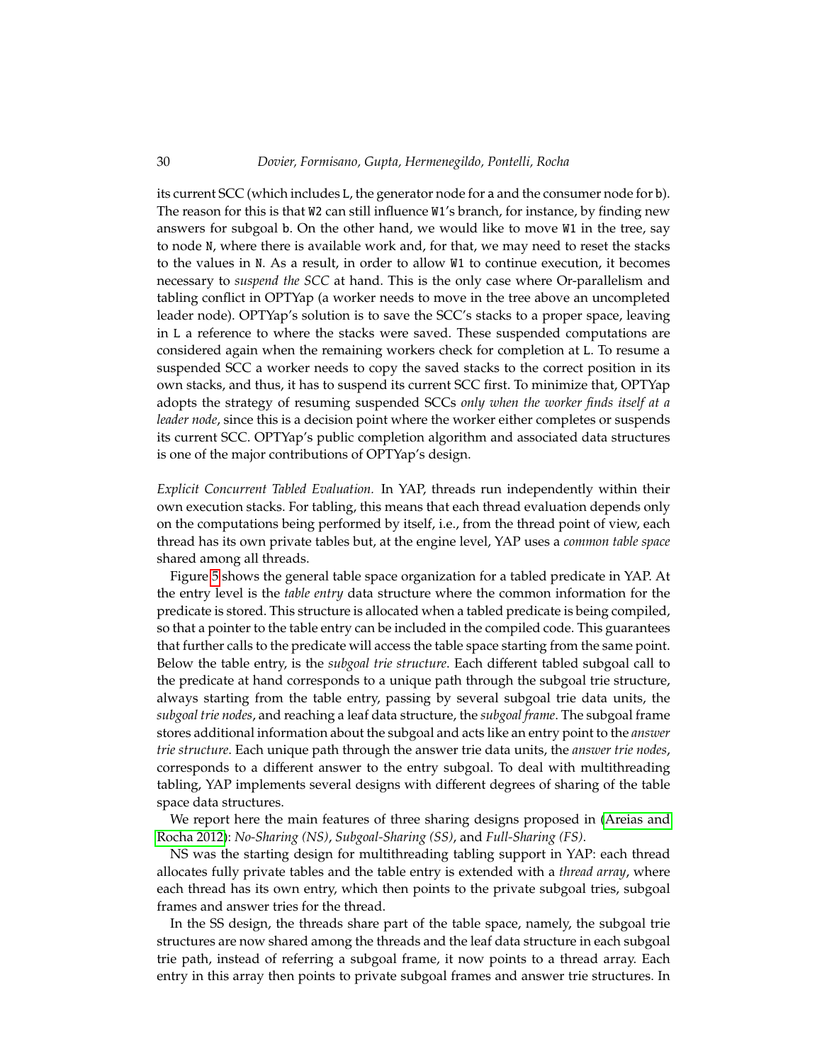## 30 *Dovier, Formisano, Gupta, Hermenegildo, Pontelli, Rocha*

its current SCC (which includes L, the generator node for a and the consumer node for b). The reason for this is that W2 can still influence W1's branch, for instance, by finding new answers for subgoal b. On the other hand, we would like to move W1 in the tree, say to node N, where there is available work and, for that, we may need to reset the stacks to the values in N. As a result, in order to allow W1 to continue execution, it becomes necessary to *suspend the SCC* at hand. This is the only case where Or-parallelism and tabling conflict in OPTYap (a worker needs to move in the tree above an uncompleted leader node). OPTYap's solution is to save the SCC's stacks to a proper space, leaving in L a reference to where the stacks were saved. These suspended computations are considered again when the remaining workers check for completion at L. To resume a suspended SCC a worker needs to copy the saved stacks to the correct position in its own stacks, and thus, it has to suspend its current SCC first. To minimize that, OPTYap adopts the strategy of resuming suspended SCCs *only when the worker finds itself at a leader node*, since this is a decision point where the worker either completes or suspends its current SCC. OPTYap's public completion algorithm and associated data structures is one of the major contributions of OPTYap's design.

*Explicit Concurrent Tabled Evaluation.* In YAP, threads run independently within their own execution stacks. For tabling, this means that each thread evaluation depends only on the computations being performed by itself, i.e., from the thread point of view, each thread has its own private tables but, at the engine level, YAP uses a *common table space* shared among all threads.

Figure [5](#page-30-0) shows the general table space organization for a tabled predicate in YAP. At the entry level is the *table entry* data structure where the common information for the predicate is stored. This structure is allocated when a tabled predicate is being compiled, so that a pointer to the table entry can be included in the compiled code. This guarantees that further calls to the predicate will access the table space starting from the same point. Below the table entry, is the *subgoal trie structure*. Each different tabled subgoal call to the predicate at hand corresponds to a unique path through the subgoal trie structure, always starting from the table entry, passing by several subgoal trie data units, the *subgoal trie nodes*, and reaching a leaf data structure, the *subgoal frame*. The subgoal frame stores additional information about the subgoal and acts like an entry point to the *answer trie structure*. Each unique path through the answer trie data units, the *answer trie nodes*, corresponds to a different answer to the entry subgoal. To deal with multithreading tabling, YAP implements several designs with different degrees of sharing of the table space data structures.

We report here the main features of three sharing designs proposed in [\(Areias and](#page-51-9) [Rocha 2012\)](#page-51-9): *No-Sharing (NS)*, *Subgoal-Sharing (SS)*, and *Full-Sharing (FS)*.

NS was the starting design for multithreading tabling support in YAP: each thread allocates fully private tables and the table entry is extended with a *thread array*, where each thread has its own entry, which then points to the private subgoal tries, subgoal frames and answer tries for the thread.

In the SS design, the threads share part of the table space, namely, the subgoal trie structures are now shared among the threads and the leaf data structure in each subgoal trie path, instead of referring a subgoal frame, it now points to a thread array. Each entry in this array then points to private subgoal frames and answer trie structures. In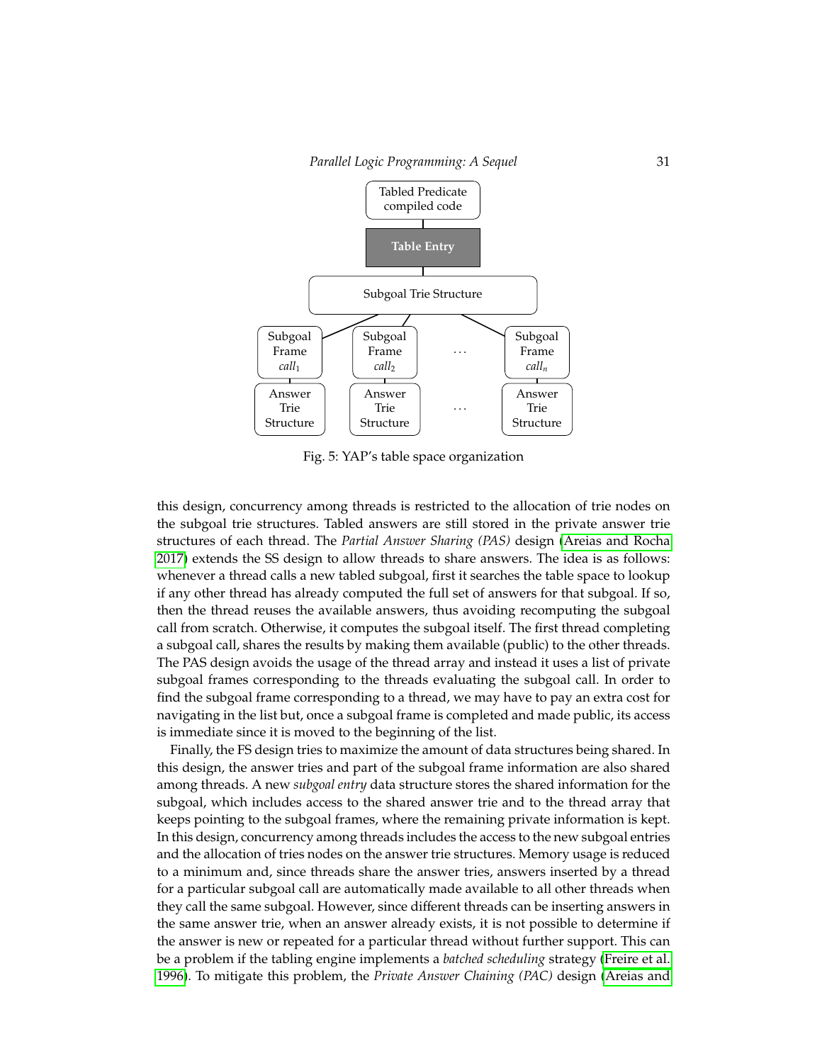<span id="page-30-0"></span>

Fig. 5: YAP's table space organization

this design, concurrency among threads is restricted to the allocation of trie nodes on the subgoal trie structures. Tabled answers are still stored in the private answer trie structures of each thread. The *Partial Answer Sharing (PAS)* design [\(Areias and Rocha](#page-51-10) [2017\)](#page-51-10) extends the SS design to allow threads to share answers. The idea is as follows: whenever a thread calls a new tabled subgoal, first it searches the table space to lookup if any other thread has already computed the full set of answers for that subgoal. If so, then the thread reuses the available answers, thus avoiding recomputing the subgoal call from scratch. Otherwise, it computes the subgoal itself. The first thread completing a subgoal call, shares the results by making them available (public) to the other threads. The PAS design avoids the usage of the thread array and instead it uses a list of private subgoal frames corresponding to the threads evaluating the subgoal call. In order to find the subgoal frame corresponding to a thread, we may have to pay an extra cost for navigating in the list but, once a subgoal frame is completed and made public, its access is immediate since it is moved to the beginning of the list.

Finally, the FS design tries to maximize the amount of data structures being shared. In this design, the answer tries and part of the subgoal frame information are also shared among threads. A new *subgoal entry* data structure stores the shared information for the subgoal, which includes access to the shared answer trie and to the thread array that keeps pointing to the subgoal frames, where the remaining private information is kept. In this design, concurrency among threads includes the access to the new subgoal entries and the allocation of tries nodes on the answer trie structures. Memory usage is reduced to a minimum and, since threads share the answer tries, answers inserted by a thread for a particular subgoal call are automatically made available to all other threads when they call the same subgoal. However, since different threads can be inserting answers in the same answer trie, when an answer already exists, it is not possible to determine if the answer is new or repeated for a particular thread without further support. This can be a problem if the tabling engine implements a *batched scheduling* strategy [\(Freire et al.](#page-56-11) [1996\)](#page-56-11). To mitigate this problem, the *Private Answer Chaining (PAC)* design [\(Areias and](#page-51-11)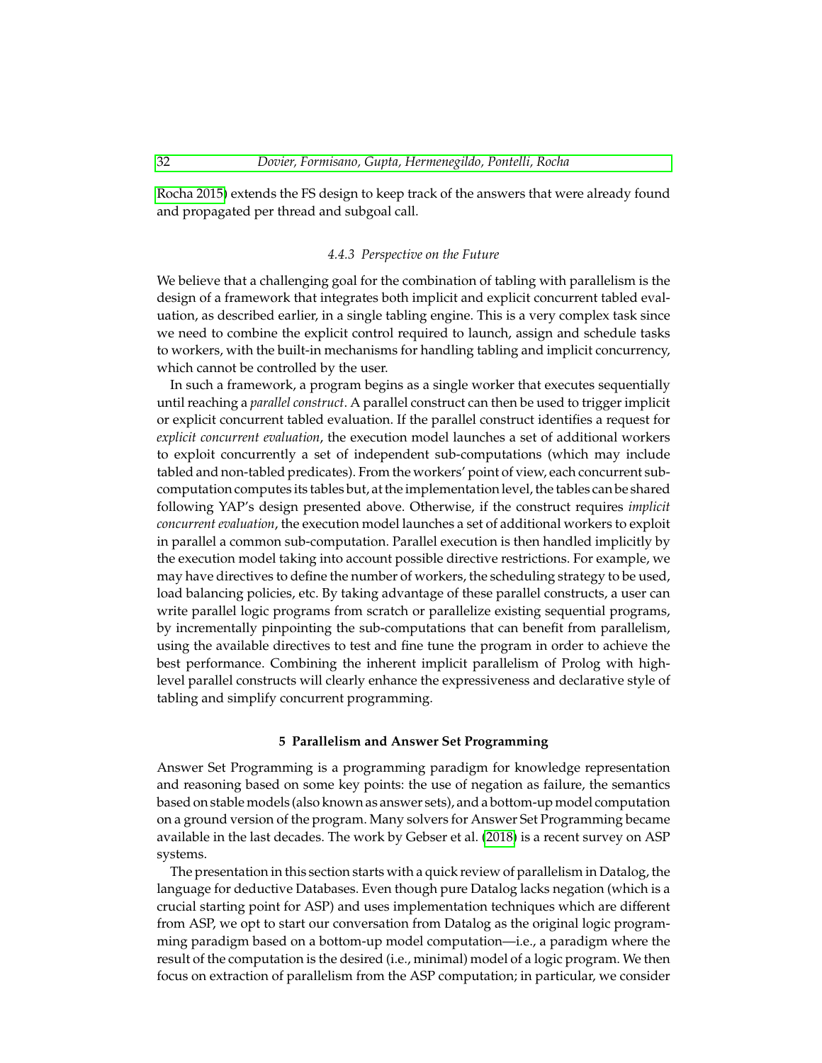[Rocha 2015\)](#page-51-11) extends the FS design to keep track of the answers that were already found and propagated per thread and subgoal call.

#### *4.4.3 Perspective on the Future*

We believe that a challenging goal for the combination of tabling with parallelism is the design of a framework that integrates both implicit and explicit concurrent tabled evaluation, as described earlier, in a single tabling engine. This is a very complex task since we need to combine the explicit control required to launch, assign and schedule tasks to workers, with the built-in mechanisms for handling tabling and implicit concurrency, which cannot be controlled by the user.

In such a framework, a program begins as a single worker that executes sequentially until reaching a *parallel construct*. A parallel construct can then be used to trigger implicit or explicit concurrent tabled evaluation. If the parallel construct identifies a request for *explicit concurrent evaluation*, the execution model launches a set of additional workers to exploit concurrently a set of independent sub-computations (which may include tabled and non-tabled predicates). From the workers' point of view, each concurrent subcomputation computes its tables but, at the implementation level, the tables can be shared following YAP's design presented above. Otherwise, if the construct requires *implicit concurrent evaluation*, the execution model launches a set of additional workers to exploit in parallel a common sub-computation. Parallel execution is then handled implicitly by the execution model taking into account possible directive restrictions. For example, we may have directives to define the number of workers, the scheduling strategy to be used, load balancing policies, etc. By taking advantage of these parallel constructs, a user can write parallel logic programs from scratch or parallelize existing sequential programs, by incrementally pinpointing the sub-computations that can benefit from parallelism, using the available directives to test and fine tune the program in order to achieve the best performance. Combining the inherent implicit parallelism of Prolog with highlevel parallel constructs will clearly enhance the expressiveness and declarative style of tabling and simplify concurrent programming.

## **5 Parallelism and Answer Set Programming**

<span id="page-31-0"></span>Answer Set Programming is a programming paradigm for knowledge representation and reasoning based on some key points: the use of negation as failure, the semantics based on stable models (also known as answer sets), and a bottom-up model computation on a ground version of the program. Many solvers for Answer Set Programming became available in the last decades. The work by Gebser et al. [\(2018\)](#page-56-12) is a recent survey on ASP systems.

The presentation in this section starts with a quick review of parallelism in Datalog, the language for deductive Databases. Even though pure Datalog lacks negation (which is a crucial starting point for ASP) and uses implementation techniques which are different from ASP, we opt to start our conversation from Datalog as the original logic programming paradigm based on a bottom-up model computation—i.e., a paradigm where the result of the computation is the desired (i.e., minimal) model of a logic program. We then focus on extraction of parallelism from the ASP computation; in particular, we consider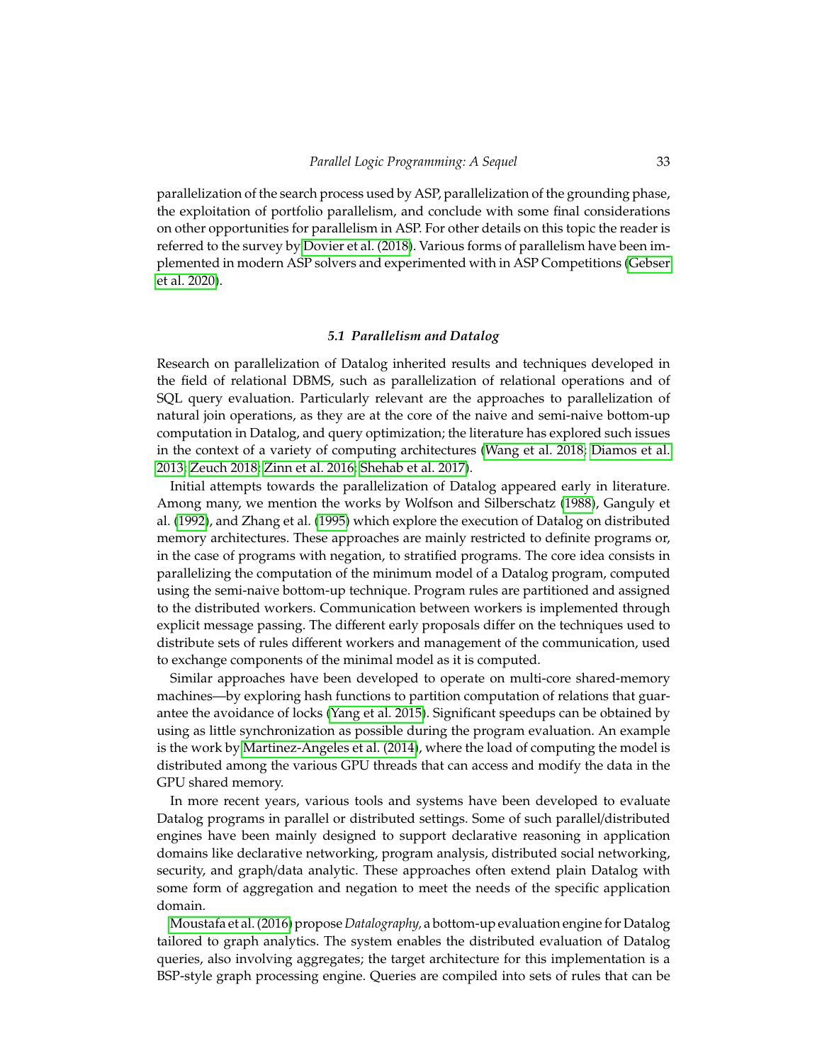parallelization of the search process used by ASP, parallelization of the grounding phase, the exploitation of portfolio parallelism, and conclude with some final considerations on other opportunities for parallelism in ASP. For other details on this topic the reader is referred to the survey by [Dovier et al. \(2018\)](#page-54-12). Various forms of parallelism have been implemented in modern ASP solvers and experimented with in ASP Competitions [\(Gebser](#page-57-17) [et al. 2020\)](#page-57-17).

# *5.1 Parallelism and Datalog*

<span id="page-32-0"></span>Research on parallelization of Datalog inherited results and techniques developed in the field of relational DBMS, such as parallelization of relational operations and of SQL query evaluation. Particularly relevant are the approaches to parallelization of natural join operations, as they are at the core of the naive and semi-naive bottom-up computation in Datalog, and query optimization; the literature has explored such issues in the context of a variety of computing architectures [\(Wang et al. 2018;](#page-66-13) [Diamos et al.](#page-54-13) [2013;](#page-54-13) [Zeuch 2018;](#page-67-9) [Zinn et al. 2016;](#page-67-10) [Shehab et al. 2017\)](#page-65-11).

Initial attempts towards the parallelization of Datalog appeared early in literature. Among many, we mention the works by Wolfson and Silberschatz [\(1988\)](#page-67-11), Ganguly et al. [\(1992\)](#page-56-13), and Zhang et al. [\(1995\)](#page-67-12) which explore the execution of Datalog on distributed memory architectures. These approaches are mainly restricted to definite programs or, in the case of programs with negation, to stratified programs. The core idea consists in parallelizing the computation of the minimum model of a Datalog program, computed using the semi-naive bottom-up technique. Program rules are partitioned and assigned to the distributed workers. Communication between workers is implemented through explicit message passing. The different early proposals differ on the techniques used to distribute sets of rules different workers and management of the communication, used to exchange components of the minimal model as it is computed.

Similar approaches have been developed to operate on multi-core shared-memory machines—by exploring hash functions to partition computation of relations that guarantee the avoidance of locks [\(Yang et al. 2015\)](#page-67-13). Significant speedups can be obtained by using as little synchronization as possible during the program evaluation. An example is the work by [Martinez-Angeles et al. \(2014\)](#page-61-13), where the load of computing the model is distributed among the various GPU threads that can access and modify the data in the GPU shared memory.

In more recent years, various tools and systems have been developed to evaluate Datalog programs in parallel or distributed settings. Some of such parallel/distributed engines have been mainly designed to support declarative reasoning in application domains like declarative networking, program analysis, distributed social networking, security, and graph/data analytic. These approaches often extend plain Datalog with some form of aggregation and negation to meet the needs of the specific application domain.

[Moustafa et al. \(2016\)](#page-62-11) propose *Datalography,* a bottom-up evaluation engine for Datalog tailored to graph analytics. The system enables the distributed evaluation of Datalog queries, also involving aggregates; the target architecture for this implementation is a BSP-style graph processing engine. Queries are compiled into sets of rules that can be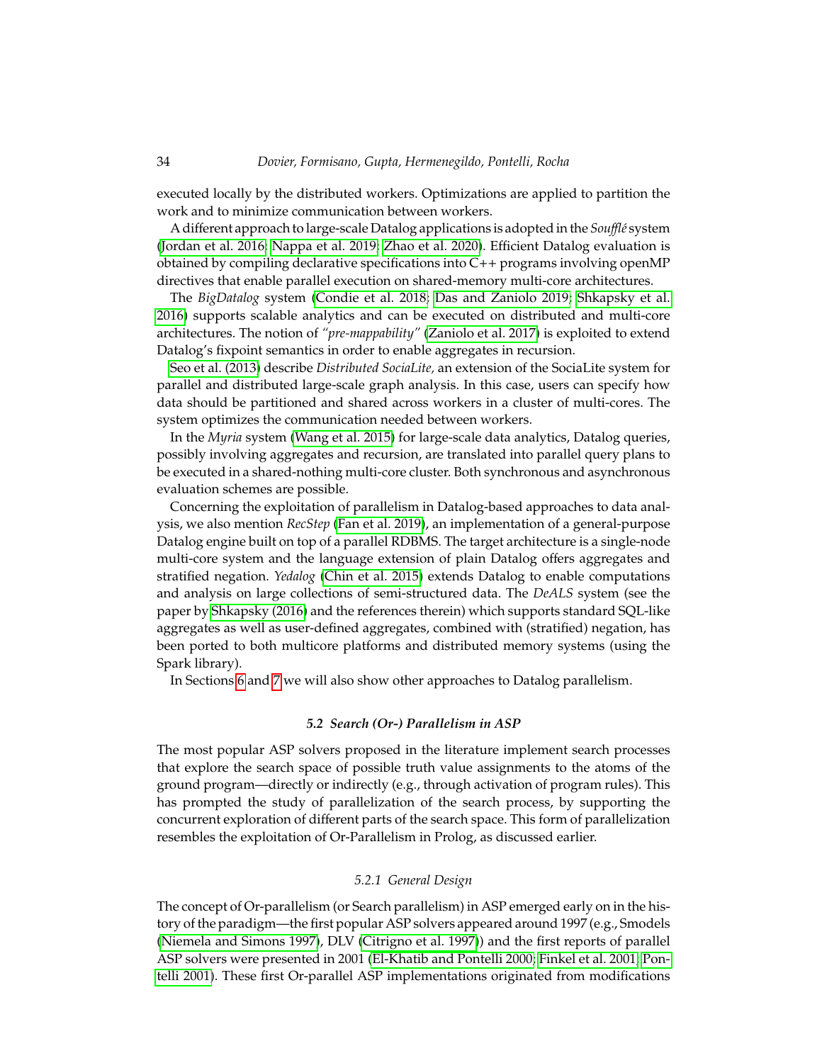executed locally by the distributed workers. Optimizations are applied to partition the work and to minimize communication between workers.

A different approach to large-scale Datalog applications is adopted in the *Sou*ffl*´e* system [\(Jordan et al. 2016;](#page-59-9) [Nappa et al. 2019;](#page-62-12) [Zhao et al. 2020\)](#page-67-14). Efficient Datalog evaluation is obtained by compiling declarative specifications into C++ programs involving openMP directives that enable parallel execution on shared-memory multi-core architectures.

The *BigDatalog* system [\(Condie et al. 2018;](#page-54-14) [Das and Zaniolo 2019;](#page-54-15) [Shkapsky et al.](#page-65-12) [2016\)](#page-65-12) supports scalable analytics and can be executed on distributed and multi-core architectures. The notion of *"pre-mappability"* [\(Zaniolo et al. 2017\)](#page-67-15) is exploited to extend Datalog's fixpoint semantics in order to enable aggregates in recursion.

[Seo et al. \(2013\)](#page-64-15) describe *Distributed SociaLite,* an extension of the SociaLite system for parallel and distributed large-scale graph analysis. In this case, users can specify how data should be partitioned and shared across workers in a cluster of multi-cores. The system optimizes the communication needed between workers.

In the *Myria* system [\(Wang et al. 2015\)](#page-66-14) for large-scale data analytics, Datalog queries, possibly involving aggregates and recursion, are translated into parallel query plans to be executed in a shared-nothing multi-core cluster. Both synchronous and asynchronous evaluation schemes are possible.

Concerning the exploitation of parallelism in Datalog-based approaches to data analysis, we also mention *RecStep* [\(Fan et al. 2019\)](#page-55-5), an implementation of a general-purpose Datalog engine built on top of a parallel RDBMS. The target architecture is a single-node multi-core system and the language extension of plain Datalog offers aggregates and stratified negation. *Yedalog* [\(Chin et al. 2015\)](#page-53-12) extends Datalog to enable computations and analysis on large collections of semi-structured data. The *DeALS* system (see the paper by [Shkapsky \(2016\)](#page-65-13) and the references therein) which supports standard SQL-like aggregates as well as user-defined aggregates, combined with (stratified) negation, has been ported to both multicore platforms and distributed memory systems (using the Spark library).

In Sections [6](#page-40-0) and [7](#page-45-0) we will also show other approaches to Datalog parallelism.

# *5.2 Search (Or-) Parallelism in ASP*

<span id="page-33-0"></span>The most popular ASP solvers proposed in the literature implement search processes that explore the search space of possible truth value assignments to the atoms of the ground program—directly or indirectly (e.g., through activation of program rules). This has prompted the study of parallelization of the search process, by supporting the concurrent exploration of different parts of the search space. This form of parallelization resembles the exploitation of Or-Parallelism in Prolog, as discussed earlier.

## *5.2.1 General Design*

The concept of Or-parallelism (or Search parallelism) in ASP emerged early on in the history of the paradigm—the first popular ASP solvers appeared around 1997 (e.g., Smodels [\(Niemela and Simons 1997\)](#page-62-13), DLV [\(Citrigno et al. 1997\)](#page-53-13)) and the first reports of parallel ASP solvers were presented in 2001 [\(El-Khatib and Pontelli 2000;](#page-55-6) [Finkel et al. 2001;](#page-55-7) [Pon](#page-63-15)[telli 2001\)](#page-63-15). These first Or-parallel ASP implementations originated from modifications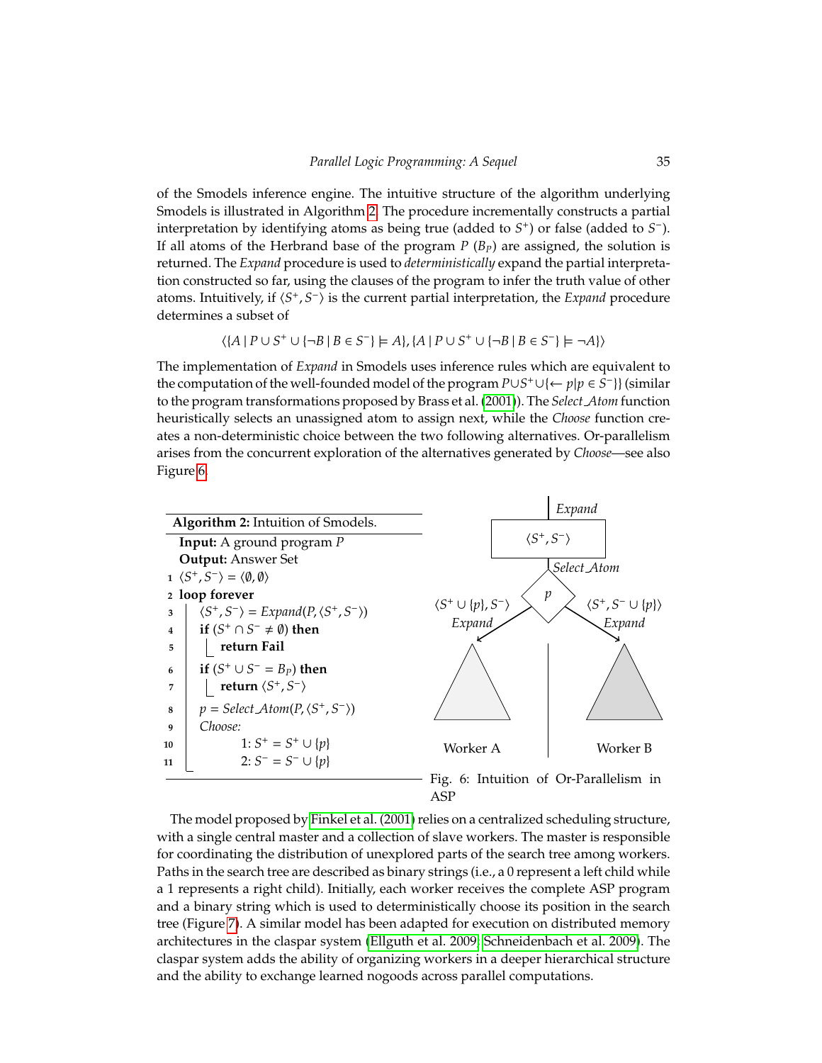of the Smodels inference engine. The intuitive structure of the algorithm underlying Smodels is illustrated in Algorithm [2.](#page-34-0) The procedure incrementally constructs a partial interpretation by identifying atoms as being true (added to *S* + ) or false (added to *S* − ). If all atoms of the Herbrand base of the program *P* (*BP*) are assigned, the solution is returned. The *Expand* procedure is used to *deterministically* expand the partial interpretation constructed so far, using the clauses of the program to infer the truth value of other atoms. Intuitively, if  $\langle S^+, S^- \rangle$  is the current partial interpretation, the *Expand* procedure determines a subset of

$$
\langle \{A \mid P \cup S^+ \cup \{\neg B \mid B \in S^-\} \models A \}, \{A \mid P \cup S^+ \cup \{\neg B \mid B \in S^-\} \models \neg A \} \rangle
$$

The implementation of *Expand* in Smodels uses inference rules which are equivalent to the computation of the well-founded model of the program  $P \cup S^+ \cup \{ \leftarrow p | p \in S^- \}$ ) (similar to the program transformations proposed by Brass et al. [\(2001\)](#page-52-0)). The *Select Atom* function heuristically selects an unassigned atom to assign next, while the *Choose* function creates a non-deterministic choice between the two following alternatives. Or-parallelism arises from the concurrent exploration of the alternatives generated by *Choose*—see also Figure [6.](#page-34-1)



<span id="page-34-1"></span><span id="page-34-0"></span>The model proposed by [Finkel et al. \(2001\)](#page-55-7) relies on a centralized scheduling structure, with a single central master and a collection of slave workers. The master is responsible for coordinating the distribution of unexplored parts of the search tree among workers. Paths in the search tree are described as binary strings (i.e., a 0 represent a left child while a 1 represents a right child). Initially, each worker receives the complete ASP program and a binary string which is used to deterministically choose its position in the search tree (Figure [7\)](#page-35-0). A similar model has been adapted for execution on distributed memory architectures in the claspar system [\(Ellguth et al. 2009;](#page-55-8) [Schneidenbach et al. 2009\)](#page-64-16). The claspar system adds the ability of organizing workers in a deeper hierarchical structure and the ability to exchange learned nogoods across parallel computations.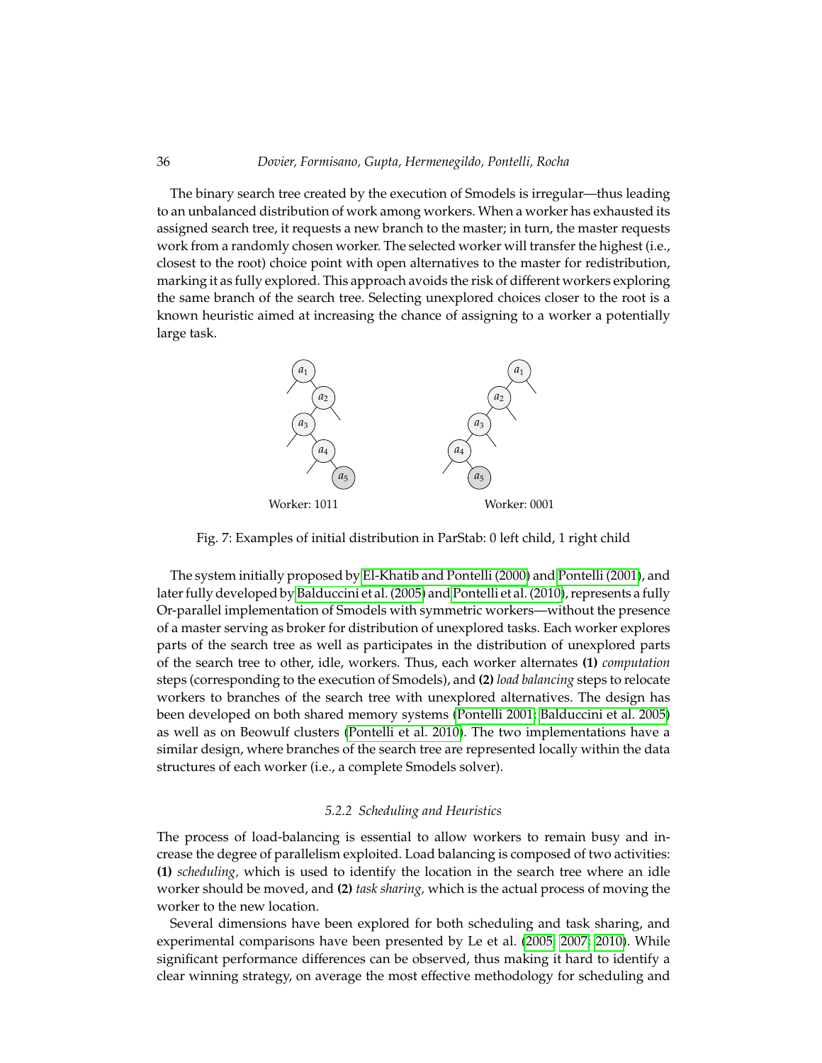#### 36 *Dovier, Formisano, Gupta, Hermenegildo, Pontelli, Rocha*

The binary search tree created by the execution of Smodels is irregular—thus leading to an unbalanced distribution of work among workers. When a worker has exhausted its assigned search tree, it requests a new branch to the master; in turn, the master requests work from a randomly chosen worker. The selected worker will transfer the highest (i.e., closest to the root) choice point with open alternatives to the master for redistribution, marking it as fully explored. This approach avoids the risk of different workers exploring the same branch of the search tree. Selecting unexplored choices closer to the root is a known heuristic aimed at increasing the chance of assigning to a worker a potentially large task.

<span id="page-35-0"></span>

Fig. 7: Examples of initial distribution in ParStab: 0 left child, 1 right child

The system initially proposed by [El-Khatib and Pontelli \(2000\)](#page-55-6) and [Pontelli \(2001\)](#page-63-15), and later fully developed by [Balduccini et al. \(2005\)](#page-51-12) and [Pontelli et al. \(2010\)](#page-63-16), represents a fully Or-parallel implementation of Smodels with symmetric workers—without the presence of a master serving as broker for distribution of unexplored tasks. Each worker explores parts of the search tree as well as participates in the distribution of unexplored parts of the search tree to other, idle, workers. Thus, each worker alternates **(1)** *computation* steps (corresponding to the execution of Smodels), and **(2)** *load balancing* steps to relocate workers to branches of the search tree with unexplored alternatives. The design has been developed on both shared memory systems [\(Pontelli 2001;](#page-63-15) [Balduccini et al. 2005\)](#page-51-12) as well as on Beowulf clusters [\(Pontelli et al. 2010\)](#page-63-16). The two implementations have a similar design, where branches of the search tree are represented locally within the data structures of each worker (i.e., a complete Smodels solver).

## *5.2.2 Scheduling and Heuristics*

The process of load-balancing is essential to allow workers to remain busy and increase the degree of parallelism exploited. Load balancing is composed of two activities: **(1)** *scheduling,* which is used to identify the location in the search tree where an idle worker should be moved, and **(2)** *task sharing,* which is the actual process of moving the worker to the new location.

Several dimensions have been explored for both scheduling and task sharing, and experimental comparisons have been presented by Le et al. [\(2005;](#page-59-10) [2007;](#page-59-11) [2010\)](#page-63-16). While significant performance differences can be observed, thus making it hard to identify a clear winning strategy, on average the most effective methodology for scheduling and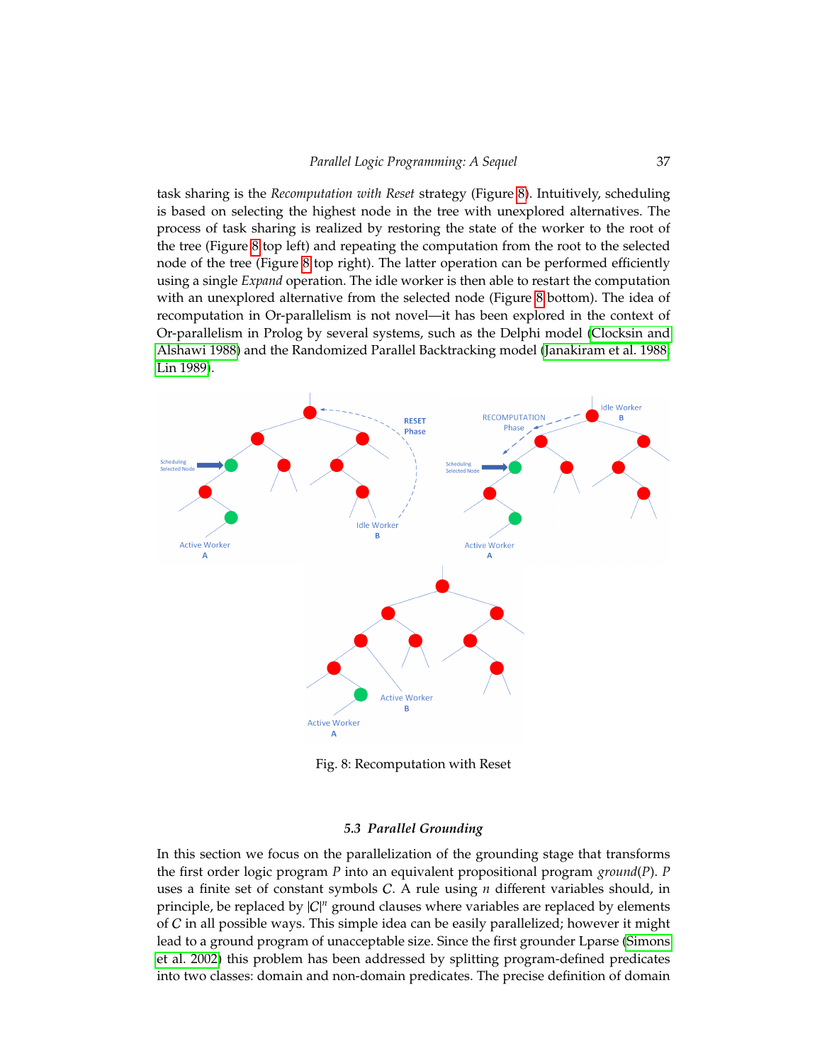task sharing is the *Recomputation with Reset* strategy (Figure [8\)](#page-36-1). Intuitively, scheduling is based on selecting the highest node in the tree with unexplored alternatives. The process of task sharing is realized by restoring the state of the worker to the root of the tree (Figure [8](#page-36-1) top left) and repeating the computation from the root to the selected node of the tree (Figure [8](#page-36-1) top right). The latter operation can be performed efficiently using a single *Expand* operation. The idle worker is then able to restart the computation with an unexplored alternative from the selected node (Figure [8](#page-36-1) bottom). The idea of recomputation in Or-parallelism is not novel—it has been explored in the context of Or-parallelism in Prolog by several systems, such as the Delphi model [\(Clocksin and](#page-53-14) [Alshawi 1988\)](#page-53-14) and the Randomized Parallel Backtracking model [\(Janakiram et al. 1988;](#page-58-13) [Lin 1989\)](#page-59-12).

<span id="page-36-1"></span>

Fig. 8: Recomputation with Reset

#### *5.3 Parallel Grounding*

<span id="page-36-0"></span>In this section we focus on the parallelization of the grounding stage that transforms the first order logic program *P* into an equivalent propositional program *ground*(*P*). *P* uses a finite set of constant symbols C. A rule using *n* different variables should, in principle, be replaced by  $|C|^n$  ground clauses where variables are replaced by elements of C in all possible ways. This simple idea can be easily parallelized; however it might lead to a ground program of unacceptable size. Since the first grounder Lparse [\(Simons](#page-65-14) [et al. 2002\)](#page-65-14) this problem has been addressed by splitting program-defined predicates into two classes: domain and non-domain predicates. The precise definition of domain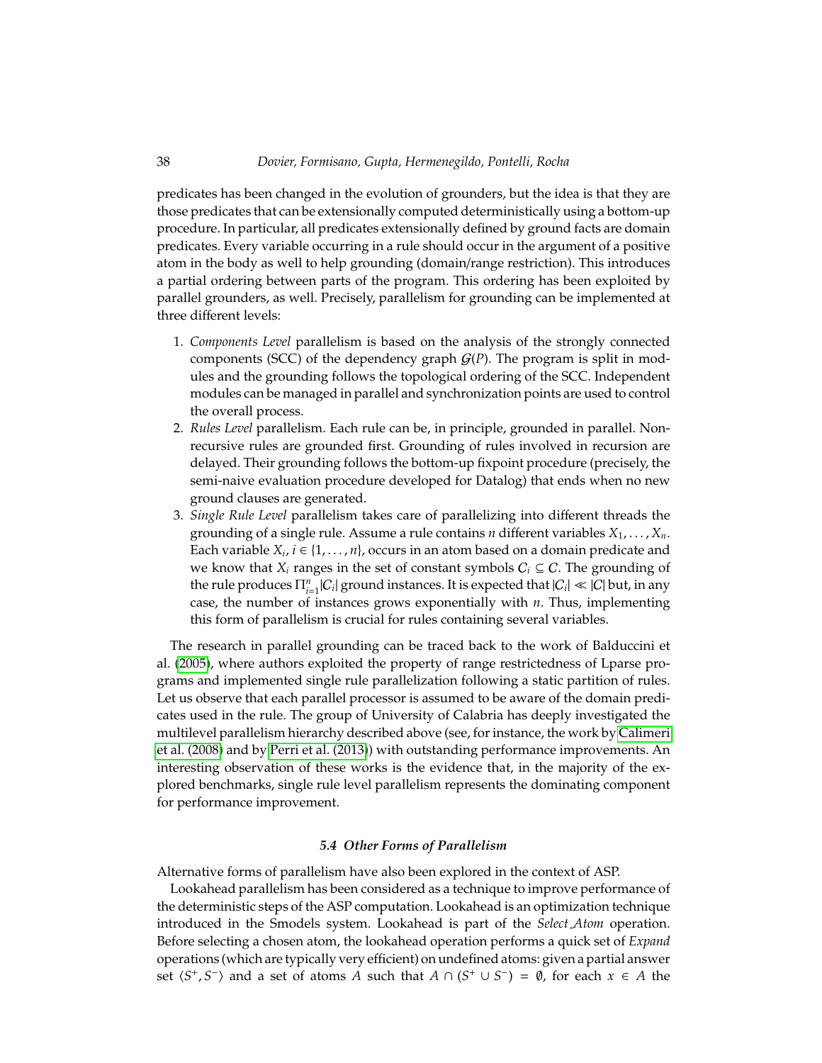predicates has been changed in the evolution of grounders, but the idea is that they are those predicates that can be extensionally computed deterministically using a bottom-up procedure. In particular, all predicates extensionally defined by ground facts are domain predicates. Every variable occurring in a rule should occur in the argument of a positive atom in the body as well to help grounding (domain/range restriction). This introduces a partial ordering between parts of the program. This ordering has been exploited by parallel grounders, as well. Precisely, parallelism for grounding can be implemented at three different levels:

- 1. *Components Level* parallelism is based on the analysis of the strongly connected components (SCC) of the dependency graph G(*P*). The program is split in modules and the grounding follows the topological ordering of the SCC. Independent modules can be managed in parallel and synchronization points are used to control the overall process.
- 2. *Rules Level* parallelism. Each rule can be, in principle, grounded in parallel. Nonrecursive rules are grounded first. Grounding of rules involved in recursion are delayed. Their grounding follows the bottom-up fixpoint procedure (precisely, the semi-naive evaluation procedure developed for Datalog) that ends when no new ground clauses are generated.
- 3. *Single Rule Level* parallelism takes care of parallelizing into different threads the grounding of a single rule. Assume a rule contains *n* different variables *X*1, . . . , *Xn*. Each variable  $X_i$ ,  $i \in \{1, \ldots, n\}$ , occurs in an atom based on a domain predicate and we know that  $X_i$  ranges in the set of constant symbols  $C_i \subseteq C$ . The grounding of the rule produces  $\prod_{i=1}^{n} |C_i|$  ground instances. It is expected that  $|C_i| \ll |C|$  but, in any case, the number of instances grows exponentially with *n*. Thus, implementing this form of parallelism is crucial for rules containing several variables.

The research in parallel grounding can be traced back to the work of Balduccini et al. [\(2005\)](#page-51-12), where authors exploited the property of range restrictedness of Lparse programs and implemented single rule parallelization following a static partition of rules. Let us observe that each parallel processor is assumed to be aware of the domain predicates used in the rule. The group of University of Calabria has deeply investigated the multilevel parallelism hierarchy described above (see, for instance, the work by [Calimeri](#page-52-15) [et al. \(2008\)](#page-52-15) and by [Perri et al. \(2013\)](#page-63-17)) with outstanding performance improvements. An interesting observation of these works is the evidence that, in the majority of the explored benchmarks, single rule level parallelism represents the dominating component for performance improvement.

## *5.4 Other Forms of Parallelism*

<span id="page-37-0"></span>Alternative forms of parallelism have also been explored in the context of ASP.

Lookahead parallelism has been considered as a technique to improve performance of the deterministic steps of the ASP computation. Lookahead is an optimization technique introduced in the Smodels system. Lookahead is part of the *Select Atom* operation. Before selecting a chosen atom, the lookahead operation performs a quick set of *Expand* operations (which are typically very efficient) on undefined atoms: given a partial answer set  $\langle S^+, S^- \rangle$  and a set of atoms *A* such that  $A \cap (S^+ \cup S^-) = \emptyset$ , for each  $x \in A$  the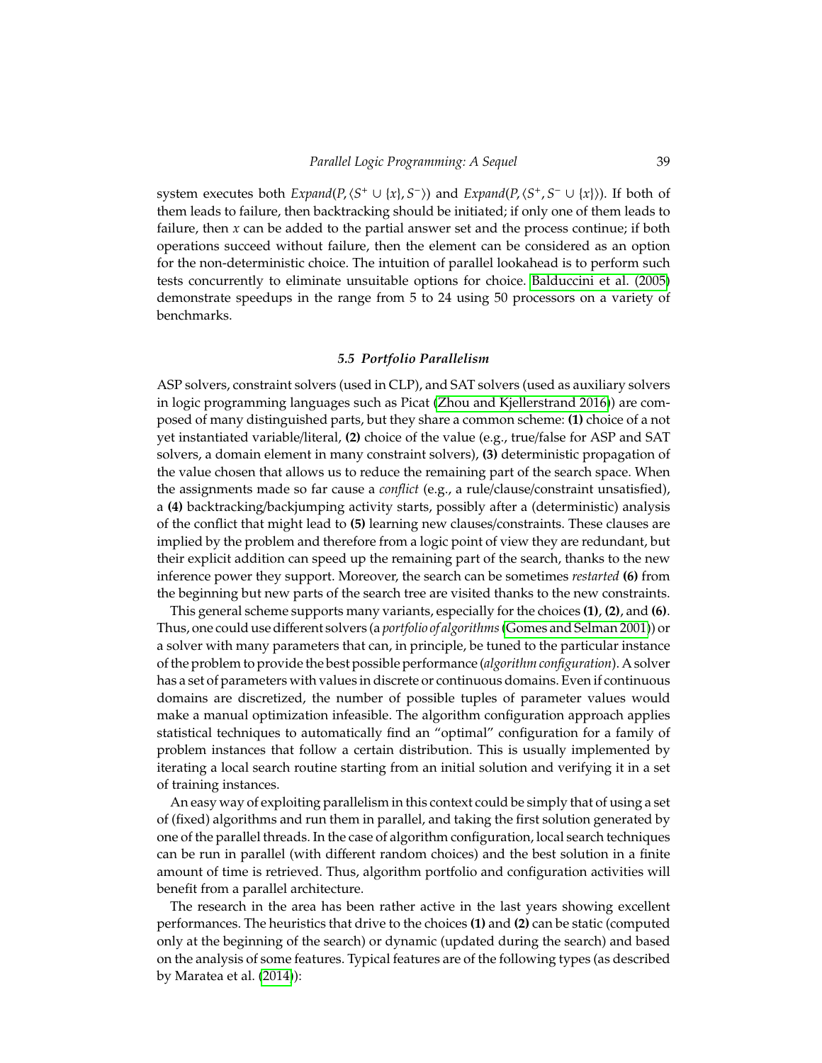system executes both  $Expand(P, (S^+ \cup \{x\}, S^-))$  and  $Expand(P, (S^+, S^- \cup \{x\}))$ . If both of them leads to failure, then backtracking should be initiated; if only one of them leads to failure, then *x* can be added to the partial answer set and the process continue; if both operations succeed without failure, then the element can be considered as an option for the non-deterministic choice. The intuition of parallel lookahead is to perform such tests concurrently to eliminate unsuitable options for choice. [Balduccini et al. \(2005\)](#page-51-12) demonstrate speedups in the range from 5 to 24 using 50 processors on a variety of benchmarks.

## *5.5 Portfolio Parallelism*

<span id="page-38-0"></span>ASP solvers, constraint solvers (used in CLP), and SAT solvers (used as auxiliary solvers in logic programming languages such as Picat [\(Zhou and Kjellerstrand 2016\)](#page-67-16)) are composed of many distinguished parts, but they share a common scheme: **(1)** choice of a not yet instantiated variable/literal, **(2)** choice of the value (e.g., true/false for ASP and SAT solvers, a domain element in many constraint solvers), **(3)** deterministic propagation of the value chosen that allows us to reduce the remaining part of the search space. When the assignments made so far cause a *conflict* (e.g., a rule/clause/constraint unsatisfied), a **(4)** backtracking/backjumping activity starts, possibly after a (deterministic) analysis of the conflict that might lead to **(5)** learning new clauses/constraints. These clauses are implied by the problem and therefore from a logic point of view they are redundant, but their explicit addition can speed up the remaining part of the search, thanks to the new inference power they support. Moreover, the search can be sometimes *restarted* **(6)** from the beginning but new parts of the search tree are visited thanks to the new constraints.

This general scheme supports many variants, especially for the choices **(1)**, **(2)**, and **(6)**. Thus, one could use different solvers (a *portfolio of algorithms*[\(Gomes and Selman 2001\)](#page-57-18)) or a solver with many parameters that can, in principle, be tuned to the particular instance of the problem to provide the best possible performance (*algorithm configuration*). A solver has a set of parameters with values in discrete or continuous domains. Even if continuous domains are discretized, the number of possible tuples of parameter values would make a manual optimization infeasible. The algorithm configuration approach applies statistical techniques to automatically find an "optimal" configuration for a family of problem instances that follow a certain distribution. This is usually implemented by iterating a local search routine starting from an initial solution and verifying it in a set of training instances.

An easy way of exploiting parallelism in this context could be simply that of using a set of (fixed) algorithms and run them in parallel, and taking the first solution generated by one of the parallel threads. In the case of algorithm configuration, local search techniques can be run in parallel (with different random choices) and the best solution in a finite amount of time is retrieved. Thus, algorithm portfolio and configuration activities will benefit from a parallel architecture.

The research in the area has been rather active in the last years showing excellent performances. The heuristics that drive to the choices **(1)** and **(2)** can be static (computed only at the beginning of the search) or dynamic (updated during the search) and based on the analysis of some features. Typical features are of the following types (as described by Maratea et al. [\(2014\)](#page-61-14)):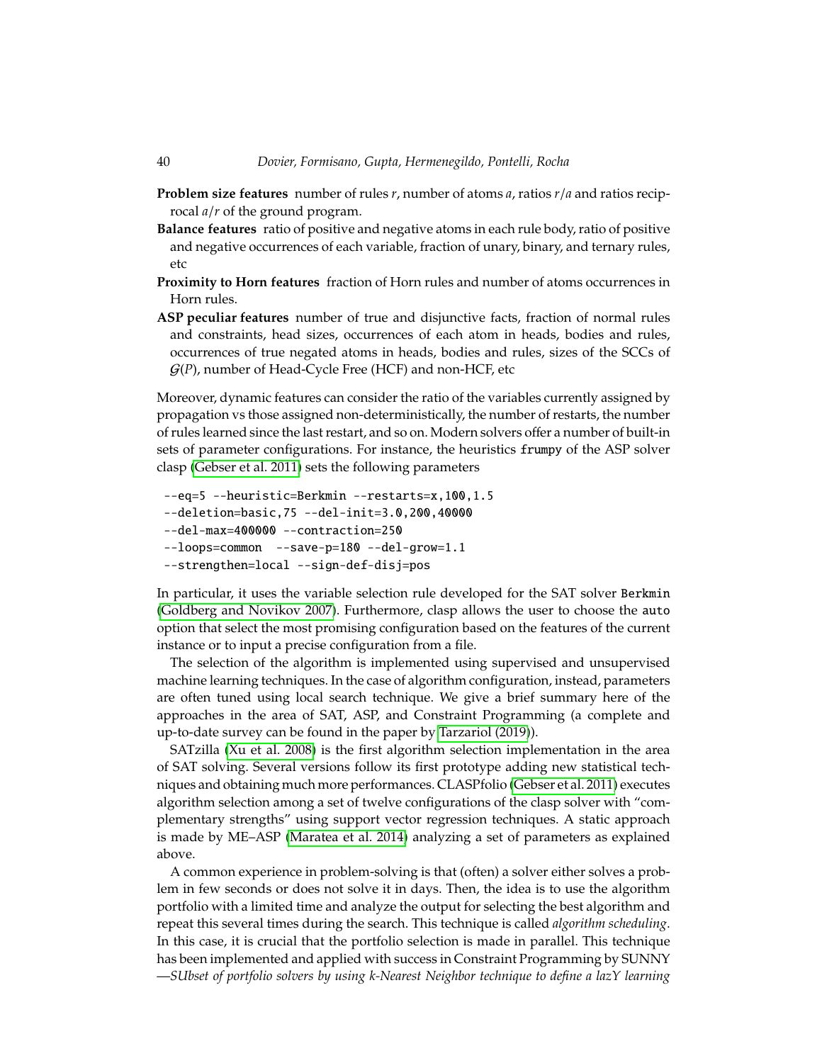- **Problem size features** number of rules *r*, number of atoms *a*, ratios *r*/*a* and ratios reciprocal *a*/*r* of the ground program.
- **Balance features** ratio of positive and negative atoms in each rule body, ratio of positive and negative occurrences of each variable, fraction of unary, binary, and ternary rules, etc
- **Proximity to Horn features** fraction of Horn rules and number of atoms occurrences in Horn rules.
- **ASP peculiar features** number of true and disjunctive facts, fraction of normal rules and constraints, head sizes, occurrences of each atom in heads, bodies and rules, occurrences of true negated atoms in heads, bodies and rules, sizes of the SCCs of G(*P*), number of Head-Cycle Free (HCF) and non-HCF, etc

Moreover, dynamic features can consider the ratio of the variables currently assigned by propagation vs those assigned non-deterministically, the number of restarts, the number of rules learned since the last restart, and so on. Modern solvers offer a number of built-in sets of parameter configurations. For instance, the heuristics frumpy of the ASP solver clasp [\(Gebser et al. 2011\)](#page-56-14) sets the following parameters

```
--eq=5 --heuristic=Berkmin --restarts=x,100,1.5
--deletion=basic,75 --del-init=3.0,200,40000
--del-max=400000 --contraction=250
--loops=common --save-p=180 --del-grow=1.1
--strengthen=local --sign-def-disj=pos
```
In particular, it uses the variable selection rule developed for the SAT solver Berkmin [\(Goldberg and Novikov 2007\)](#page-57-19). Furthermore, clasp allows the user to choose the auto option that select the most promising configuration based on the features of the current instance or to input a precise configuration from a file.

The selection of the algorithm is implemented using supervised and unsupervised machine learning techniques. In the case of algorithm configuration, instead, parameters are often tuned using local search technique. We give a brief summary here of the approaches in the area of SAT, ASP, and Constraint Programming (a complete and up-to-date survey can be found in the paper by [Tarzariol \(2019\)](#page-66-15)).

SATzilla [\(Xu et al. 2008\)](#page-67-17) is the first algorithm selection implementation in the area of SAT solving. Several versions follow its first prototype adding new statistical techniques and obtaining much more performances. CLASPfolio [\(Gebser et al. 2011\)](#page-56-15) executes algorithm selection among a set of twelve configurations of the clasp solver with "complementary strengths" using support vector regression techniques. A static approach is made by ME–ASP [\(Maratea et al. 2014\)](#page-61-14) analyzing a set of parameters as explained above.

A common experience in problem-solving is that (often) a solver either solves a problem in few seconds or does not solve it in days. Then, the idea is to use the algorithm portfolio with a limited time and analyze the output for selecting the best algorithm and repeat this several times during the search. This technique is called *algorithm scheduling*. In this case, it is crucial that the portfolio selection is made in parallel. This technique has been implemented and applied with success in Constraint Programming by SUNNY —*SUbset of portfolio solvers by using k-Nearest Neighbor technique to define a lazY learning*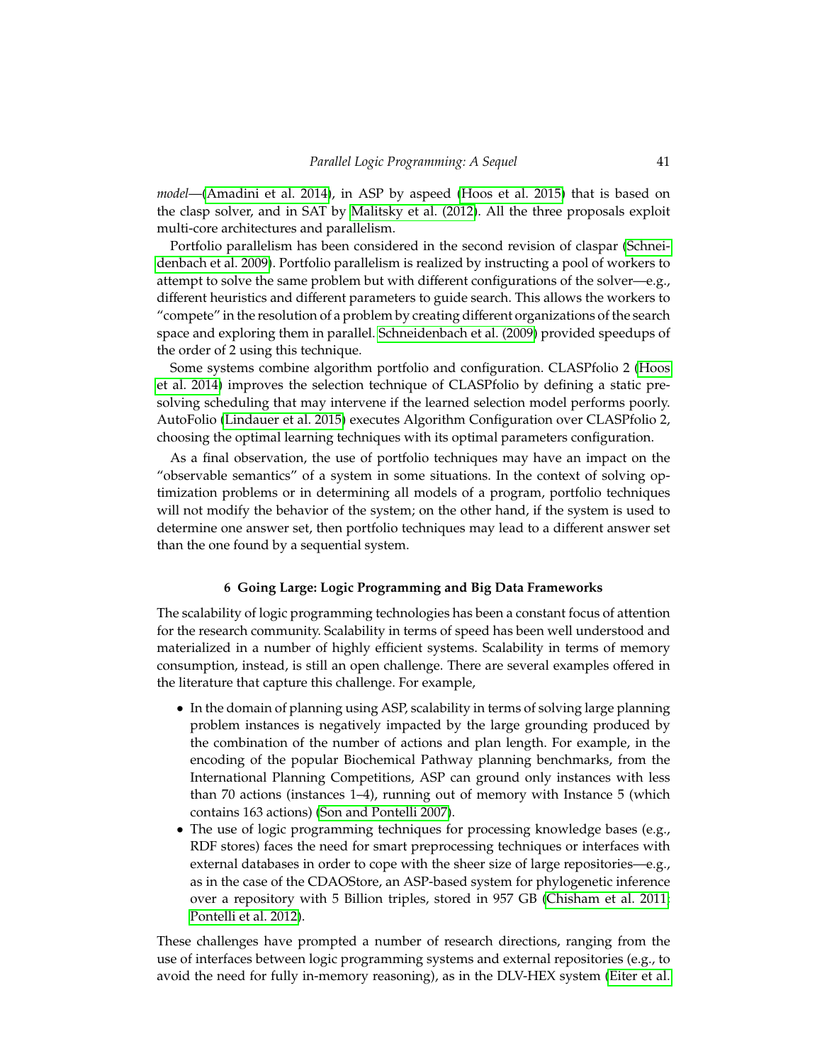*model*—[\(Amadini et al. 2014\)](#page-51-13), in ASP by aspeed [\(Hoos et al. 2015\)](#page-58-14) that is based on the clasp solver, and in SAT by [Malitsky et al. \(2012\)](#page-60-11). All the three proposals exploit multi-core architectures and parallelism.

Portfolio parallelism has been considered in the second revision of claspar [\(Schnei](#page-64-16)[denbach et al. 2009\)](#page-64-16). Portfolio parallelism is realized by instructing a pool of workers to attempt to solve the same problem but with different configurations of the solver—e.g., different heuristics and different parameters to guide search. This allows the workers to "compete" in the resolution of a problem by creating different organizations of the search space and exploring them in parallel. [Schneidenbach et al. \(2009\)](#page-64-16) provided speedups of the order of 2 using this technique.

Some systems combine algorithm portfolio and configuration. CLASPfolio 2 [\(Hoos](#page-58-15) [et al. 2014\)](#page-58-15) improves the selection technique of CLASPfolio by defining a static presolving scheduling that may intervene if the learned selection model performs poorly. AutoFolio [\(Lindauer et al. 2015\)](#page-60-12) executes Algorithm Configuration over CLASPfolio 2, choosing the optimal learning techniques with its optimal parameters configuration.

As a final observation, the use of portfolio techniques may have an impact on the "observable semantics" of a system in some situations. In the context of solving optimization problems or in determining all models of a program, portfolio techniques will not modify the behavior of the system; on the other hand, if the system is used to determine one answer set, then portfolio techniques may lead to a different answer set than the one found by a sequential system.

## **6 Going Large: Logic Programming and Big Data Frameworks**

<span id="page-40-0"></span>The scalability of logic programming technologies has been a constant focus of attention for the research community. Scalability in terms of speed has been well understood and materialized in a number of highly efficient systems. Scalability in terms of memory consumption, instead, is still an open challenge. There are several examples offered in the literature that capture this challenge. For example,

- In the domain of planning using ASP, scalability in terms of solving large planning problem instances is negatively impacted by the large grounding produced by the combination of the number of actions and plan length. For example, in the encoding of the popular Biochemical Pathway planning benchmarks, from the International Planning Competitions, ASP can ground only instances with less than 70 actions (instances 1–4), running out of memory with Instance 5 (which contains 163 actions) [\(Son and Pontelli 2007\)](#page-65-15).
- The use of logic programming techniques for processing knowledge bases (e.g., RDF stores) faces the need for smart preprocessing techniques or interfaces with external databases in order to cope with the sheer size of large repositories—e.g., as in the case of the CDAOStore, an ASP-based system for phylogenetic inference over a repository with 5 Billion triples, stored in 957 GB [\(Chisham et al. 2011;](#page-53-15) [Pontelli et al. 2012\)](#page-63-18).

These challenges have prompted a number of research directions, ranging from the use of interfaces between logic programming systems and external repositories (e.g., to avoid the need for fully in-memory reasoning), as in the DLV-HEX system [\(Eiter et al.](#page-55-9)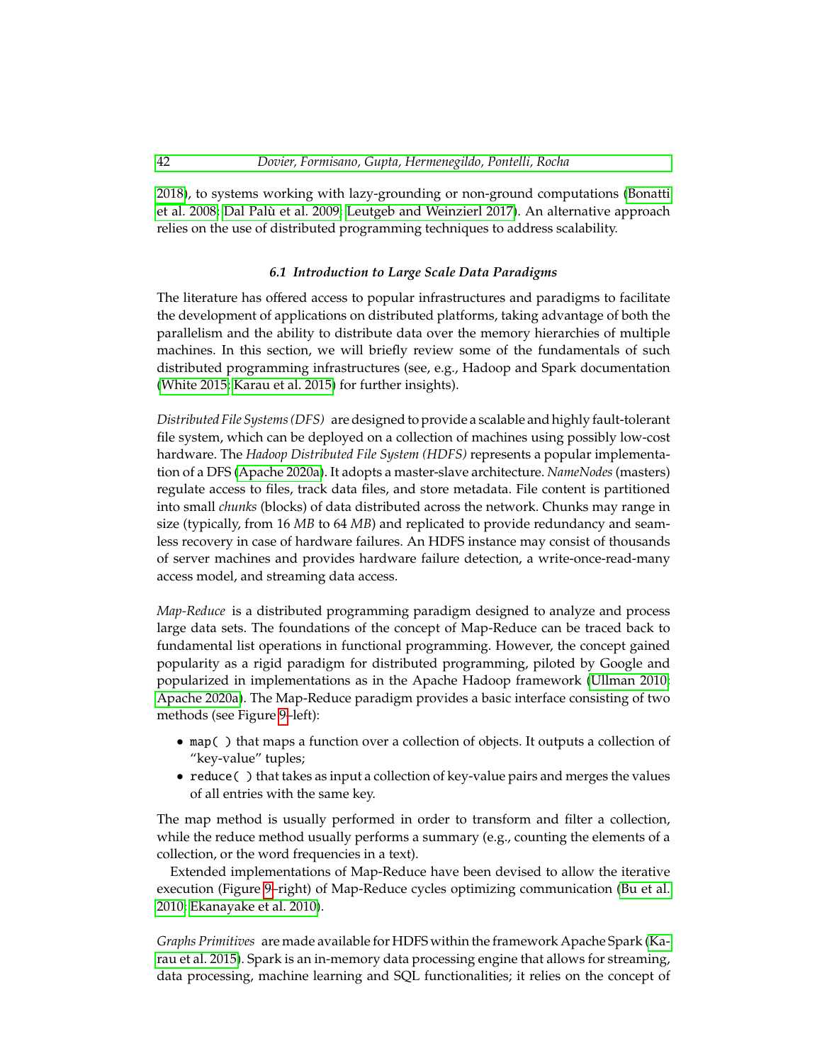# 42 *[Dovier, Formisano, Gupta, Hermenegildo, Pontelli, Rocha](#page-55-9)*

[2018\)](#page-55-9), to systems working with lazy-grounding or non-ground computations [\(Bonatti](#page-52-16) [et al. 2008;](#page-52-16) [Dal Palu et al. 2009;](#page-54-16) [Leutgeb and Weinzierl 2017\)](#page-59-13). An alternative approach ` relies on the use of distributed programming techniques to address scalability.

# *6.1 Introduction to Large Scale Data Paradigms*

The literature has offered access to popular infrastructures and paradigms to facilitate the development of applications on distributed platforms, taking advantage of both the parallelism and the ability to distribute data over the memory hierarchies of multiple machines. In this section, we will briefly review some of the fundamentals of such distributed programming infrastructures (see, e.g., Hadoop and Spark documentation [\(White 2015;](#page-67-18) [Karau et al. 2015\)](#page-59-14) for further insights).

*Distributed File Systems (DFS)* are designed to provide a scalable and highly fault-tolerant file system, which can be deployed on a collection of machines using possibly low-cost hardware. The *Hadoop Distributed File System (HDFS)* represents a popular implementation of a DFS [\(Apache 2020a\)](#page-51-14). It adopts a master-slave architecture. *NameNodes* (masters) regulate access to files, track data files, and store metadata. File content is partitioned into small *chunks* (blocks) of data distributed across the network. Chunks may range in size (typically, from 16 *MB* to 64 *MB*) and replicated to provide redundancy and seamless recovery in case of hardware failures. An HDFS instance may consist of thousands of server machines and provides hardware failure detection, a write-once-read-many access model, and streaming data access.

*Map-Reduce* is a distributed programming paradigm designed to analyze and process large data sets. The foundations of the concept of Map-Reduce can be traced back to fundamental list operations in functional programming. However, the concept gained popularity as a rigid paradigm for distributed programming, piloted by Google and popularized in implementations as in the Apache Hadoop framework [\(Ullman 2010;](#page-66-16) [Apache 2020a\)](#page-51-14). The Map-Reduce paradigm provides a basic interface consisting of two methods (see Figure [9–](#page-42-0)left):

- map( ) that maps a function over a collection of objects. It outputs a collection of "key-value" tuples;
- reduce( ) that takes as input a collection of key-value pairs and merges the values of all entries with the same key.

The map method is usually performed in order to transform and filter a collection, while the reduce method usually performs a summary (e.g., counting the elements of a collection, or the word frequencies in a text).

Extended implementations of Map-Reduce have been devised to allow the iterative execution (Figure [9–](#page-42-0)right) of Map-Reduce cycles optimizing communication [\(Bu et al.](#page-52-17) [2010;](#page-52-17) [Ekanayake et al. 2010\)](#page-55-10).

*Graphs Primitives* are made available for HDFS within the framework Apache Spark [\(Ka](#page-59-14)[rau et al. 2015\)](#page-59-14). Spark is an in-memory data processing engine that allows for streaming, data processing, machine learning and SQL functionalities; it relies on the concept of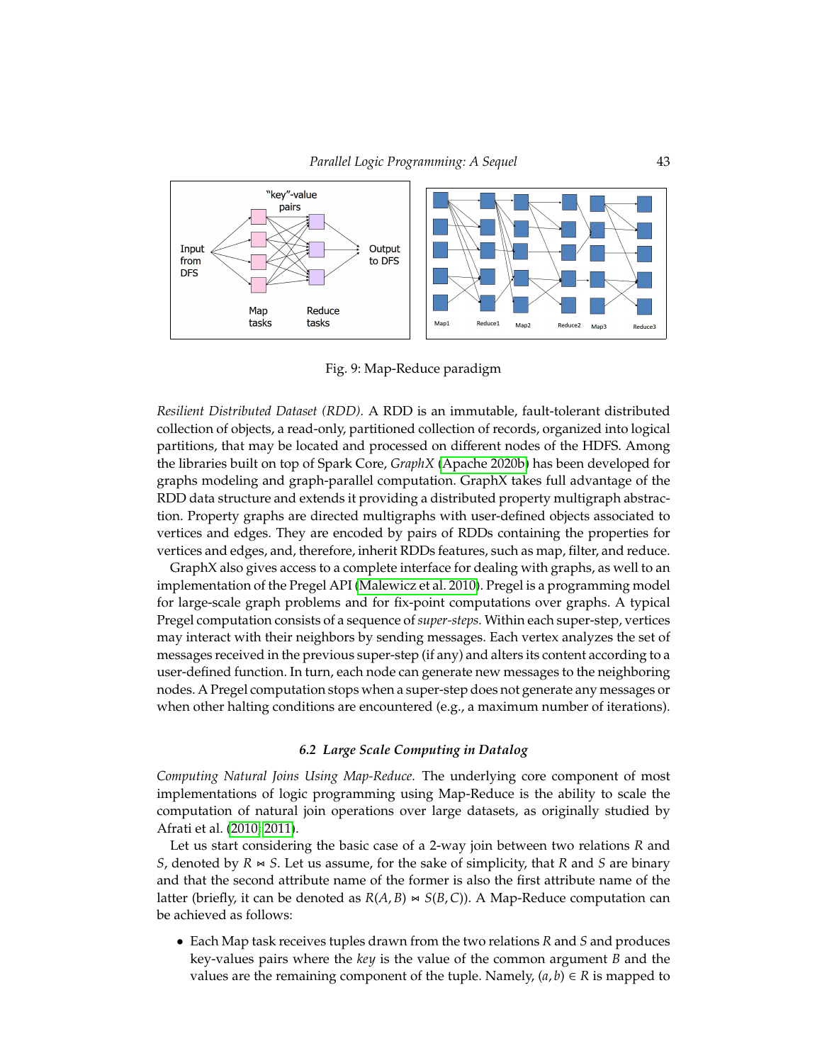<span id="page-42-0"></span>

Fig. 9: Map-Reduce paradigm

*Resilient Distributed Dataset (RDD).* A RDD is an immutable, fault-tolerant distributed collection of objects, a read-only, partitioned collection of records, organized into logical partitions, that may be located and processed on different nodes of the HDFS. Among the libraries built on top of Spark Core, *GraphX* [\(Apache 2020b\)](#page-51-15) has been developed for graphs modeling and graph-parallel computation. GraphX takes full advantage of the RDD data structure and extends it providing a distributed property multigraph abstraction. Property graphs are directed multigraphs with user-defined objects associated to vertices and edges. They are encoded by pairs of RDDs containing the properties for vertices and edges, and, therefore, inherit RDDs features, such as map, filter, and reduce.

GraphX also gives access to a complete interface for dealing with graphs, as well to an implementation of the Pregel API [\(Malewicz et al. 2010\)](#page-60-13). Pregel is a programming model for large-scale graph problems and for fix-point computations over graphs. A typical Pregel computation consists of a sequence of*super-steps.* Within each super-step, vertices may interact with their neighbors by sending messages. Each vertex analyzes the set of messages received in the previous super-step (if any) and alters its content according to a user-defined function. In turn, each node can generate new messages to the neighboring nodes. A Pregel computation stops when a super-step does not generate any messages or when other halting conditions are encountered (e.g., a maximum number of iterations).

# *6.2 Large Scale Computing in Datalog*

*Computing Natural Joins Using Map-Reduce.* The underlying core component of most implementations of logic programming using Map-Reduce is the ability to scale the computation of natural join operations over large datasets, as originally studied by Afrati et al. [\(2010;](#page-51-16) [2011\)](#page-51-17).

Let us start considering the basic case of a 2-way join between two relations *R* and *S*, denoted by  $R \approx S$ . Let us assume, for the sake of simplicity, that *R* and *S* are binary and that the second attribute name of the former is also the first attribute name of the latter (briefly, it can be denoted as  $R(A, B) \bowtie S(B, C)$ ). A Map-Reduce computation can be achieved as follows:

• Each Map task receives tuples drawn from the two relations *R* and *S* and produces key-values pairs where the *key* is the value of the common argument *B* and the values are the remaining component of the tuple. Namely,  $(a, b) \in R$  is mapped to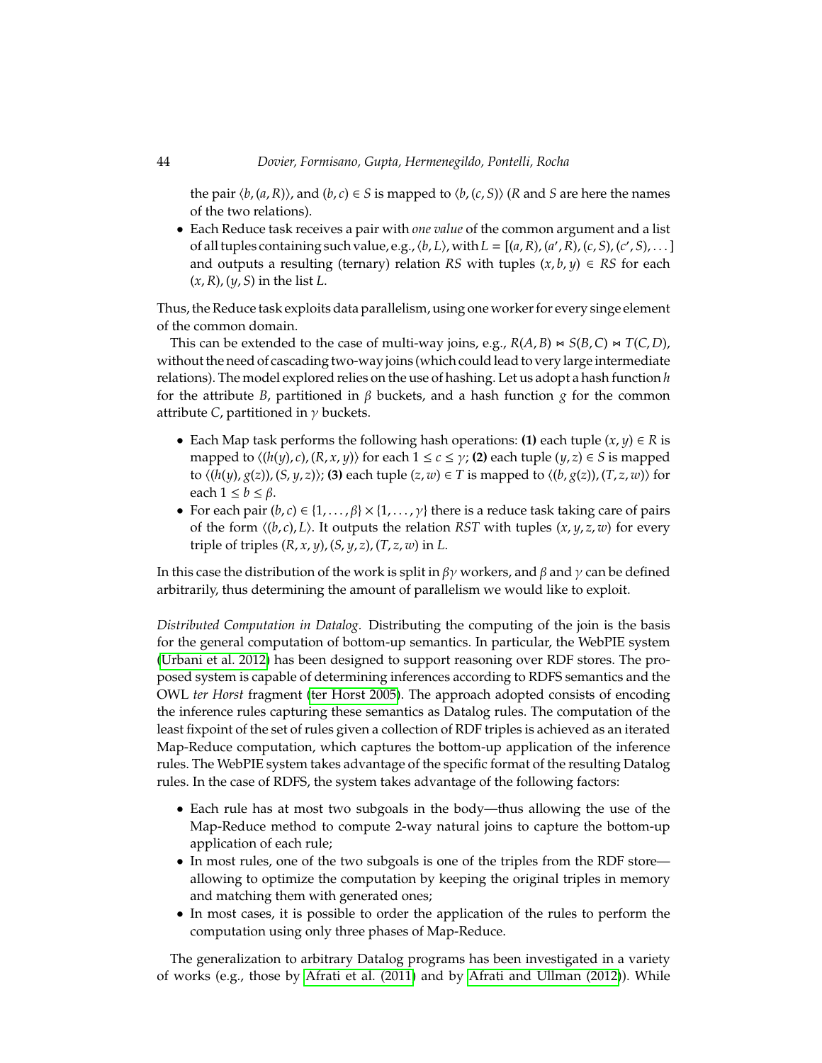the pair  $\langle b, (a, R) \rangle$ , and  $(b, c) \in S$  is mapped to  $\langle b, (c, S) \rangle$  (*R* and *S* are here the names of the two relations).

• Each Reduce task receives a pair with *one value* of the common argument and a list of all tuples containing such value, e.g.,  $\langle b, L \rangle$ , with  $L = [(a, R), (a', R), (c, S), (c', S), \ldots]$ and outputs a resulting (ternary) relation *RS* with tuples  $(x, b, y) \in RS$  for each (*x*,*R*), (*y*, *S*) in the list *L*.

Thus, the Reduce task exploits data parallelism, using one worker for every singe element of the common domain.

This can be extended to the case of multi-way joins, e.g.,  $R(A, B) \approx S(B, C) \approx T(C, D)$ , without the need of cascading two-way joins (which could lead to very large intermediate relations). The model explored relies on the use of hashing. Let us adopt a hash function *h* for the attribute *B*, partitioned in β buckets, and a hash function *g* for the common attribute *C*, partitioned in  $\gamma$  buckets.

- Each Map task performs the following hash operations: **(1)** each tuple  $(x, y) \in R$  is mapped to  $\langle (h(y), c), (R, x, y) \rangle$  for each  $1 \le c \le \gamma$ ; (2) each tuple  $(y, z) \in S$  is mapped to  $\langle (h(y), g(z)), (S, y, z) \rangle$ ; (3) each tuple  $(z, w) \in T$  is mapped to  $\langle (b, g(z)), (T, z, w) \rangle$  for each  $1 \leq b \leq \beta$ .
- For each pair  $(b, c) \in \{1, \ldots, \beta\} \times \{1, \ldots, \gamma\}$  there is a reduce task taking care of pairs of the form  $\langle (b, c), L \rangle$ . It outputs the relation *RST* with tuples  $(x, y, z, w)$  for every triple of triples (*R*, *x*, *y*), (*S*, *y*, *z*), (*T*, *z*, *w*) in *L*.

In this case the distribution of the work is split in  $\beta\gamma$  workers, and  $\beta$  and  $\gamma$  can be defined arbitrarily, thus determining the amount of parallelism we would like to exploit.

*Distributed Computation in Datalog.* Distributing the computing of the join is the basis for the general computation of bottom-up semantics. In particular, the WebPIE system [\(Urbani et al. 2012\)](#page-66-17) has been designed to support reasoning over RDF stores. The proposed system is capable of determining inferences according to RDFS semantics and the OWL *ter Horst* fragment [\(ter Horst 2005\)](#page-66-18). The approach adopted consists of encoding the inference rules capturing these semantics as Datalog rules. The computation of the least fixpoint of the set of rules given a collection of RDF triples is achieved as an iterated Map-Reduce computation, which captures the bottom-up application of the inference rules. The WebPIE system takes advantage of the specific format of the resulting Datalog rules. In the case of RDFS, the system takes advantage of the following factors:

- Each rule has at most two subgoals in the body—thus allowing the use of the Map-Reduce method to compute 2-way natural joins to capture the bottom-up application of each rule;
- In most rules, one of the two subgoals is one of the triples from the RDF store allowing to optimize the computation by keeping the original triples in memory and matching them with generated ones;
- In most cases, it is possible to order the application of the rules to perform the computation using only three phases of Map-Reduce.

The generalization to arbitrary Datalog programs has been investigated in a variety of works (e.g., those by [Afrati et al. \(2011\)](#page-51-17) and by [Afrati and Ullman \(2012\)](#page-51-18)). While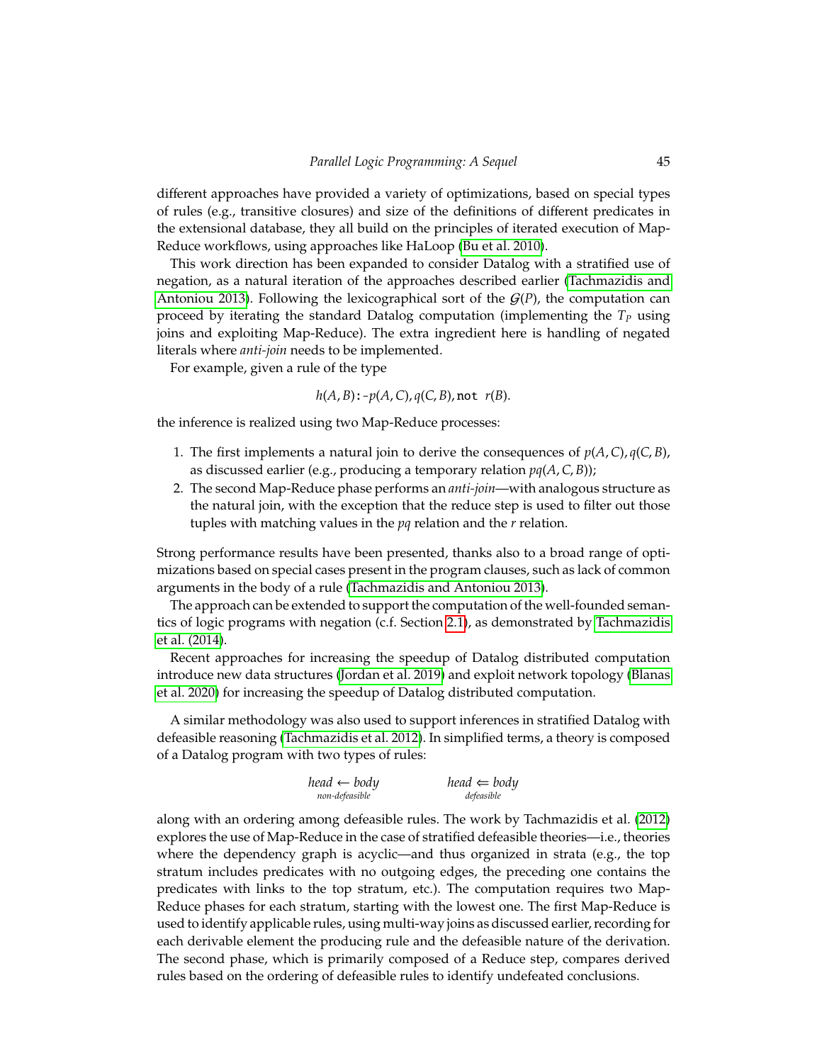different approaches have provided a variety of optimizations, based on special types of rules (e.g., transitive closures) and size of the definitions of different predicates in the extensional database, they all build on the principles of iterated execution of Map-Reduce workflows, using approaches like HaLoop [\(Bu et al. 2010\)](#page-52-17).

This work direction has been expanded to consider Datalog with a stratified use of negation, as a natural iteration of the approaches described earlier [\(Tachmazidis and](#page-65-16) [Antoniou 2013\)](#page-65-16). Following the lexicographical sort of the  $G(P)$ , the computation can proceed by iterating the standard Datalog computation (implementing the *T<sup>P</sup>* using joins and exploiting Map-Reduce). The extra ingredient here is handling of negated literals where *anti-join* needs to be implemented.

For example, given a rule of the type

*h*(*A*, *B*):-*p*(*A*,*C*), *q*(*C*, *B*), not *r*(*B*).

the inference is realized using two Map-Reduce processes:

- 1. The first implements a natural join to derive the consequences of  $p(A, C), q(C, B)$ , as discussed earlier (e.g., producing a temporary relation *pq*(*A*,*C*, *B*));
- 2. The second Map-Reduce phase performs an *anti-join*—with analogous structure as the natural join, with the exception that the reduce step is used to filter out those tuples with matching values in the *pq* relation and the *r* relation.

Strong performance results have been presented, thanks also to a broad range of optimizations based on special cases present in the program clauses, such as lack of common arguments in the body of a rule [\(Tachmazidis and Antoniou 2013\)](#page-65-16).

The approach can be extended to support the computation of the well-founded semantics of logic programs with negation (c.f. Section [2.1\)](#page-3-0), as demonstrated by [Tachmazidis](#page-65-17) [et al. \(2014\)](#page-65-17).

Recent approaches for increasing the speedup of Datalog distributed computation introduce new data structures [\(Jordan et al. 2019\)](#page-59-15) and exploit network topology [\(Blanas](#page-52-18) [et al. 2020\)](#page-52-18) for increasing the speedup of Datalog distributed computation.

A similar methodology was also used to support inferences in stratified Datalog with defeasible reasoning [\(Tachmazidis et al. 2012\)](#page-65-18). In simplified terms, a theory is composed of a Datalog program with two types of rules:

| head $\leftarrow$ body | head $\Leftarrow$ body |  |
|------------------------|------------------------|--|
| non-defeasible         | defeasible             |  |

along with an ordering among defeasible rules. The work by Tachmazidis et al. [\(2012\)](#page-65-18) explores the use of Map-Reduce in the case of stratified defeasible theories—i.e., theories where the dependency graph is acyclic—and thus organized in strata (e.g., the top stratum includes predicates with no outgoing edges, the preceding one contains the predicates with links to the top stratum, etc.). The computation requires two Map-Reduce phases for each stratum, starting with the lowest one. The first Map-Reduce is used to identify applicable rules, using multi-way joins as discussed earlier, recording for each derivable element the producing rule and the defeasible nature of the derivation. The second phase, which is primarily composed of a Reduce step, compares derived rules based on the ordering of defeasible rules to identify undefeated conclusions.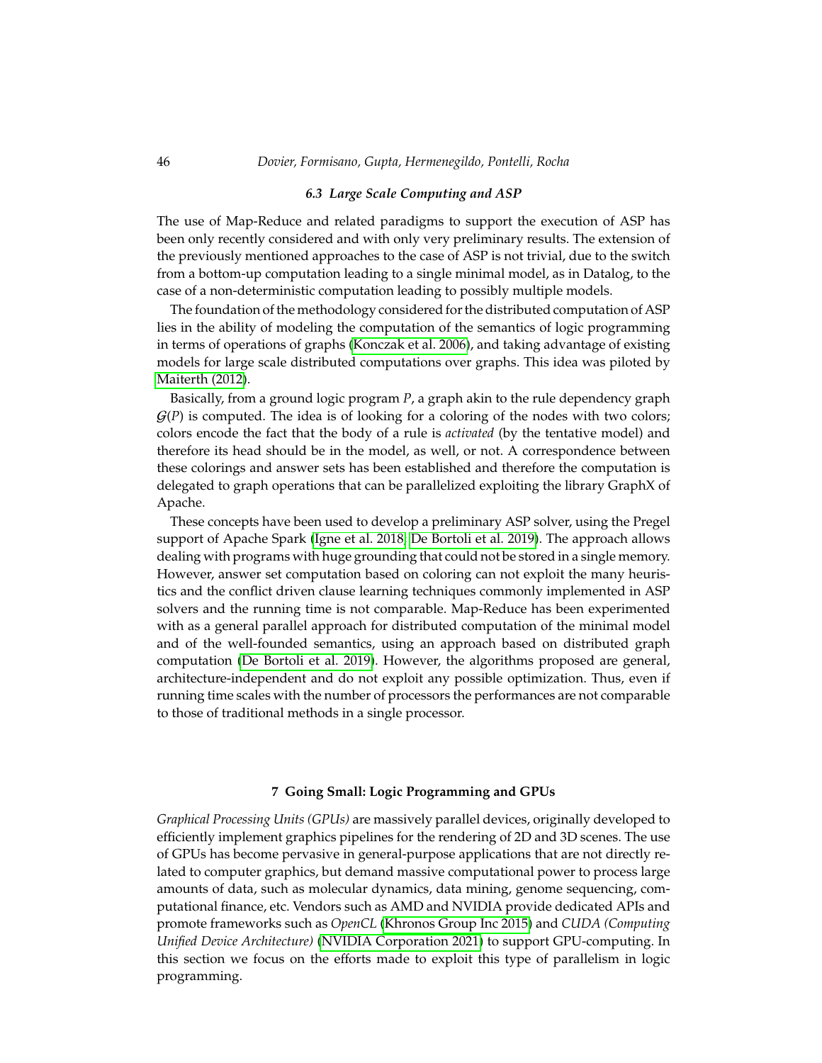#### *6.3 Large Scale Computing and ASP*

The use of Map-Reduce and related paradigms to support the execution of ASP has been only recently considered and with only very preliminary results. The extension of the previously mentioned approaches to the case of ASP is not trivial, due to the switch from a bottom-up computation leading to a single minimal model, as in Datalog, to the case of a non-deterministic computation leading to possibly multiple models.

The foundation of the methodology considered for the distributed computation of ASP lies in the ability of modeling the computation of the semantics of logic programming in terms of operations of graphs [\(Konczak et al. 2006\)](#page-59-16), and taking advantage of existing models for large scale distributed computations over graphs. This idea was piloted by [Maiterth \(2012\)](#page-60-14).

Basically, from a ground logic program *P*, a graph akin to the rule dependency graph  $G(P)$  is computed. The idea is of looking for a coloring of the nodes with two colors; colors encode the fact that the body of a rule is *activated* (by the tentative model) and therefore its head should be in the model, as well, or not. A correspondence between these colorings and answer sets has been established and therefore the computation is delegated to graph operations that can be parallelized exploiting the library GraphX of Apache.

These concepts have been used to develop a preliminary ASP solver, using the Pregel support of Apache Spark [\(Igne et al. 2018;](#page-58-16) [De Bortoli et al. 2019\)](#page-54-17). The approach allows dealing with programs with huge grounding that could not be stored in a single memory. However, answer set computation based on coloring can not exploit the many heuristics and the conflict driven clause learning techniques commonly implemented in ASP solvers and the running time is not comparable. Map-Reduce has been experimented with as a general parallel approach for distributed computation of the minimal model and of the well-founded semantics, using an approach based on distributed graph computation [\(De Bortoli et al. 2019\)](#page-54-17). However, the algorithms proposed are general, architecture-independent and do not exploit any possible optimization. Thus, even if running time scales with the number of processors the performances are not comparable to those of traditional methods in a single processor.

# **7 Going Small: Logic Programming and GPUs**

<span id="page-45-0"></span>*Graphical Processing Units (GPUs)* are massively parallel devices, originally developed to efficiently implement graphics pipelines for the rendering of 2D and 3D scenes. The use of GPUs has become pervasive in general-purpose applications that are not directly related to computer graphics, but demand massive computational power to process large amounts of data, such as molecular dynamics, data mining, genome sequencing, computational finance, etc. Vendors such as AMD and NVIDIA provide dedicated APIs and promote frameworks such as *OpenCL* [\(Khronos Group Inc 2015\)](#page-59-17) and *CUDA (Computing Unified Device Architecture)* [\(NVIDIA Corporation 2021\)](#page-62-14) to support GPU-computing. In this section we focus on the efforts made to exploit this type of parallelism in logic programming.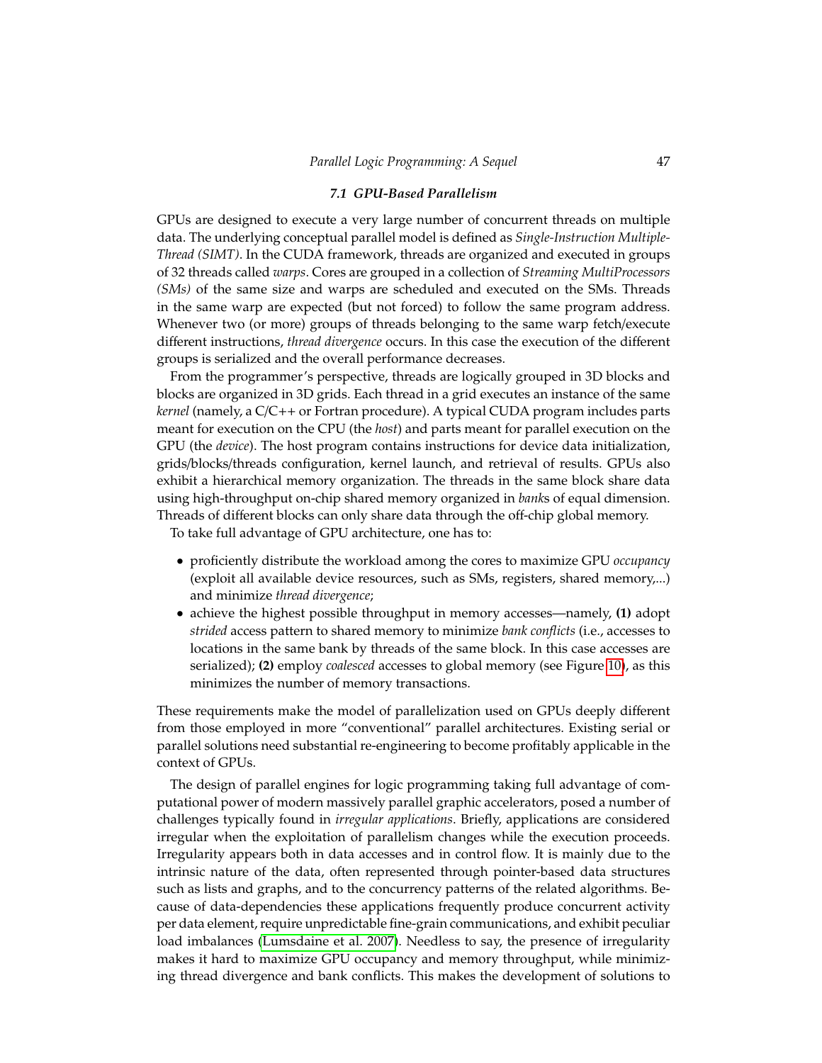#### *7.1 GPU-Based Parallelism*

GPUs are designed to execute a very large number of concurrent threads on multiple data. The underlying conceptual parallel model is defined as *Single-Instruction Multiple-Thread (SIMT)*. In the CUDA framework, threads are organized and executed in groups of 32 threads called *warps*. Cores are grouped in a collection of *Streaming MultiProcessors (SMs)* of the same size and warps are scheduled and executed on the SMs. Threads in the same warp are expected (but not forced) to follow the same program address. Whenever two (or more) groups of threads belonging to the same warp fetch/execute different instructions, *thread divergence* occurs. In this case the execution of the different groups is serialized and the overall performance decreases.

From the programmer's perspective, threads are logically grouped in 3D blocks and blocks are organized in 3D grids. Each thread in a grid executes an instance of the same *kernel* (namely, a C/C++ or Fortran procedure). A typical CUDA program includes parts meant for execution on the CPU (the *host*) and parts meant for parallel execution on the GPU (the *device*). The host program contains instructions for device data initialization, grids/blocks/threads configuration, kernel launch, and retrieval of results. GPUs also exhibit a hierarchical memory organization. The threads in the same block share data using high-throughput on-chip shared memory organized in *bank*s of equal dimension. Threads of different blocks can only share data through the off-chip global memory.

To take full advantage of GPU architecture, one has to:

- proficiently distribute the workload among the cores to maximize GPU *occupancy* (exploit all available device resources, such as SMs, registers, shared memory,...) and minimize *thread divergence*;
- achieve the highest possible throughput in memory accesses—namely, **(1)** adopt *strided* access pattern to shared memory to minimize *bank conflicts* (i.e., accesses to locations in the same bank by threads of the same block. In this case accesses are serialized); **(2)** employ *coalesced* accesses to global memory (see Figure [10\)](#page-47-0), as this minimizes the number of memory transactions.

These requirements make the model of parallelization used on GPUs deeply different from those employed in more "conventional" parallel architectures. Existing serial or parallel solutions need substantial re-engineering to become profitably applicable in the context of GPUs.

The design of parallel engines for logic programming taking full advantage of computational power of modern massively parallel graphic accelerators, posed a number of challenges typically found in *irregular applications*. Briefly, applications are considered irregular when the exploitation of parallelism changes while the execution proceeds. Irregularity appears both in data accesses and in control flow. It is mainly due to the intrinsic nature of the data, often represented through pointer-based data structures such as lists and graphs, and to the concurrency patterns of the related algorithms. Because of data-dependencies these applications frequently produce concurrent activity per data element, require unpredictable fine-grain communications, and exhibit peculiar load imbalances [\(Lumsdaine et al. 2007\)](#page-60-15). Needless to say, the presence of irregularity makes it hard to maximize GPU occupancy and memory throughput, while minimizing thread divergence and bank conflicts. This makes the development of solutions to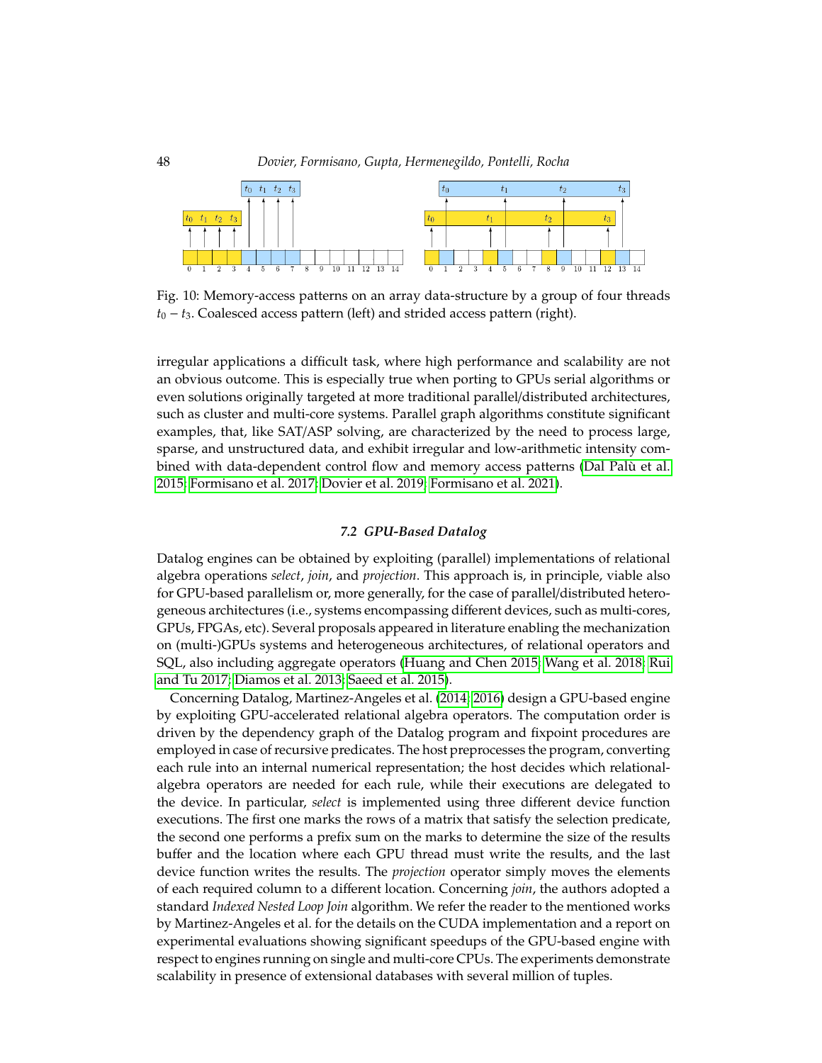<span id="page-47-0"></span>

Fig. 10: Memory-access patterns on an array data-structure by a group of four threads *t*<sub>0</sub> − *t*<sub>3</sub>. Coalesced access pattern (left) and strided access pattern (right).

irregular applications a difficult task, where high performance and scalability are not an obvious outcome. This is especially true when porting to GPUs serial algorithms or even solutions originally targeted at more traditional parallel/distributed architectures, such as cluster and multi-core systems. Parallel graph algorithms constitute significant examples, that, like SAT/ASP solving, are characterized by the need to process large, sparse, and unstructured data, and exhibit irregular and low-arithmetic intensity combined with data-dependent control flow and memory access patterns (Dal Palù et al. [2015;](#page-54-18) [Formisano et al. 2017;](#page-55-11) [Dovier et al. 2019;](#page-55-12) [Formisano et al. 2021\)](#page-55-13).

# *7.2 GPU-Based Datalog*

Datalog engines can be obtained by exploiting (parallel) implementations of relational algebra operations *select*, *join*, and *projection*. This approach is, in principle, viable also for GPU-based parallelism or, more generally, for the case of parallel/distributed heterogeneous architectures (i.e., systems encompassing different devices, such as multi-cores, GPUs, FPGAs, etc). Several proposals appeared in literature enabling the mechanization on (multi-)GPUs systems and heterogeneous architectures, of relational operators and SQL, also including aggregate operators [\(Huang and Chen 2015;](#page-58-17) [Wang et al. 2018;](#page-66-13) [Rui](#page-64-17) [and Tu 2017;](#page-64-17) [Diamos et al. 2013;](#page-54-13) [Saeed et al. 2015\)](#page-64-18).

Concerning Datalog, Martinez-Angeles et al. [\(2014;](#page-61-13) [2016\)](#page-61-15) design a GPU-based engine by exploiting GPU-accelerated relational algebra operators. The computation order is driven by the dependency graph of the Datalog program and fixpoint procedures are employed in case of recursive predicates. The host preprocesses the program, converting each rule into an internal numerical representation; the host decides which relationalalgebra operators are needed for each rule, while their executions are delegated to the device. In particular, *select* is implemented using three different device function executions. The first one marks the rows of a matrix that satisfy the selection predicate, the second one performs a prefix sum on the marks to determine the size of the results buffer and the location where each GPU thread must write the results, and the last device function writes the results. The *projection* operator simply moves the elements of each required column to a different location. Concerning *join*, the authors adopted a standard *Indexed Nested Loop Join* algorithm. We refer the reader to the mentioned works by Martinez-Angeles et al. for the details on the CUDA implementation and a report on experimental evaluations showing significant speedups of the GPU-based engine with respect to engines running on single and multi-core CPUs. The experiments demonstrate scalability in presence of extensional databases with several million of tuples.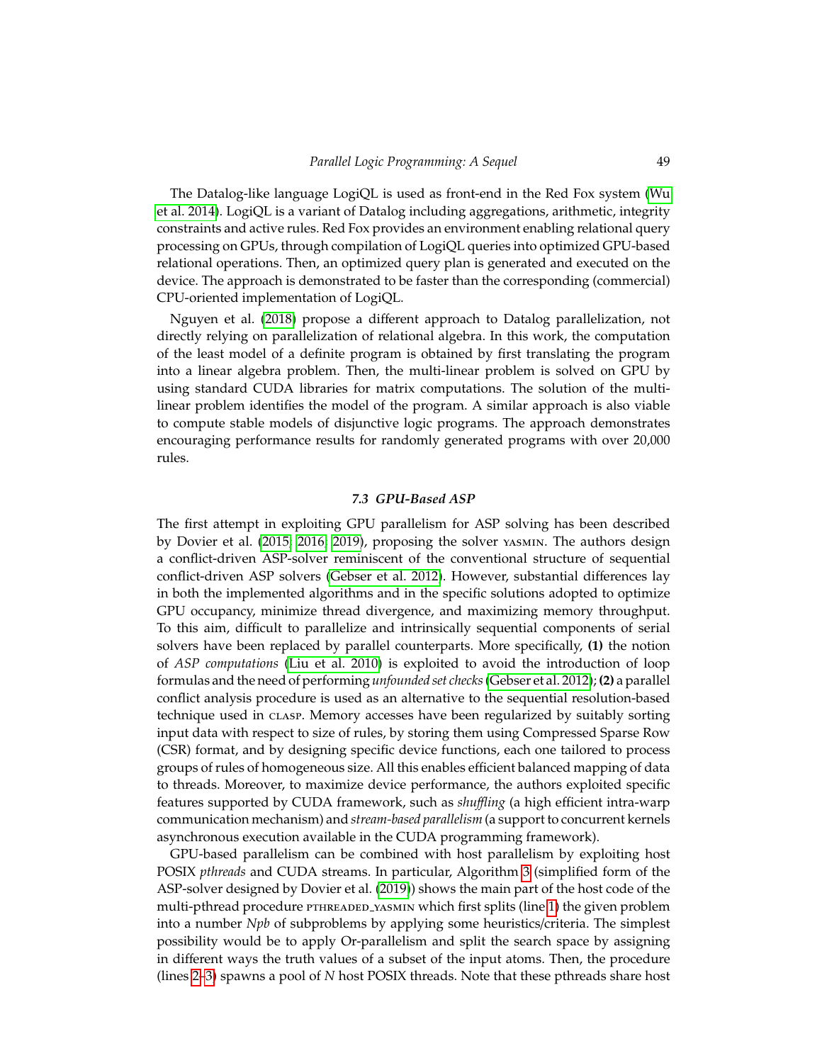The Datalog-like language LogiQL is used as front-end in the Red Fox system [\(Wu](#page-67-19) [et al. 2014\)](#page-67-19). LogiQL is a variant of Datalog including aggregations, arithmetic, integrity constraints and active rules. Red Fox provides an environment enabling relational query processing on GPUs, through compilation of LogiQL queries into optimized GPU-based relational operations. Then, an optimized query plan is generated and executed on the device. The approach is demonstrated to be faster than the corresponding (commercial) CPU-oriented implementation of LogiQL.

Nguyen et al. [\(2018\)](#page-62-15) propose a different approach to Datalog parallelization, not directly relying on parallelization of relational algebra. In this work, the computation of the least model of a definite program is obtained by first translating the program into a linear algebra problem. Then, the multi-linear problem is solved on GPU by using standard CUDA libraries for matrix computations. The solution of the multilinear problem identifies the model of the program. A similar approach is also viable to compute stable models of disjunctive logic programs. The approach demonstrates encouraging performance results for randomly generated programs with over 20,000 rules.

#### *7.3 GPU-Based ASP*

The first attempt in exploiting GPU parallelism for ASP solving has been described by Dovier et al. [\(2015;](#page-55-14) [2016;](#page-55-15) [2019\)](#page-55-12), proposing the solver yasmin. The authors design a conflict-driven ASP-solver reminiscent of the conventional structure of sequential conflict-driven ASP solvers [\(Gebser et al. 2012\)](#page-56-16). However, substantial differences lay in both the implemented algorithms and in the specific solutions adopted to optimize GPU occupancy, minimize thread divergence, and maximizing memory throughput. To this aim, difficult to parallelize and intrinsically sequential components of serial solvers have been replaced by parallel counterparts. More specifically, **(1)** the notion of *ASP computations* [\(Liu et al. 2010\)](#page-60-16) is exploited to avoid the introduction of loop formulas and the need of performing *unfounded set checks*[\(Gebser et al. 2012\)](#page-56-16);**(2)** a parallel conflict analysis procedure is used as an alternative to the sequential resolution-based technique used in clasp. Memory accesses have been regularized by suitably sorting input data with respect to size of rules, by storing them using Compressed Sparse Row (CSR) format, and by designing specific device functions, each one tailored to process groups of rules of homogeneous size. All this enables efficient balanced mapping of data to threads. Moreover, to maximize device performance, the authors exploited specific features supported by CUDA framework, such as *shu*ffl*ing* (a high efficient intra-warp communication mechanism) and *stream-based parallelism* (a support to concurrent kernels asynchronous execution available in the CUDA programming framework).

GPU-based parallelism can be combined with host parallelism by exploiting host POSIX *pthreads* and CUDA streams. In particular, Algorithm [3](#page-49-0) (simplified form of the ASP-solver designed by Dovier et al. [\(2019\)](#page-55-12)) shows the main part of the host code of the multi-pthread procedure PTHREADED\_YASMIN which first splits (line [1\)](#page-49-1) the given problem into a number *Npb* of subproblems by applying some heuristics/criteria. The simplest possibility would be to apply Or-parallelism and split the search space by assigning in different ways the truth values of a subset of the input atoms. Then, the procedure (lines [2](#page-49-2)[–3\)](#page-49-3) spawns a pool of *N* host POSIX threads. Note that these pthreads share host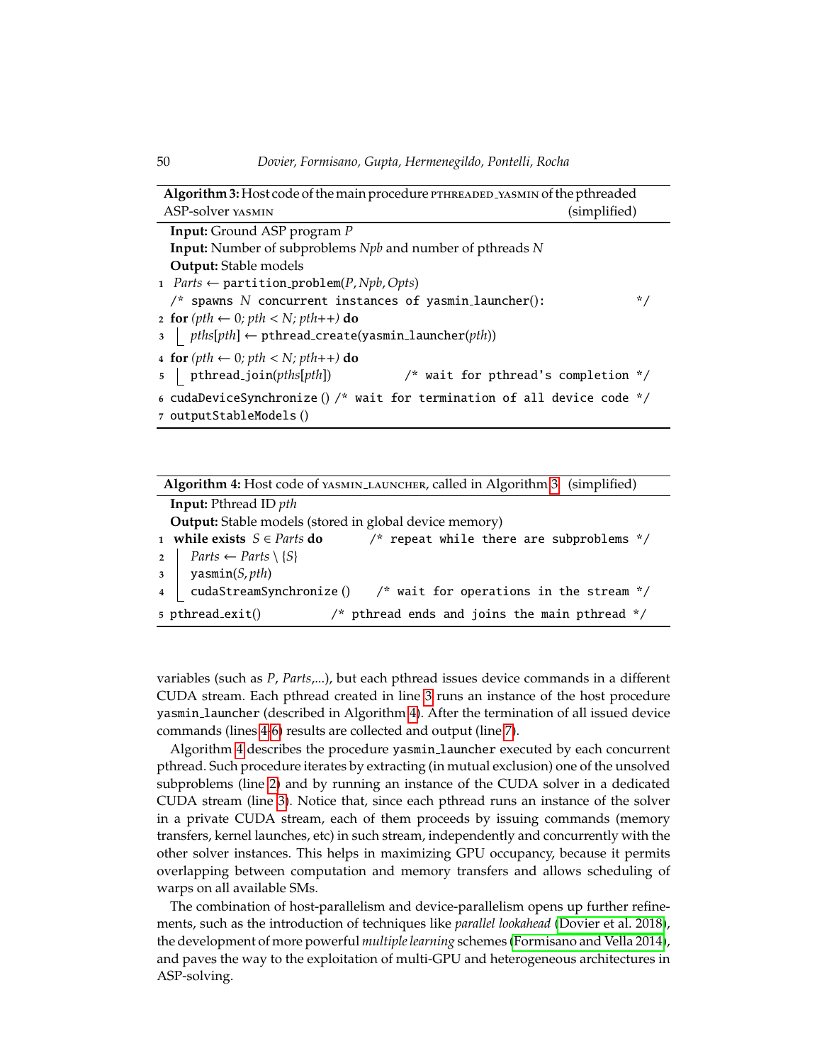<span id="page-49-3"></span><span id="page-49-2"></span><span id="page-49-1"></span>

| Algorithm 3: Host code of the main procedure PTHREADED_YASMIN of the pthreaded                      |              |
|-----------------------------------------------------------------------------------------------------|--------------|
| ASP-solver YASMIN                                                                                   | (simplified) |
| <b>Input:</b> Ground ASP program P                                                                  |              |
| <b>Input:</b> Number of subproblems Npb and number of pthreads N                                    |              |
| <b>Output:</b> Stable models                                                                        |              |
| 1 $Parts \leftarrow$ partition_problem(P, Npb, Opts)                                                |              |
| $/*$ spawns N concurrent instances of yasmin_launcher():                                            | * /          |
| 2 for $(\text{pth} \leftarrow 0; \text{pth} < N; \text{pth} + \cdot)$ do                            |              |
| $\text{and} \quad \text{pths}[pth] \leftarrow \text{pthread\_create}(yasmin\_l\text{auncher}(pth))$ |              |
| 4 for $(\text{pth} \leftarrow 0; \text{pth} < N; \text{pth} + \cdot)$ do                            |              |
| $5$   pthread_join(pths[pth])<br>/* wait for pthread's completion $*/$                              |              |
| 6 cudaDeviceSynchronize() /* wait for termination of all device code */<br>7 outputStableModels()   |              |

<span id="page-49-9"></span><span id="page-49-8"></span><span id="page-49-7"></span><span id="page-49-6"></span><span id="page-49-5"></span><span id="page-49-0"></span>

| Algorithm 4: Host code of YASMIN_LAUNCHER, called in Algorithm 3 (simplified)        |  |
|--------------------------------------------------------------------------------------|--|
| <b>Input:</b> Pthread ID <i>pth</i>                                                  |  |
| <b>Output:</b> Stable models (stored in global device memory)                        |  |
| 1 while exists $S \in$ <i>Parts</i> do<br>/* repeat while there are subproblems $*/$ |  |
| 2   Parts $\leftarrow$ Parts $\setminus \{S\}$                                       |  |
| $\mathfrak{g}$ yasmin( <i>S</i> , <i>pth</i> )                                       |  |
| cudaStreamSynchronize() $\quad$ /* wait for operations in the stream */<br>4         |  |
| $5$ pthread_exit()<br>$/*$ pthread ends and joins the main pthread $*/$              |  |

<span id="page-49-4"></span>variables (such as *P*, *Parts*,...), but each pthread issues device commands in a different CUDA stream. Each pthread created in line [3](#page-49-3) runs an instance of the host procedure yasmin launcher (described in Algorithm [4\)](#page-49-4). After the termination of all issued device commands (lines [4-](#page-49-5)[6\)](#page-49-6) results are collected and output (line [7\)](#page-49-7).

Algorithm [4](#page-49-4) describes the procedure yasmin launcher executed by each concurrent pthread. Such procedure iterates by extracting (in mutual exclusion) one of the unsolved subproblems (line [2\)](#page-49-8) and by running an instance of the CUDA solver in a dedicated CUDA stream (line [3\)](#page-49-9). Notice that, since each pthread runs an instance of the solver in a private CUDA stream, each of them proceeds by issuing commands (memory transfers, kernel launches, etc) in such stream, independently and concurrently with the other solver instances. This helps in maximizing GPU occupancy, because it permits overlapping between computation and memory transfers and allows scheduling of warps on all available SMs.

The combination of host-parallelism and device-parallelism opens up further refinements, such as the introduction of techniques like *parallel lookahead* [\(Dovier et al. 2018\)](#page-54-12), the development of more powerful *multiple learning* schemes [\(Formisano and Vella 2014\)](#page-55-16), and paves the way to the exploitation of multi-GPU and heterogeneous architectures in ASP-solving.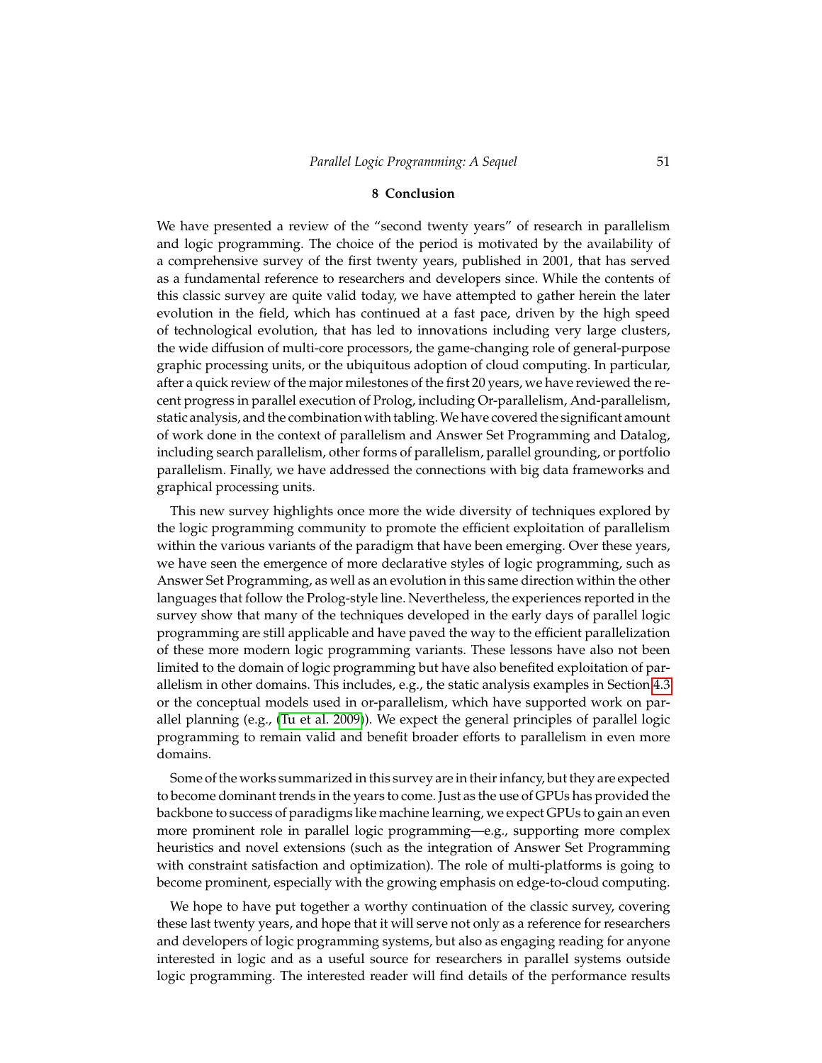#### **8 Conclusion**

<span id="page-50-0"></span>We have presented a review of the "second twenty years" of research in parallelism and logic programming. The choice of the period is motivated by the availability of a comprehensive survey of the first twenty years, published in 2001, that has served as a fundamental reference to researchers and developers since. While the contents of this classic survey are quite valid today, we have attempted to gather herein the later evolution in the field, which has continued at a fast pace, driven by the high speed of technological evolution, that has led to innovations including very large clusters, the wide diffusion of multi-core processors, the game-changing role of general-purpose graphic processing units, or the ubiquitous adoption of cloud computing. In particular, after a quick review of the major milestones of the first 20 years, we have reviewed the recent progress in parallel execution of Prolog, including Or-parallelism, And-parallelism, static analysis, and the combination with tabling.We have covered the significant amount of work done in the context of parallelism and Answer Set Programming and Datalog, including search parallelism, other forms of parallelism, parallel grounding, or portfolio parallelism. Finally, we have addressed the connections with big data frameworks and graphical processing units.

This new survey highlights once more the wide diversity of techniques explored by the logic programming community to promote the efficient exploitation of parallelism within the various variants of the paradigm that have been emerging. Over these years, we have seen the emergence of more declarative styles of logic programming, such as Answer Set Programming, as well as an evolution in this same direction within the other languages that follow the Prolog-style line. Nevertheless, the experiences reported in the survey show that many of the techniques developed in the early days of parallel logic programming are still applicable and have paved the way to the efficient parallelization of these more modern logic programming variants. These lessons have also not been limited to the domain of logic programming but have also benefited exploitation of parallelism in other domains. This includes, e.g., the static analysis examples in Section [4.3](#page-23-0) or the conceptual models used in or-parallelism, which have supported work on parallel planning (e.g., [\(Tu et al. 2009\)](#page-66-19)). We expect the general principles of parallel logic programming to remain valid and benefit broader efforts to parallelism in even more domains.

Some of the works summarized in this survey are in their infancy, but they are expected to become dominant trends in the years to come. Just as the use of GPUs has provided the backbone to success of paradigms like machine learning, we expect GPUs to gain an even more prominent role in parallel logic programming—e.g., supporting more complex heuristics and novel extensions (such as the integration of Answer Set Programming with constraint satisfaction and optimization). The role of multi-platforms is going to become prominent, especially with the growing emphasis on edge-to-cloud computing.

We hope to have put together a worthy continuation of the classic survey, covering these last twenty years, and hope that it will serve not only as a reference for researchers and developers of logic programming systems, but also as engaging reading for anyone interested in logic and as a useful source for researchers in parallel systems outside logic programming. The interested reader will find details of the performance results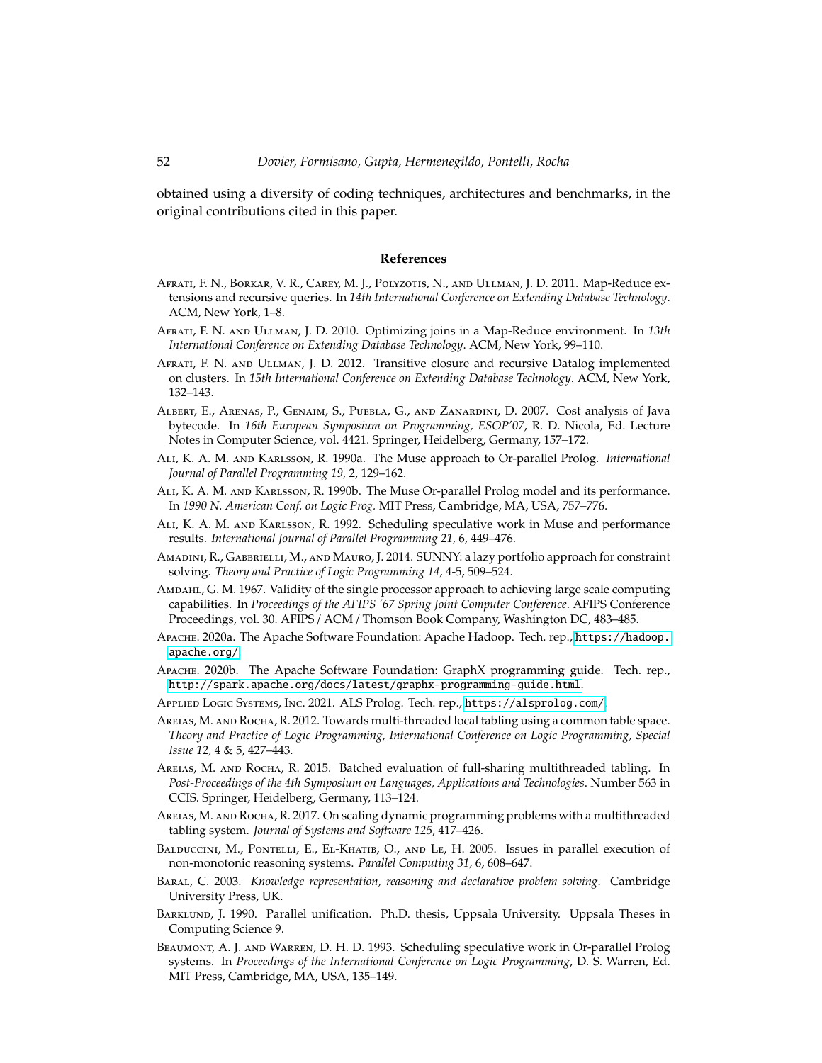obtained using a diversity of coding techniques, architectures and benchmarks, in the original contributions cited in this paper.

## **References**

- <span id="page-51-17"></span>Afrati, F. N., Borkar, V. R., Carey, M. J., Polyzotis, N., and Ullman, J. D. 2011. Map-Reduce extensions and recursive queries. In *14th International Conference on Extending Database Technology*. ACM, New York, 1–8.
- <span id="page-51-16"></span>Afrati, F. N. and Ullman, J. D. 2010. Optimizing joins in a Map-Reduce environment. In *13th International Conference on Extending Database Technology*. ACM, New York, 99–110.
- <span id="page-51-18"></span>Afrati, F. N. and Ullman, J. D. 2012. Transitive closure and recursive Datalog implemented on clusters. In *15th International Conference on Extending Database Technology*. ACM, New York, 132–143.
- <span id="page-51-8"></span>Albert, E., Arenas, P., Genaim, S., Puebla, G., and Zanardini, D. 2007. Cost analysis of Java bytecode. In *16th European Symposium on Programming, ESOP'07*, R. D. Nicola, Ed. Lecture Notes in Computer Science, vol. 4421. Springer, Heidelberg, Germany, 157–172.
- <span id="page-51-4"></span>Ali, K. A. M. and Karlsson, R. 1990a. The Muse approach to Or-parallel Prolog. *International Journal of Parallel Programming 19,* 2, 129–162.
- <span id="page-51-2"></span>Ali, K. A. M. and Karlsson, R. 1990b. The Muse Or-parallel Prolog model and its performance. In *1990 N. American Conf. on Logic Prog.* MIT Press, Cambridge, MA, USA, 757–776.
- <span id="page-51-6"></span>Ali, K. A. M. and Karlsson, R. 1992. Scheduling speculative work in Muse and performance results. *International Journal of Parallel Programming 21,* 6, 449–476.
- <span id="page-51-13"></span>AMADINI, R., GABBRIELLI, M., AND MAURO, J. 2014. SUNNY: a lazy portfolio approach for constraint solving. *Theory and Practice of Logic Programming 14,* 4-5, 509–524.
- <span id="page-51-1"></span>Amdahl, G. M. 1967. Validity of the single processor approach to achieving large scale computing capabilities. In *Proceedings of the AFIPS '67 Spring Joint Computer Conference*. AFIPS Conference Proceedings, vol. 30. AFIPS / ACM / Thomson Book Company, Washington DC, 483–485.
- <span id="page-51-14"></span>Apache. 2020a. The Apache Software Foundation: Apache Hadoop. Tech. rep., [https://hadoop.](https://hadoop.apache.org/) [apache.org/](https://hadoop.apache.org/).
- <span id="page-51-15"></span>Apache. 2020b. The Apache Software Foundation: GraphX programming guide. Tech. rep., <http://spark.apache.org/docs/latest/graphx-programming-guide.html>.
- <span id="page-51-7"></span>Applied Logic Systems, Inc. 2021. ALS Prolog. Tech. rep., <https://alsprolog.com/>.
- <span id="page-51-9"></span>AREIAS, M. AND ROCHA, R. 2012. Towards multi-threaded local tabling using a common table space. *Theory and Practice of Logic Programming, International Conference on Logic Programming, Special Issue 12,* 4 & 5, 427–443.
- <span id="page-51-11"></span>Areias, M. and Rocha, R. 2015. Batched evaluation of full-sharing multithreaded tabling. In *Post-Proceedings of the 4th Symposium on Languages, Applications and Technologies*. Number 563 in CCIS. Springer, Heidelberg, Germany, 113–124.
- <span id="page-51-10"></span>AREIAS, M. AND ROCHA, R. 2017. On scaling dynamic programming problems with a multithreaded tabling system. *Journal of Systems and Software 125*, 417–426.
- <span id="page-51-12"></span>BALDUCCINI, M., PONTELLI, E., EL-KHATIB, O., AND LE, H. 2005. Issues in parallel execution of non-monotonic reasoning systems. *Parallel Computing 31,* 6, 608–647.
- <span id="page-51-0"></span>Baral, C. 2003. *Knowledge representation, reasoning and declarative problem solving*. Cambridge University Press, UK.
- <span id="page-51-3"></span>BARKLUND, J. 1990. Parallel unification. Ph.D. thesis, Uppsala University. Uppsala Theses in Computing Science 9.
- <span id="page-51-5"></span>Beaumont, A. J. and Warren, D. H. D. 1993. Scheduling speculative work in Or-parallel Prolog systems. In *Proceedings of the International Conference on Logic Programming*, D. S. Warren, Ed. MIT Press, Cambridge, MA, USA, 135–149.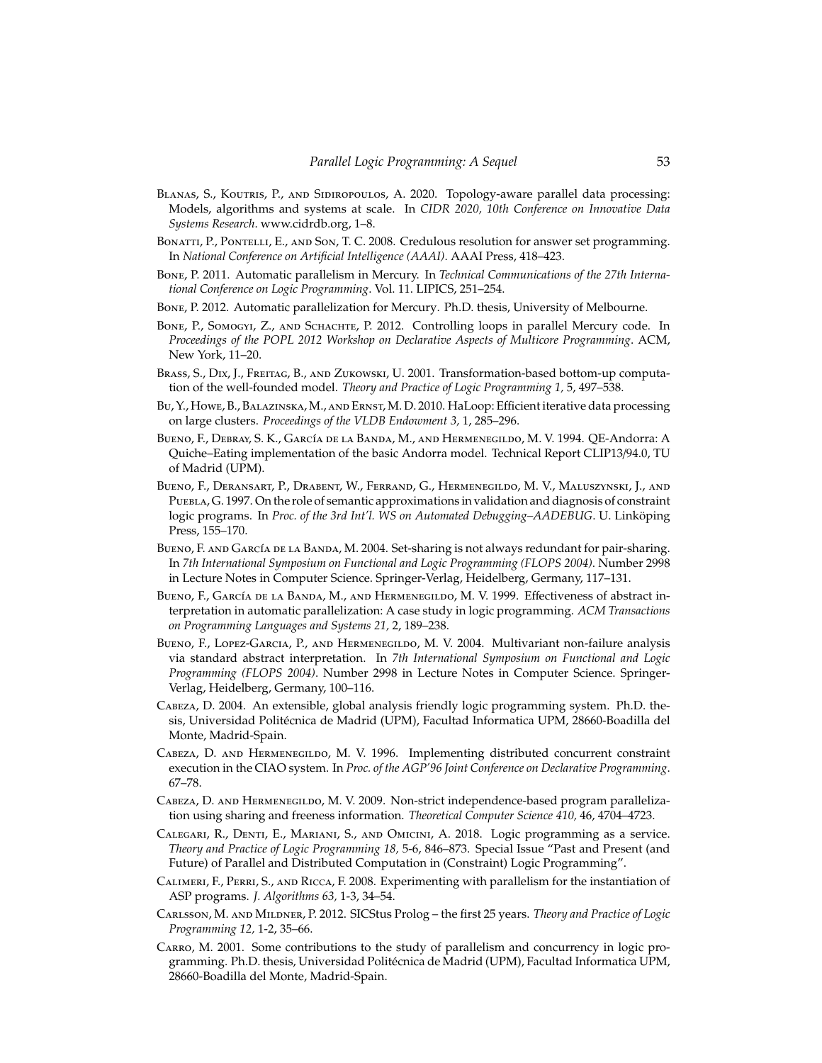- <span id="page-52-18"></span>BLANAS, S., KOUTRIS, P., AND SIDIROPOULOS, A. 2020. Topology-aware parallel data processing: Models, algorithms and systems at scale. In *CIDR 2020, 10th Conference on Innovative Data Systems Research*. www.cidrdb.org, 1–8.
- <span id="page-52-16"></span>BONATTI, P., PONTELLI, E., AND SON, T. C. 2008. Credulous resolution for answer set programming. In *National Conference on Artificial Intelligence (AAAI)*. AAAI Press, 418–423.
- <span id="page-52-10"></span>Bone, P. 2011. Automatic parallelism in Mercury. In *Technical Communications of the 27th International Conference on Logic Programming*. Vol. 11. LIPICS, 251–254.
- <span id="page-52-8"></span>Bone, P. 2012. Automatic parallelization for Mercury. Ph.D. thesis, University of Melbourne.
- <span id="page-52-9"></span>Bone, P., Somogyi, Z., and Schachte, P. 2012. Controlling loops in parallel Mercury code. In *Proceedings of the POPL 2012 Workshop on Declarative Aspects of Multicore Programming*. ACM, New York, 11–20.
- <span id="page-52-0"></span>BRASS, S., DIX, J., FREITAG, B., AND ZUKOWSKI, U. 2001. Transformation-based bottom-up computation of the well-founded model. *Theory and Practice of Logic Programming 1,* 5, 497–538.
- <span id="page-52-17"></span>Bu, Y., Howe, B., Balazinska, M., and Ernst, M. D. 2010. HaLoop: Efficient iterative data processing on large clusters. *Proceedings of the VLDB Endowment 3,* 1, 285–296.
- <span id="page-52-3"></span>Bueno, F., Debray, S. K., García de la Banda, M., and Hermenegildo, M. V. 1994. QE-Andorra: A Quiche–Eating implementation of the basic Andorra model. Technical Report CLIP13/94.0, TU of Madrid (UPM).
- <span id="page-52-14"></span>Bueno, F., Deransart, P., Drabent, W., Ferrand, G., Hermenegildo, M. V., Maluszynski, J., and Puebla, G. 1997. On the role of semantic approximations in validation and diagnosis of constraint logic programs. In *Proc. of the 3rd Int'l. WS on Automated Debugging-AADEBUG*. U. Linköping Press, 155–170.
- <span id="page-52-11"></span>BUENO, F. AND GARCÍA DE LA BANDA, M. 2004. Set-sharing is not always redundant for pair-sharing. In *7th International Symposium on Functional and Logic Programming (FLOPS 2004)*. Number 2998 in Lecture Notes in Computer Science. Springer-Verlag, Heidelberg, Germany, 117–131.
- <span id="page-52-5"></span>BUENO, F., GARCÍA DE LA BANDA, M., AND HERMENEGILDO, M. V. 1999. Effectiveness of abstract interpretation in automatic parallelization: A case study in logic programming. *ACM Transactions on Programming Languages and Systems 21,* 2, 189–238.
- <span id="page-52-12"></span>Bueno, F., Lopez-Garcia, P., and Hermenegildo, M. V. 2004. Multivariant non-failure analysis via standard abstract interpretation. In *7th International Symposium on Functional and Logic Programming (FLOPS 2004)*. Number 2998 in Lecture Notes in Computer Science. Springer-Verlag, Heidelberg, Germany, 100–116.
- <span id="page-52-7"></span>Cabeza, D. 2004. An extensible, global analysis friendly logic programming system. Ph.D. thesis, Universidad Politécnica de Madrid (UPM), Facultad Informatica UPM, 28660-Boadilla del Monte, Madrid-Spain.
- <span id="page-52-6"></span>Cabeza, D. and Hermenegildo, M. V. 1996. Implementing distributed concurrent constraint execution in the CIAO system. In *Proc. of the AGP'96 Joint Conference on Declarative Programming*. 67–78.
- <span id="page-52-13"></span>Cabeza, D. and Hermenegildo, M. V. 2009. Non-strict independence-based program parallelization using sharing and freeness information. *Theoretical Computer Science 410,* 46, 4704–4723.
- <span id="page-52-2"></span>Calegari, R., Denti, E., Mariani, S., and Omicini, A. 2018. Logic programming as a service. *Theory and Practice of Logic Programming 18,* 5-6, 846–873. Special Issue "Past and Present (and Future) of Parallel and Distributed Computation in (Constraint) Logic Programming".
- <span id="page-52-15"></span>Calimeri, F., Perri, S., and Ricca, F. 2008. Experimenting with parallelism for the instantiation of ASP programs. *J. Algorithms 63,* 1-3, 34–54.
- <span id="page-52-1"></span>Carlsson, M. and Mildner, P. 2012. SICStus Prolog – the first 25 years. *Theory and Practice of Logic Programming 12,* 1-2, 35–66.
- <span id="page-52-4"></span>Carro, M. 2001. Some contributions to the study of parallelism and concurrency in logic programming. Ph.D. thesis, Universidad Politécnica de Madrid (UPM), Facultad Informatica UPM, 28660-Boadilla del Monte, Madrid-Spain.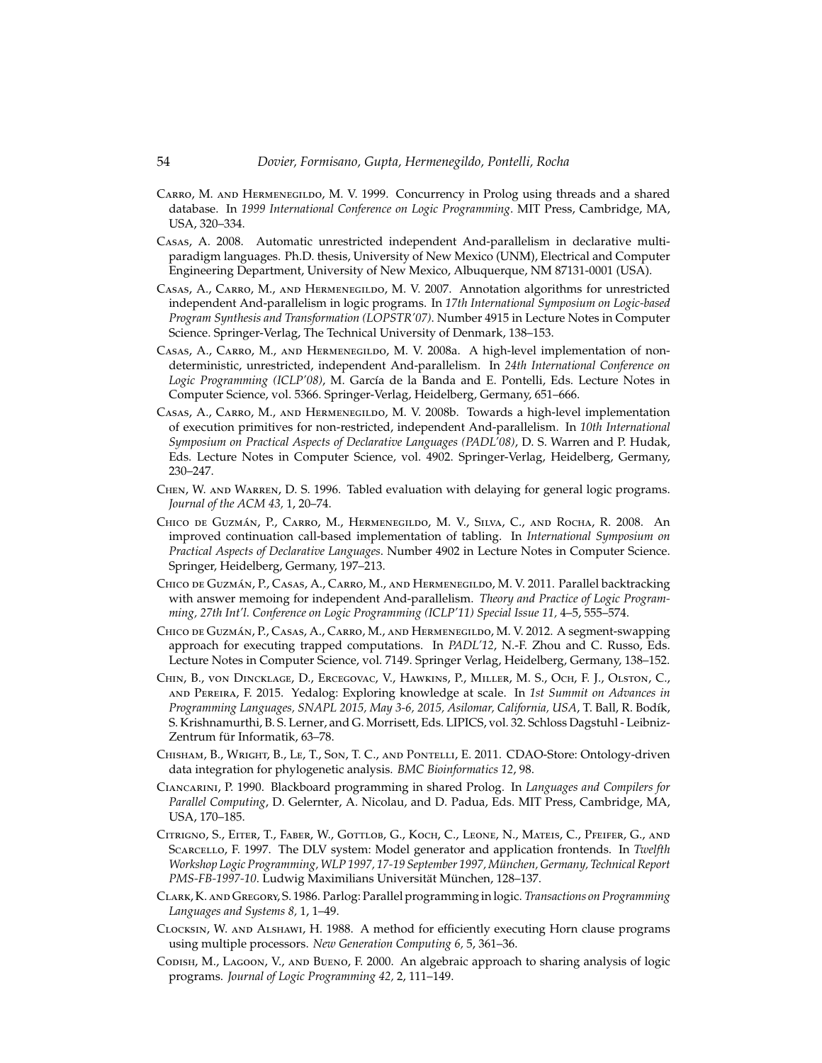- <span id="page-53-1"></span>Carro, M. and Hermenegildo, M. V. 1999. Concurrency in Prolog using threads and a shared database. In *1999 International Conference on Logic Programming*. MIT Press, Cambridge, MA, USA, 320–334.
- <span id="page-53-5"></span>Casas, A. 2008. Automatic unrestricted independent And-parallelism in declarative multiparadigm languages. Ph.D. thesis, University of New Mexico (UNM), Electrical and Computer Engineering Department, University of New Mexico, Albuquerque, NM 87131-0001 (USA).
- <span id="page-53-9"></span>Casas, A., Carro, M., and Hermenegildo, M. V. 2007. Annotation algorithms for unrestricted independent And-parallelism in logic programs. In *17th International Symposium on Logic-based Program Synthesis and Transformation (LOPSTR'07)*. Number 4915 in Lecture Notes in Computer Science. Springer-Verlag, The Technical University of Denmark, 138–153.
- <span id="page-53-6"></span>Casas, A., Carro, M., and Hermenegildo, M. V. 2008a. A high-level implementation of nondeterministic, unrestricted, independent And-parallelism. In *24th International Conference on* Logic Programming (ICLP'08), M. García de la Banda and E. Pontelli, Eds. Lecture Notes in Computer Science, vol. 5366. Springer-Verlag, Heidelberg, Germany, 651–666.
- <span id="page-53-7"></span>Casas, A., Carro, M., and Hermenegildo, M. V. 2008b. Towards a high-level implementation of execution primitives for non-restricted, independent And-parallelism. In *10th International Symposium on Practical Aspects of Declarative Languages (PADL'08)*, D. S. Warren and P. Hudak, Eds. Lecture Notes in Computer Science, vol. 4902. Springer-Verlag, Heidelberg, Germany, 230–247.
- <span id="page-53-10"></span>Chen, W. and Warren, D. S. 1996. Tabled evaluation with delaying for general logic programs. *Journal of the ACM 43,* 1, 20–74.
- <span id="page-53-11"></span>Chico de Guzmán, P., Carro, M., Hermenegildo, M. V., Silva, C., and Rocha, R. 2008. An improved continuation call-based implementation of tabling. In *International Symposium on Practical Aspects of Declarative Languages*. Number 4902 in Lecture Notes in Computer Science. Springer, Heidelberg, Germany, 197–213.
- <span id="page-53-3"></span>CHICO DE GUZMÁN, P., CASAS, A., CARRO, M., AND HERMENEGILDO, M. V. 2011. Parallel backtracking with answer memoing for independent And-parallelism. *Theory and Practice of Logic Programming, 27th Int'l. Conference on Logic Programming (ICLP'11) Special Issue 11,* 4–5, 555–574.
- <span id="page-53-4"></span>CHICO DE GUZMÁN, P., CASAS, A., CARRO, M., AND HERMENEGILDO, M. V. 2012. A segment-swapping approach for executing trapped computations. In *PADL'12*, N.-F. Zhou and C. Russo, Eds. Lecture Notes in Computer Science, vol. 7149. Springer Verlag, Heidelberg, Germany, 138–152.
- <span id="page-53-12"></span>Chin, B., von Dincklage, D., Ercegovac, V., Hawkins, P., Miller, M. S., Och, F. J., Olston, C., and Pereira, F. 2015. Yedalog: Exploring knowledge at scale. In *1st Summit on Advances in Programming Languages, SNAPL 2015, May 3-6, 2015, Asilomar, California, USA*, T. Ball, R. Bod´ık, S. Krishnamurthi, B. S. Lerner, and G. Morrisett, Eds. LIPICS, vol. 32. Schloss Dagstuhl - Leibniz-Zentrum für Informatik, 63-78.
- <span id="page-53-15"></span>Chisham, B., Wright, B., Le, T., Son, T. C., and Pontelli, E. 2011. CDAO-Store: Ontology-driven data integration for phylogenetic analysis. *BMC Bioinformatics 12*, 98.
- <span id="page-53-0"></span>Ciancarini, P. 1990. Blackboard programming in shared Prolog. In *Languages and Compilers for Parallel Computing*, D. Gelernter, A. Nicolau, and D. Padua, Eds. MIT Press, Cambridge, MA, USA, 170–185.
- <span id="page-53-13"></span>Citrigno, S., Eiter, T., Faber, W., Gottlob, G., Koch, C., Leone, N., Mateis, C., Pfeifer, G., and Scarcello, F. 1997. The DLV system: Model generator and application frontends. In *Twelfth Workshop Logic Programming, WLP 1997, 17-19 September 1997, M ¨unchen, Germany, Technical Report* PMS-FB-1997-10. Ludwig Maximilians Universität München, 128–137.
- <span id="page-53-2"></span>Clark, K. and Gregory, S. 1986. Parlog: Parallel programming in logic. *Transactions on Programming Languages and Systems 8,* 1, 1–49.
- <span id="page-53-14"></span>Clocksin, W. and Alshawi, H. 1988. A method for efficiently executing Horn clause programs using multiple processors. *New Generation Computing 6,* 5, 361–36.
- <span id="page-53-8"></span>CODISH, M., LAGOON, V., AND BUENO, F. 2000. An algebraic approach to sharing analysis of logic programs. *Journal of Logic Programming 42,* 2, 111–149.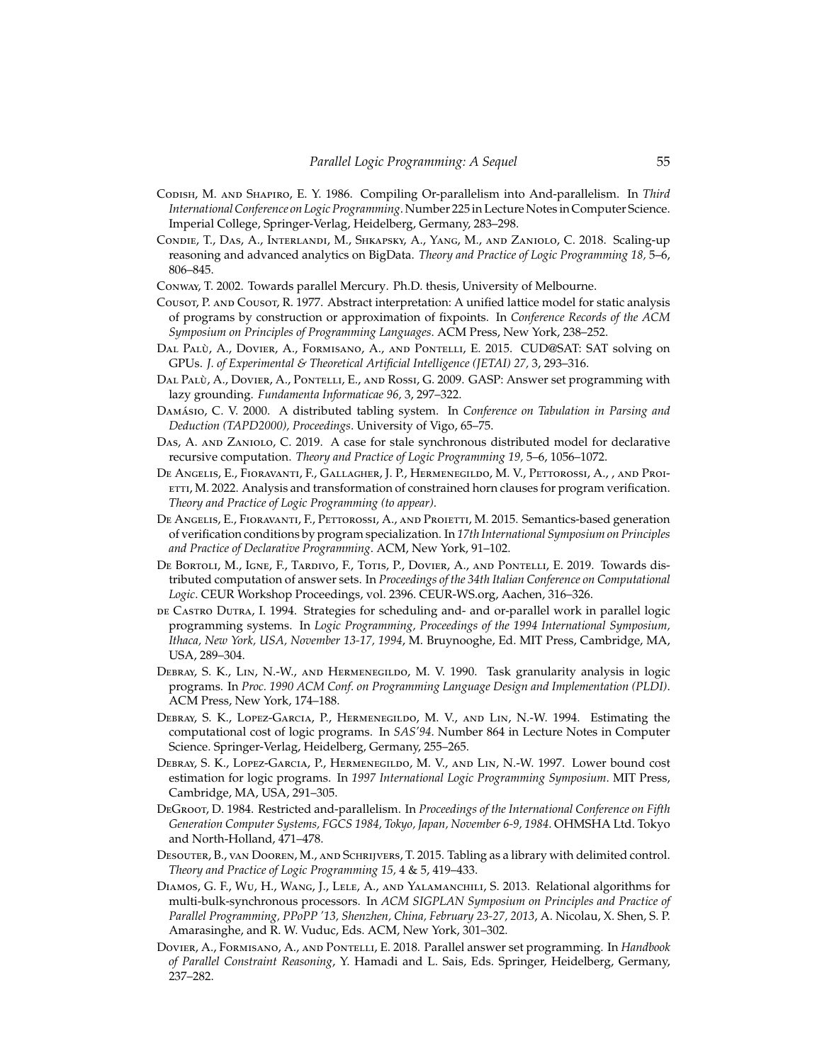- <span id="page-54-2"></span>Codish, M. and Shapiro, E. Y. 1986. Compiling Or-parallelism into And-parallelism. In *Third International Conference on Logic Programming*. Number 225 in Lecture Notes in Computer Science. Imperial College, Springer-Verlag, Heidelberg, Germany, 283–298.
- <span id="page-54-14"></span>Condie, T., Das, A., Interlandi, M., Shkapsky, A., Yang, M., and Zaniolo, C. 2018. Scaling-up reasoning and advanced analytics on BigData. *Theory and Practice of Logic Programming 18,* 5–6, 806–845.
- <span id="page-54-3"></span>Conway, T. 2002. Towards parallel Mercury. Ph.D. thesis, University of Melbourne.
- <span id="page-54-4"></span>Cousot, P. and Cousot, R. 1977. Abstract interpretation: A unified lattice model for static analysis of programs by construction or approximation of fixpoints. In *Conference Records of the ACM Symposium on Principles of Programming Languages*. ACM Press, New York, 238–252.
- <span id="page-54-18"></span>DAL PALÙ, A., DOVIER, A., FORMISANO, A., AND PONTELLI, E. 2015. CUD@SAT: SAT solving on GPUs. *J. of Experimental & Theoretical Artificial Intelligence (JETAI) 27,* 3, 293–316.
- <span id="page-54-16"></span>DAL PALÙ, A., DOVIER, A., PONTELLI, E., AND ROSSI, G. 2009. GASP: Answer set programming with lazy grounding. *Fundamenta Informaticae 96,* 3, 297–322.
- <span id="page-54-11"></span>Damásio, C. V. 2000. A distributed tabling system. In *Conference on Tabulation in Parsing and Deduction (TAPD2000), Proceedings*. University of Vigo, 65–75.
- <span id="page-54-15"></span>Das, A. AND ZANIOLO, C. 2019. A case for stale synchronous distributed model for declarative recursive computation. *Theory and Practice of Logic Programming 19,* 5–6, 1056–1072.
- <span id="page-54-9"></span>De Angelis, E., Fioravanti, F., Gallagher, J. P., Hermenegildo, M. V., Pettorossi, A., , and Proi-ETTI, M. 2022. Analysis and transformation of constrained horn clauses for program verification. *Theory and Practice of Logic Programming (to appear)*.
- <span id="page-54-8"></span>De Angelis, E., Fioravanti, F., Pettorossi, A., and Proietti, M. 2015. Semantics-based generation of verification conditions by program specialization. In *17th International Symposium on Principles and Practice of Declarative Programming*. ACM, New York, 91–102.
- <span id="page-54-17"></span>De Bortoli, M., Igne, F., Tardivo, F., Totis, P., Dovier, A., and Pontelli, E. 2019. Towards distributed computation of answer sets. In *Proceedings of the 34th Italian Conference on Computational Logic*. CEUR Workshop Proceedings, vol. 2396. CEUR-WS.org, Aachen, 316–326.
- <span id="page-54-1"></span>DE CASTRO DUTRA, I. 1994. Strategies for scheduling and- and or-parallel work in parallel logic programming systems. In *Logic Programming, Proceedings of the 1994 International Symposium, Ithaca, New York, USA, November 13-17, 1994*, M. Bruynooghe, Ed. MIT Press, Cambridge, MA, USA, 289–304.
- <span id="page-54-5"></span>Debray, S. K., Lin, N.-W., and Hermenegildo, M. V. 1990. Task granularity analysis in logic programs. In *Proc. 1990 ACM Conf. on Programming Language Design and Implementation (PLDI)*. ACM Press, New York, 174–188.
- <span id="page-54-6"></span>Debray, S. K., Lopez-Garcia, P., Hermenegildo, M. V., and Lin, N.-W. 1994. Estimating the computational cost of logic programs. In *SAS'94*. Number 864 in Lecture Notes in Computer Science. Springer-Verlag, Heidelberg, Germany, 255–265.
- <span id="page-54-7"></span>Debray, S. K., Lopez-Garcia, P., Hermenegildo, M. V., and Lin, N.-W. 1997. Lower bound cost estimation for logic programs. In *1997 International Logic Programming Symposium*. MIT Press, Cambridge, MA, USA, 291–305.
- <span id="page-54-0"></span>DeGroot, D. 1984. Restricted and-parallelism. In *Proceedings of the International Conference on Fifth Generation Computer Systems, FGCS 1984, Tokyo, Japan, November 6-9, 1984*. OHMSHA Ltd. Tokyo and North-Holland, 471–478.
- <span id="page-54-10"></span>Desouter, B., van Dooren, M., and Schrijvers, T. 2015. Tabling as a library with delimited control. *Theory and Practice of Logic Programming 15,* 4 & 5, 419–433.
- <span id="page-54-13"></span>DIAMOS, G. F., WU, H., WANG, J., LELE, A., AND YALAMANCHILI, S. 2013. Relational algorithms for multi-bulk-synchronous processors. In *ACM SIGPLAN Symposium on Principles and Practice of Parallel Programming, PPoPP '13, Shenzhen, China, February 23-27, 2013*, A. Nicolau, X. Shen, S. P. Amarasinghe, and R. W. Vuduc, Eds. ACM, New York, 301–302.
- <span id="page-54-12"></span>Dovier, A., Formisano, A., and Pontelli, E. 2018. Parallel answer set programming. In *Handbook of Parallel Constraint Reasoning*, Y. Hamadi and L. Sais, Eds. Springer, Heidelberg, Germany, 237–282.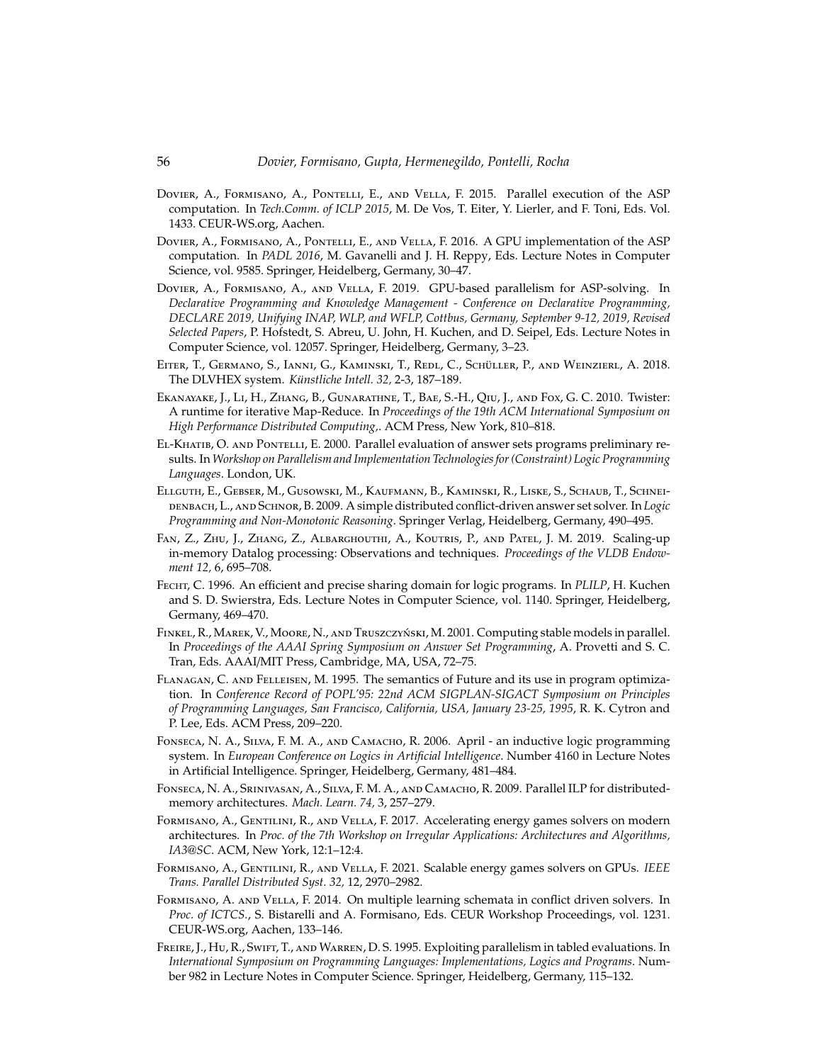- <span id="page-55-14"></span>Dovier, A., Formisano, A., Pontelli, E., and Vella, F. 2015. Parallel execution of the ASP computation. In *Tech.Comm. of ICLP 2015*, M. De Vos, T. Eiter, Y. Lierler, and F. Toni, Eds. Vol. 1433. CEUR-WS.org, Aachen.
- <span id="page-55-15"></span>Dovier, A., Formisano, A., Pontelli, E., and Vella, F. 2016. A GPU implementation of the ASP computation. In *PADL 2016*, M. Gavanelli and J. H. Reppy, Eds. Lecture Notes in Computer Science, vol. 9585. Springer, Heidelberg, Germany, 30–47.
- <span id="page-55-12"></span>Dovier, A., Formisano, A., and Vella, F. 2019. GPU-based parallelism for ASP-solving. In *Declarative Programming and Knowledge Management - Conference on Declarative Programming, DECLARE 2019, Unifying INAP, WLP, and WFLP, Cottbus, Germany, September 9-12, 2019, Revised Selected Papers*, P. Hofstedt, S. Abreu, U. John, H. Kuchen, and D. Seipel, Eds. Lecture Notes in Computer Science, vol. 12057. Springer, Heidelberg, Germany, 3–23.
- <span id="page-55-9"></span>Eiter, T., Germano, S., Ianni, G., Kaminski, T., Redl, C., Schüller, P., and Weinzierl, A. 2018. The DLVHEX system. *Künstliche Intell.* 32, 2-3, 187–189.
- <span id="page-55-10"></span>Ekanayake, J., Li, H., Zhang, B., Gunarathne, T., Bae, S.-H., Qiu, J., and Fox, G. C. 2010. Twister: A runtime for iterative Map-Reduce. In *Proceedings of the 19th ACM International Symposium on High Performance Distributed Computing,*. ACM Press, New York, 810–818.
- <span id="page-55-6"></span>El-Khatib, O. and Pontelli, E. 2000. Parallel evaluation of answer sets programs preliminary results. In *Workshop on Parallelism and Implementation Technologies for (Constraint) Logic Programming Languages*. London, UK.
- <span id="page-55-8"></span>Ellguth, E., Gebser, M., Gusowski, M., Kaufmann, B., Kaminski, R., Liske, S., Schaub, T., Schneidenbach, L., and Schnor, B. 2009. A simple distributed conflict-driven answer set solver. In *Logic Programming and Non-Monotonic Reasoning*. Springer Verlag, Heidelberg, Germany, 490–495.
- <span id="page-55-5"></span>Fan, Z., Zhu, J., Zhang, Z., Albarghouthi, A., Koutris, P., and Patel, J. M. 2019. Scaling-up in-memory Datalog processing: Observations and techniques. *Proceedings of the VLDB Endowment 12,* 6, 695–708.
- <span id="page-55-3"></span>Fecht, C. 1996. An efficient and precise sharing domain for logic programs. In *PLILP*, H. Kuchen and S. D. Swierstra, Eds. Lecture Notes in Computer Science, vol. 1140. Springer, Heidelberg, Germany, 469–470.
- <span id="page-55-7"></span>FINKEL, R., MAREK, V., MOORE, N., AND TRUSZCZYŃSKI, M. 2001. Computing stable models in parallel. In *Proceedings of the AAAI Spring Symposium on Answer Set Programming*, A. Provetti and S. C. Tran, Eds. AAAI/MIT Press, Cambridge, MA, USA, 72–75.
- <span id="page-55-2"></span>Flanagan, C. and Felleisen, M. 1995. The semantics of Future and its use in program optimization. In *Conference Record of POPL'95: 22nd ACM SIGPLAN-SIGACT Symposium on Principles of Programming Languages, San Francisco, California, USA, January 23-25, 1995*, R. K. Cytron and P. Lee, Eds. ACM Press, 209–220.
- <span id="page-55-0"></span>Fonseca, N. A., Silva, F. M. A., and Camacho, R. 2006. April - an inductive logic programming system. In *European Conference on Logics in Artificial Intelligence*. Number 4160 in Lecture Notes in Artificial Intelligence. Springer, Heidelberg, Germany, 481–484.
- <span id="page-55-1"></span>Fonseca, N. A., Srinivasan, A., Silva, F. M. A., and Camacho, R. 2009. Parallel ILP for distributedmemory architectures. *Mach. Learn. 74,* 3, 257–279.
- <span id="page-55-11"></span>Formisano, A., Gentilini, R., and Vella, F. 2017. Accelerating energy games solvers on modern architectures. In *Proc. of the 7th Workshop on Irregular Applications: Architectures and Algorithms, IA3@SC*. ACM, New York, 12:1–12:4.
- <span id="page-55-13"></span>Formisano, A., Gentilini, R., and Vella, F. 2021. Scalable energy games solvers on GPUs. *IEEE Trans. Parallel Distributed Syst. 32,* 12, 2970–2982.
- <span id="page-55-16"></span>Formisano, A. and Vella, F. 2014. On multiple learning schemata in conflict driven solvers. In *Proc. of ICTCS.*, S. Bistarelli and A. Formisano, Eds. CEUR Workshop Proceedings, vol. 1231. CEUR-WS.org, Aachen, 133–146.
- <span id="page-55-4"></span>FREIRE, J., HU, R., SWIFT, T., AND WARREN, D. S. 1995. Exploiting parallelism in tabled evaluations. In *International Symposium on Programming Languages: Implementations, Logics and Programs*. Number 982 in Lecture Notes in Computer Science. Springer, Heidelberg, Germany, 115–132.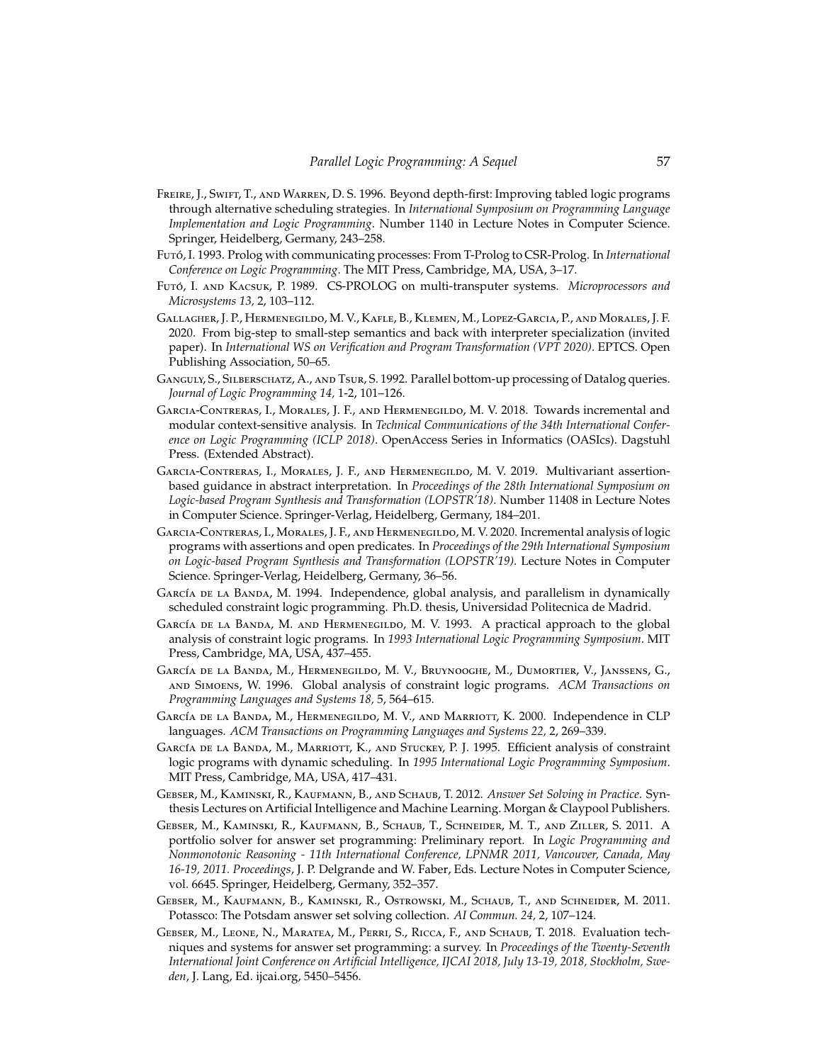- <span id="page-56-11"></span>Freire, J., Swift, T., and Warren, D. S. 1996. Beyond depth-first: Improving tabled logic programs through alternative scheduling strategies. In *International Symposium on Programming Language Implementation and Logic Programming*. Number 1140 in Lecture Notes in Computer Science. Springer, Heidelberg, Germany, 243–258.
- <span id="page-56-0"></span>Futo´, I. 1993. Prolog with communicating processes: From T-Prolog to CSR-Prolog. In *International Conference on Logic Programming*. The MIT Press, Cambridge, MA, USA, 3–17.
- <span id="page-56-1"></span>Futo´, I. and Kacsuk, P. 1989. CS-PROLOG on multi-transputer systems. *Microprocessors and Microsystems 13,* 2, 103–112.
- <span id="page-56-10"></span>Gallagher, J. P., Hermenegildo, M. V., Kafle, B., Klemen, M., Lopez-Garcia, P., and Morales, J. F. 2020. From big-step to small-step semantics and back with interpreter specialization (invited paper). In *International WS on Verification and Program Transformation (VPT 2020)*. EPTCS. Open Publishing Association, 50–65.
- <span id="page-56-13"></span>GANGULY, S., SILBERSCHATZ, A., AND TSUR, S. 1992. Parallel bottom-up processing of Datalog queries. *Journal of Logic Programming 14,* 1-2, 101–126.
- <span id="page-56-7"></span>Garcia-Contreras, I., Morales, J. F., and Hermenegildo, M. V. 2018. Towards incremental and modular context-sensitive analysis. In *Technical Communications of the 34th International Conference on Logic Programming (ICLP 2018)*. OpenAccess Series in Informatics (OASIcs). Dagstuhl Press. (Extended Abstract).
- <span id="page-56-8"></span>Garcia-Contreras, I., Morales, J. F., and Hermenegildo, M. V. 2019. Multivariant assertionbased guidance in abstract interpretation. In *Proceedings of the 28th International Symposium on Logic-based Program Synthesis and Transformation (LOPSTR'18)*. Number 11408 in Lecture Notes in Computer Science. Springer-Verlag, Heidelberg, Germany, 184–201.
- <span id="page-56-9"></span>Garcia-Contreras, I., Morales, J. F., and Hermenegildo, M. V. 2020. Incremental analysis of logic programs with assertions and open predicates. In *Proceedings of the 29th International Symposium on Logic-based Program Synthesis and Transformation (LOPSTR'19)*. Lecture Notes in Computer Science. Springer-Verlag, Heidelberg, Germany, 36–56.
- <span id="page-56-2"></span>GARCÍA DE LA BANDA, M. 1994. Independence, global analysis, and parallelism in dynamically scheduled constraint logic programming. Ph.D. thesis, Universidad Politecnica de Madrid.
- <span id="page-56-5"></span>GARCÍA DE LA BANDA, M. AND HERMENEGILDO, M. V. 1993. A practical approach to the global analysis of constraint logic programs. In *1993 International Logic Programming Symposium*. MIT Press, Cambridge, MA, USA, 437–455.
- <span id="page-56-4"></span>GARCÍA DE LA BANDA, M., HERMENEGILDO, M. V., BRUYNOOGHE, M., DUMORTIER, V., JANSSENS, G., and Simoens, W. 1996. Global analysis of constraint logic programs. *ACM Transactions on Programming Languages and Systems 18,* 5, 564–615.
- <span id="page-56-3"></span>GARCÍA DE LA BANDA, M., HERMENEGILDO, M. V., AND MARRIOTT, K. 2000. Independence in CLP languages. *ACM Transactions on Programming Languages and Systems 22,* 2, 269–339.
- <span id="page-56-6"></span>GARCÍA DE LA BANDA, M., MARRIOTT, K., AND STUCKEY, P. J. 1995. Efficient analysis of constraint logic programs with dynamic scheduling. In *1995 International Logic Programming Symposium*. MIT Press, Cambridge, MA, USA, 417–431.
- <span id="page-56-16"></span>Gebser, M., Kaminski, R., Kaufmann, B., and Schaub, T. 2012. *Answer Set Solving in Practice*. Synthesis Lectures on Artificial Intelligence and Machine Learning. Morgan & Claypool Publishers.
- <span id="page-56-15"></span>Gebser, M., Kaminski, R., Kaufmann, B., Schaub, T., Schneider, M. T., and Ziller, S. 2011. A portfolio solver for answer set programming: Preliminary report. In *Logic Programming and Nonmonotonic Reasoning - 11th International Conference, LPNMR 2011, Vancouver, Canada, May 16-19, 2011. Proceedings*, J. P. Delgrande and W. Faber, Eds. Lecture Notes in Computer Science, vol. 6645. Springer, Heidelberg, Germany, 352–357.
- <span id="page-56-14"></span>Gebser, M., Kaufmann, B., Kaminski, R., Ostrowski, M., Schaub, T., and Schneider, M. 2011. Potassco: The Potsdam answer set solving collection. *AI Commun. 24,* 2, 107–124.
- <span id="page-56-12"></span>Gebser, M., Leone, N., Maratea, M., Perri, S., Ricca, F., and Schaub, T. 2018. Evaluation techniques and systems for answer set programming: a survey. In *Proceedings of the Twenty-Seventh International Joint Conference on Artificial Intelligence, IJCAI 2018, July 13-19, 2018, Stockholm, Sweden*, J. Lang, Ed. ijcai.org, 5450–5456.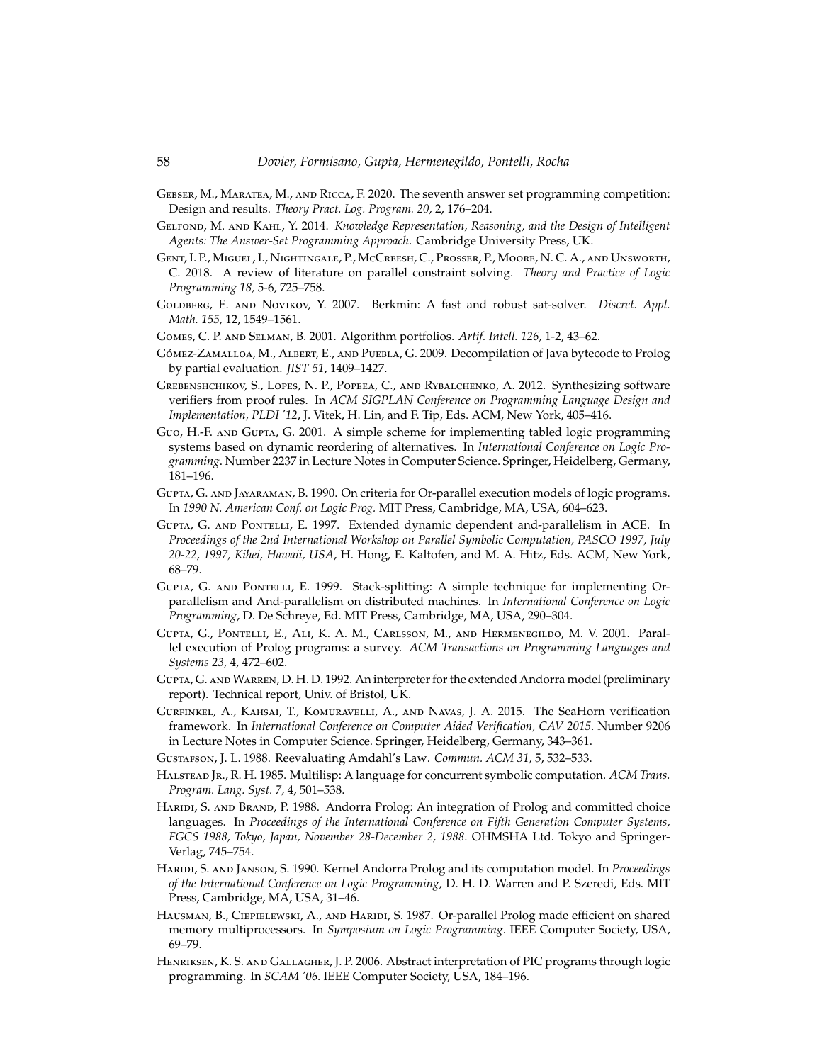- <span id="page-57-17"></span>Gebser, M., Maratea, M., and Ricca, F. 2020. The seventh answer set programming competition: Design and results. *Theory Pract. Log. Program. 20,* 2, 176–204.
- <span id="page-57-2"></span>Gelfond, M. and Kahl, Y. 2014. *Knowledge Representation, Reasoning, and the Design of Intelligent Agents: The Answer-Set Programming Approach*. Cambridge University Press, UK.
- <span id="page-57-1"></span>Gent, I. P., Miguel, I., Nightingale, P., McCreesh, C., Prosser, P., Moore, N. C. A., and Unsworth, C. 2018. A review of literature on parallel constraint solving. *Theory and Practice of Logic Programming 18,* 5-6, 725–758.
- <span id="page-57-19"></span>Goldberg, E. and Novikov, Y. 2007. Berkmin: A fast and robust sat-solver. *Discret. Appl. Math. 155,* 12, 1549–1561.
- <span id="page-57-18"></span>Gomes, C. P. and Selman, B. 2001. Algorithm portfolios. *Artif. Intell. 126,* 1-2, 43–62.
- <span id="page-57-13"></span>GÓMEZ-ZAMALLOA, M., ALBERT, E., AND PUEBLA, G. 2009. Decompilation of Java bytecode to Prolog by partial evaluation. *JIST 51*, 1409–1427.
- <span id="page-57-14"></span>Grebenshchikov, S., Lopes, N. P., Popeea, C., and Rybalchenko, A. 2012. Synthesizing software verifiers from proof rules. In *ACM SIGPLAN Conference on Programming Language Design and Implementation, PLDI '12*, J. Vitek, H. Lin, and F. Tip, Eds. ACM, New York, 405–416.
- <span id="page-57-16"></span>Guo, H.-F. and Gupta, G. 2001. A simple scheme for implementing tabled logic programming systems based on dynamic reordering of alternatives. In *International Conference on Logic Programming*. Number 2237 in Lecture Notes in Computer Science. Springer, Heidelberg, Germany, 181–196.
- <span id="page-57-9"></span>GUPTA, G. AND JAYARAMAN, B. 1990. On criteria for Or-parallel execution models of logic programs. In *1990 N. American Conf. on Logic Prog.* MIT Press, Cambridge, MA, USA, 604–623.
- <span id="page-57-4"></span>Gupta, G. and Pontelli, E. 1997. Extended dynamic dependent and-parallelism in ACE. In *Proceedings of the 2nd International Workshop on Parallel Symbolic Computation, PASCO 1997, July 20-22, 1997, Kihei, Hawaii, USA*, H. Hong, E. Kaltofen, and M. A. Hitz, Eds. ACM, New York, 68–79.
- <span id="page-57-10"></span>GUPTA, G. AND PONTELLI, E. 1999. Stack-splitting: A simple technique for implementing Orparallelism and And-parallelism on distributed machines. In *International Conference on Logic Programming*, D. De Schreye, Ed. MIT Press, Cambridge, MA, USA, 290–304.
- <span id="page-57-0"></span>Gupta, G., Pontelli, E., Ali, K. A. M., Carlsson, M., and Hermenegildo, M. V. 2001. Parallel execution of Prolog programs: a survey. *ACM Transactions on Programming Languages and Systems 23,* 4, 472–602.
- <span id="page-57-8"></span>GUPTA, G. AND WARREN, D. H. D. 1992. An interpreter for the extended Andorra model (preliminary report). Technical report, Univ. of Bristol, UK.
- <span id="page-57-15"></span>Gurfinkel, A., Kahsai, T., Komuravelli, A., and Navas, J. A. 2015. The SeaHorn verification framework. In *International Conference on Computer Aided Verification, CAV 2015*. Number 9206 in Lecture Notes in Computer Science. Springer, Heidelberg, Germany, 343–361.
- <span id="page-57-3"></span>Gustafson, J. L. 1988. Reevaluating Amdahl's Law. *Commun. ACM 31,* 5, 532–533.
- <span id="page-57-11"></span>HALSTEAD JR., R. H. 1985. Multilisp: A language for concurrent symbolic computation. *ACM Trans. Program. Lang. Syst. 7,* 4, 501–538.
- <span id="page-57-6"></span>HARIDI, S. AND BRAND, P. 1988. Andorra Prolog: An integration of Prolog and committed choice languages. In *Proceedings of the International Conference on Fifth Generation Computer Systems, FGCS 1988, Tokyo, Japan, November 28-December 2, 1988*. OHMSHA Ltd. Tokyo and Springer-Verlag, 745–754.
- <span id="page-57-7"></span>Haridi, S. and Janson, S. 1990. Kernel Andorra Prolog and its computation model. In *Proceedings of the International Conference on Logic Programming*, D. H. D. Warren and P. Szeredi, Eds. MIT Press, Cambridge, MA, USA, 31–46.
- <span id="page-57-5"></span>HAUSMAN, B., CIEPIELEWSKI, A., AND HARIDI, S. 1987. Or-parallel Prolog made efficient on shared memory multiprocessors. In *Symposium on Logic Programming*. IEEE Computer Society, USA, 69–79.
- <span id="page-57-12"></span>Henriksen, K. S. and Gallagher, J. P. 2006. Abstract interpretation of PIC programs through logic programming. In *SCAM '06*. IEEE Computer Society, USA, 184–196.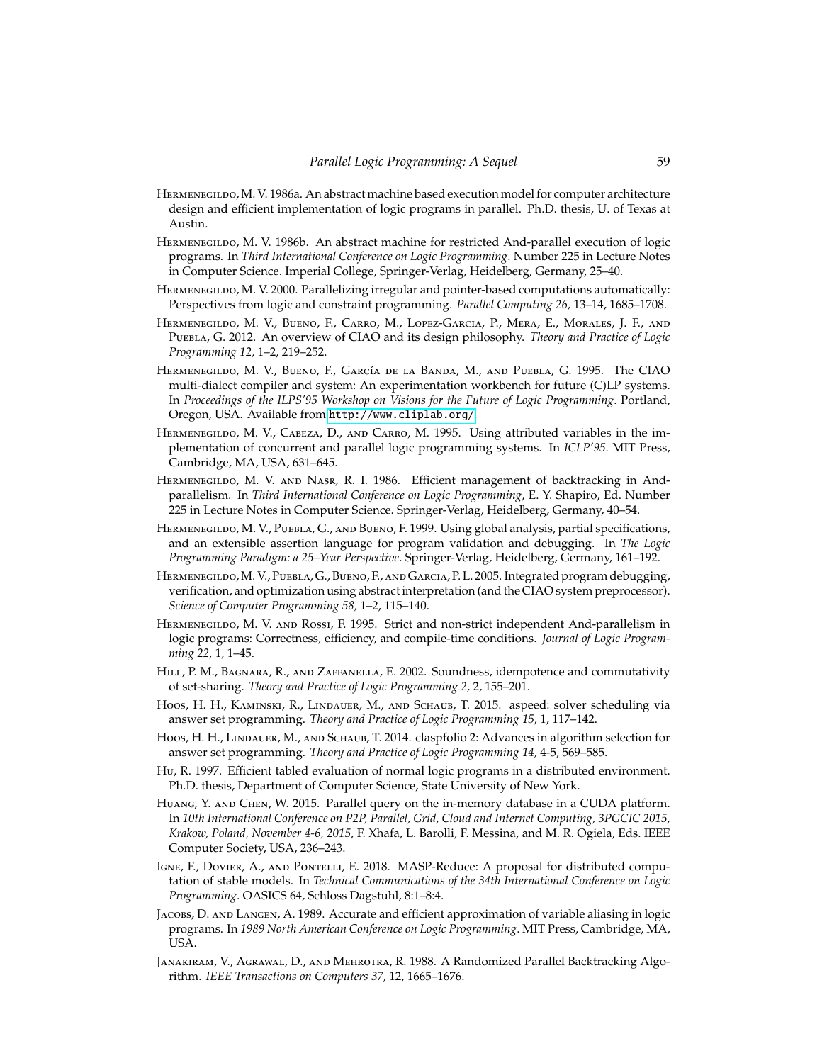- <span id="page-58-3"></span>HERMENEGILDO, M. V. 1986a. An abstract machine based execution model for computer architecture design and efficient implementation of logic programs in parallel. Ph.D. thesis, U. of Texas at Austin.
- <span id="page-58-2"></span>Hermenegildo, M. V. 1986b. An abstract machine for restricted And-parallel execution of logic programs. In *Third International Conference on Logic Programming*. Number 225 in Lecture Notes in Computer Science. Imperial College, Springer-Verlag, Heidelberg, Germany, 25–40.
- <span id="page-58-9"></span>HERMENEGILDO, M. V. 2000. Parallelizing irregular and pointer-based computations automatically: Perspectives from logic and constraint programming. *Parallel Computing 26,* 13–14, 1685–1708.
- <span id="page-58-0"></span>Hermenegildo, M. V., Bueno, F., Carro, M., Lopez-Garcia, P., Mera, E., Morales, J. F., and Puebla, G. 2012. An overview of CIAO and its design philosophy. *Theory and Practice of Logic Programming 12,* 1–2, 219–252.
- <span id="page-58-6"></span>HERMENEGILDO, M. V., BUENO, F., GARCÍA DE LA BANDA, M., AND PUEBLA, G. 1995. The CIAO multi-dialect compiler and system: An experimentation workbench for future (C)LP systems. In *Proceedings of the ILPS'95 Workshop on Visions for the Future of Logic Programming*. Portland, Oregon, USA. Available from <http://www.cliplab.org/>.
- <span id="page-58-1"></span>HERMENEGILDO, M. V., CABEZA, D., AND CARRO, M. 1995. Using attributed variables in the implementation of concurrent and parallel logic programming systems. In *ICLP'95*. MIT Press, Cambridge, MA, USA, 631–645.
- <span id="page-58-4"></span>Hermenegildo, M. V. and Nasr, R. I. 1986. Efficient management of backtracking in Andparallelism. In *Third International Conference on Logic Programming*, E. Y. Shapiro, Ed. Number 225 in Lecture Notes in Computer Science. Springer-Verlag, Heidelberg, Germany, 40–54.
- <span id="page-58-10"></span>Hermenegildo, M. V., Puebla, G., and Bueno, F. 1999. Using global analysis, partial specifications, and an extensible assertion language for program validation and debugging. In *The Logic Programming Paradigm: a 25–Year Perspective*. Springer-Verlag, Heidelberg, Germany, 161–192.
- <span id="page-58-11"></span>Hermenegildo,M. V., Puebla, G., Bueno, F., and Garcia, P. L. 2005. Integrated program debugging, verification, and optimization using abstract interpretation (and the CIAO system preprocessor). *Science of Computer Programming 58,* 1–2, 115–140.
- <span id="page-58-5"></span>Hermenegildo, M. V. and Rossi, F. 1995. Strict and non-strict independent And-parallelism in logic programs: Correctness, efficiency, and compile-time conditions. *Journal of Logic Programming 22,* 1, 1–45.
- <span id="page-58-8"></span>HILL, P. M., BAGNARA, R., AND ZAFFANELLA, E. 2002. Soundness, idempotence and commutativity of set-sharing. *Theory and Practice of Logic Programming 2,* 2, 155–201.
- <span id="page-58-14"></span>Hoos, H. H., Kaminski, R., Lindauer, M., and Schaub, T. 2015. aspeed: solver scheduling via answer set programming. *Theory and Practice of Logic Programming 15,* 1, 117–142.
- <span id="page-58-15"></span>Hoos, H. H., LINDAUER, M., AND SCHAUB, T. 2014. claspfolio 2: Advances in algorithm selection for answer set programming. *Theory and Practice of Logic Programming 14,* 4-5, 569–585.
- <span id="page-58-12"></span>Hu, R. 1997. Efficient tabled evaluation of normal logic programs in a distributed environment. Ph.D. thesis, Department of Computer Science, State University of New York.
- <span id="page-58-17"></span>Huang, Y. and Chen, W. 2015. Parallel query on the in-memory database in a CUDA platform. In *10th International Conference on P2P, Parallel, Grid, Cloud and Internet Computing, 3PGCIC 2015, Krakow, Poland, November 4-6, 2015*, F. Xhafa, L. Barolli, F. Messina, and M. R. Ogiela, Eds. IEEE Computer Society, USA, 236–243.
- <span id="page-58-16"></span>Igne, F., Dovier, A., and Pontelli, E. 2018. MASP-Reduce: A proposal for distributed computation of stable models. In *Technical Communications of the 34th International Conference on Logic Programming*. OASICS 64, Schloss Dagstuhl, 8:1–8:4.
- <span id="page-58-7"></span>JACOBS, D. AND LANGEN, A. 1989. Accurate and efficient approximation of variable aliasing in logic programs. In *1989 North American Conference on Logic Programming*. MIT Press, Cambridge, MA, USA.
- <span id="page-58-13"></span>Janakiram, V., Agrawal, D., and Mehrotra, R. 1988. A Randomized Parallel Backtracking Algorithm. *IEEE Transactions on Computers 37,* 12, 1665–1676.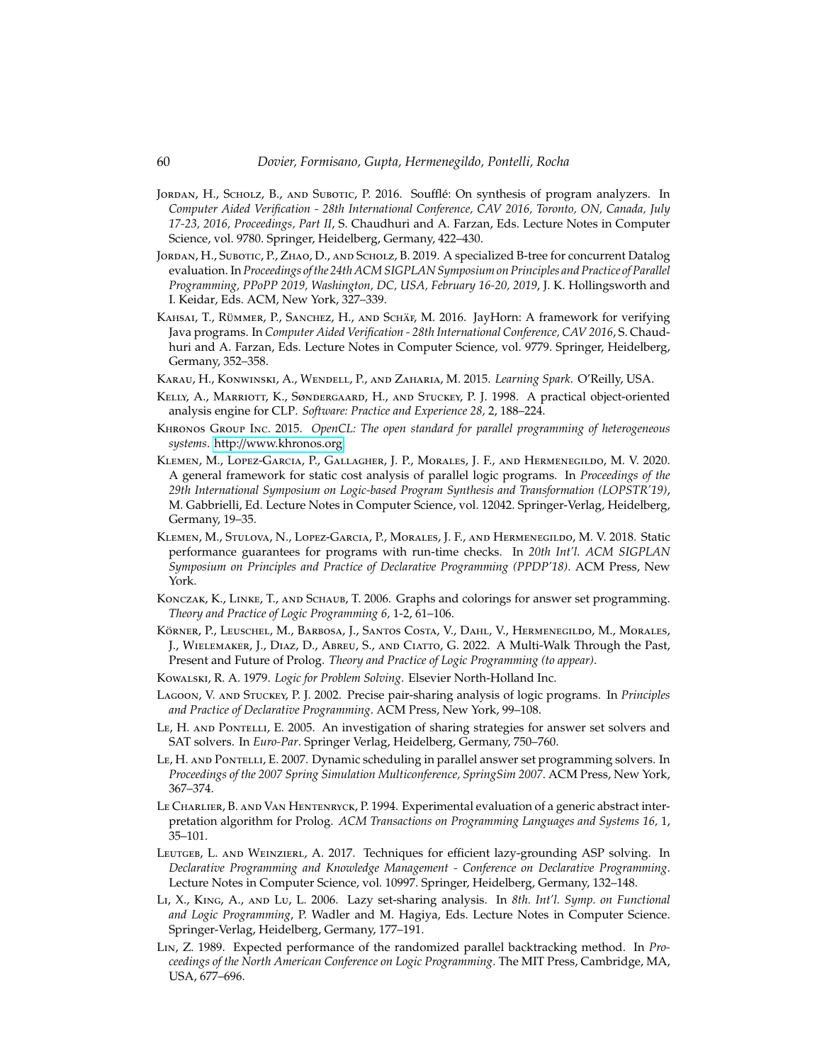- <span id="page-59-9"></span>JORDAN, H., SCHOLZ, B., AND SUBOTIC, P. 2016. Soufflé: On synthesis of program analyzers. In *Computer Aided Verification - 28th International Conference, CAV 2016, Toronto, ON, Canada, July 17-23, 2016, Proceedings, Part II*, S. Chaudhuri and A. Farzan, Eds. Lecture Notes in Computer Science, vol. 9780. Springer, Heidelberg, Germany, 422–430.
- <span id="page-59-15"></span>JORDAN, H., SUBOTIC, P., ZHAO, D., AND SCHOLZ, B. 2019. A specialized B-tree for concurrent Datalog evaluation. In*Proceedings of the 24th ACM SIGPLAN Symposium on Principles and Practice of Parallel Programming, PPoPP 2019, Washington, DC, USA, February 16-20, 2019*, J. K. Hollingsworth and I. Keidar, Eds. ACM, New York, 327–339.
- <span id="page-59-8"></span>KAHSAI, T., RÜMMER, P., SANCHEZ, H., AND SCHÄF, M. 2016. JayHorn: A framework for verifying Java programs. In *Computer Aided Verification - 28th International Conference, CAV 2016*, S. Chaudhuri and A. Farzan, Eds. Lecture Notes in Computer Science, vol. 9779. Springer, Heidelberg, Germany, 352–358.
- <span id="page-59-14"></span>Karau, H., Konwinski, A., Wendell, P., and Zaharia, M. 2015. *Learning Spark*. O'Reilly, USA.
- <span id="page-59-3"></span>Kelly, A., Marriott, K., Søndergaard, H., and Stuckey, P. J. 1998. A practical object-oriented analysis engine for CLP. *Software: Practice and Experience 28,* 2, 188–224.
- <span id="page-59-17"></span>Khronos Group Inc. 2015. *OpenCL: The open standard for parallel programming of heterogeneous systems*. http://[www.khronos.org.](http://www.khronos.org)
- <span id="page-59-6"></span>Klemen, M., Lopez-Garcia, P., Gallagher, J. P., Morales, J. F., and Hermenegildo, M. V. 2020. A general framework for static cost analysis of parallel logic programs. In *Proceedings of the 29th International Symposium on Logic-based Program Synthesis and Transformation (LOPSTR'19)*, M. Gabbrielli, Ed. Lecture Notes in Computer Science, vol. 12042. Springer-Verlag, Heidelberg, Germany, 19–35.
- <span id="page-59-7"></span>Klemen, M., Stulova, N., Lopez-Garcia, P., Morales, J. F., and Hermenegildo, M. V. 2018. Static performance guarantees for programs with run-time checks. In *20th Int'l. ACM SIGPLAN Symposium on Principles and Practice of Declarative Programming (PPDP'18)*. ACM Press, New York.
- <span id="page-59-16"></span>KONCZAK, K., LINKE, T., AND SCHAUB, T. 2006. Graphs and colorings for answer set programming. *Theory and Practice of Logic Programming 6,* 1-2, 61–106.
- <span id="page-59-1"></span>Körner, P., Leuschel, M., Barbosa, J., Santos Costa, V., Dahl, V., Hermenegildo, M., Morales, J., Wielemaker, J., Diaz, D., Abreu, S., and Ciatto, G. 2022. A Multi-Walk Through the Past, Present and Future of Prolog. *Theory and Practice of Logic Programming (to appear)*.
- <span id="page-59-0"></span>Kowalski, R. A. 1979. *Logic for Problem Solving*. Elsevier North-Holland Inc.
- <span id="page-59-4"></span>Lagoon, V. and Stuckey, P. J. 2002. Precise pair-sharing analysis of logic programs. In *Principles and Practice of Declarative Programming*. ACM Press, New York, 99–108.
- <span id="page-59-10"></span>Le, H. AND PONTELLI, E. 2005. An investigation of sharing strategies for answer set solvers and SAT solvers. In *Euro-Par*. Springer Verlag, Heidelberg, Germany, 750–760.
- <span id="page-59-11"></span>Le, H. and Pontelli, E. 2007. Dynamic scheduling in parallel answer set programming solvers. In *Proceedings of the 2007 Spring Simulation Multiconference, SpringSim 2007*. ACM Press, New York, 367–374.
- <span id="page-59-2"></span>Le Charlier, B. and Van Hentenryck, P. 1994. Experimental evaluation of a generic abstract interpretation algorithm for Prolog. *ACM Transactions on Programming Languages and Systems 16,* 1, 35–101.
- <span id="page-59-13"></span>LEUTGEB, L. AND WEINZIERL, A. 2017. Techniques for efficient lazy-grounding ASP solving. In *Declarative Programming and Knowledge Management - Conference on Declarative Programming*. Lecture Notes in Computer Science, vol. 10997. Springer, Heidelberg, Germany, 132–148.
- <span id="page-59-5"></span>Li, X., King, A., and Lu, L. 2006. Lazy set-sharing analysis. In *8th. Int'l. Symp. on Functional and Logic Programming*, P. Wadler and M. Hagiya, Eds. Lecture Notes in Computer Science. Springer-Verlag, Heidelberg, Germany, 177–191.
- <span id="page-59-12"></span>Lin, Z. 1989. Expected performance of the randomized parallel backtracking method. In *Proceedings of the North American Conference on Logic Programming*. The MIT Press, Cambridge, MA, USA, 677–696.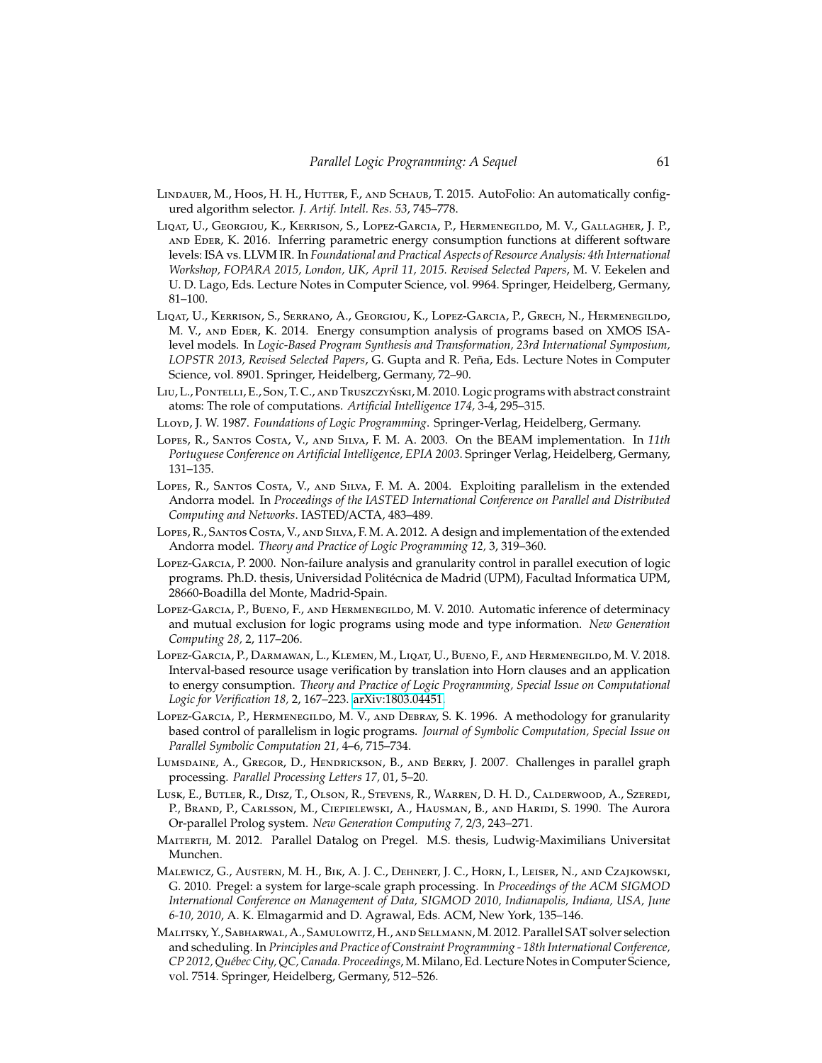- <span id="page-60-12"></span>LINDAUER, M., HOOS, H. H., HUTTER, F., AND SCHAUB, T. 2015. AutoFolio: An automatically configured algorithm selector. *J. Artif. Intell. Res. 53*, 745–778.
- <span id="page-60-10"></span>Liqat, U., Georgiou, K., Kerrison, S., Lopez-Garcia, P., Hermenegildo, M. V., Gallagher, J. P., and Eder, K. 2016. Inferring parametric energy consumption functions at different software levels: ISA vs. LLVM IR. In *Foundational and Practical Aspects of Resource Analysis: 4th International Workshop, FOPARA 2015, London, UK, April 11, 2015. Revised Selected Papers*, M. V. Eekelen and U. D. Lago, Eds. Lecture Notes in Computer Science, vol. 9964. Springer, Heidelberg, Germany, 81–100.
- <span id="page-60-9"></span>Liqat, U., Kerrison, S., Serrano, A., Georgiou, K., Lopez-Garcia, P., Grech, N., Hermenegildo, M. V., and Eder, K. 2014. Energy consumption analysis of programs based on XMOS ISAlevel models. In *Logic-Based Program Synthesis and Transformation, 23rd International Symposium, LOPSTR 2013, Revised Selected Papers*, G. Gupta and R. Pena, Eds. Lecture Notes in Computer ˜ Science, vol. 8901. Springer, Heidelberg, Germany, 72–90.
- <span id="page-60-16"></span>LIU, L., PONTELLI, E., SON, T. C., AND TRUSZCZYŃSKI, M. 2010. Logic programs with abstract constraint atoms: The role of computations. *Artificial Intelligence 174,* 3-4, 295–315.
- <span id="page-60-0"></span>Lloyd, J. W. 1987. *Foundations of Logic Programming*. Springer-Verlag, Heidelberg, Germany.
- <span id="page-60-3"></span>Lopes, R., Santos Costa, V., and Silva, F. M. A. 2003. On the BEAM implementation. In *11th Portuguese Conference on Artificial Intelligence, EPIA 2003*. Springer Verlag, Heidelberg, Germany, 131–135.
- <span id="page-60-4"></span>Lopes, R., Santos Costa, V., and Silva, F. M. A. 2004. Exploiting parallelism in the extended Andorra model. In *Proceedings of the IASTED International Conference on Parallel and Distributed Computing and Networks*. IASTED/ACTA, 483–489.
- <span id="page-60-2"></span>Lopes, R., Santos Costa, V., and Silva, F. M. A. 2012. A design and implementation of the extended Andorra model. *Theory and Practice of Logic Programming 12,* 3, 319–360.
- <span id="page-60-7"></span>Lopez-Garcia, P. 2000. Non-failure analysis and granularity control in parallel execution of logic programs. Ph.D. thesis, Universidad Politécnica de Madrid (UPM), Facultad Informatica UPM, 28660-Boadilla del Monte, Madrid-Spain.
- <span id="page-60-5"></span>LOPEZ-GARCIA, P., BUENO, F., AND HERMENEGILDO, M. V. 2010. Automatic inference of determinacy and mutual exclusion for logic programs using mode and type information. *New Generation Computing 28,* 2, 117–206.
- <span id="page-60-8"></span>Lopez-Garcia, P., Darmawan, L., Klemen, M., Liqat, U., Bueno, F., and Hermenegildo, M. V. 2018. Interval-based resource usage verification by translation into Horn clauses and an application to energy consumption. *Theory and Practice of Logic Programming, Special Issue on Computational Logic for Verification 18,* 2, 167–223. [arXiv:1803.04451.](http://arxiv.org/abs/1803.04451)
- <span id="page-60-6"></span>Lopez-Garcia, P., Hermenegildo, M. V., and Debray, S. K. 1996. A methodology for granularity based control of parallelism in logic programs. *Journal of Symbolic Computation, Special Issue on Parallel Symbolic Computation 21,* 4–6, 715–734.
- <span id="page-60-15"></span>Lumsdaine, A., Gregor, D., Hendrickson, B., and Berry, J. 2007. Challenges in parallel graph processing. *Parallel Processing Letters 17,* 01, 5–20.
- <span id="page-60-1"></span>Lusk, E., Butler, R., Disz, T., Olson, R., Stevens, R., Warren, D. H. D., Calderwood, A., Szeredi, P., Brand, P., Carlsson, M., Ciepielewski, A., Hausman, B., and Haridi, S. 1990. The Aurora Or-parallel Prolog system. *New Generation Computing 7,* 2/3, 243–271.
- <span id="page-60-14"></span>Maiterth, M. 2012. Parallel Datalog on Pregel. M.S. thesis, Ludwig-Maximilians Universitat Munchen.
- <span id="page-60-13"></span>Malewicz, G., Austern, M. H., Bik, A. J. C., Dehnert, J. C., Horn, I., Leiser, N., and Czajkowski, G. 2010. Pregel: a system for large-scale graph processing. In *Proceedings of the ACM SIGMOD International Conference on Management of Data, SIGMOD 2010, Indianapolis, Indiana, USA, June 6-10, 2010*, A. K. Elmagarmid and D. Agrawal, Eds. ACM, New York, 135–146.
- <span id="page-60-11"></span>MALITSKY, Y., SABHARWAL, A., SAMULOWITZ, H., AND SELLMANN, M. 2012. Parallel SAT solver selection and scheduling. In *Principles and Practice of Constraint Programming - 18th International Conference, CP 2012, Qu´ebec City, QC, Canada. Proceedings*,M.Milano, Ed. Lecture Notes in Computer Science, vol. 7514. Springer, Heidelberg, Germany, 512–526.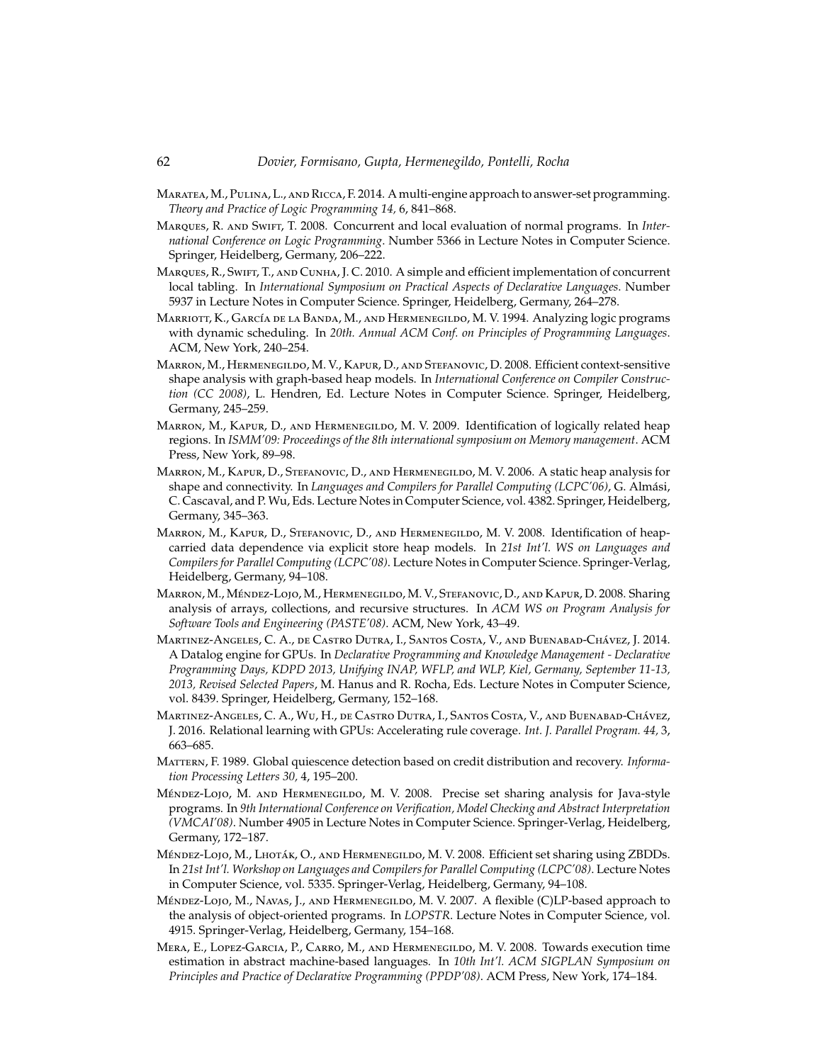- <span id="page-61-14"></span>MARATEA, M., PULINA, L., AND RICCA, F. 2014. A multi-engine approach to answer-set programming. *Theory and Practice of Logic Programming 14,* 6, 841–868.
- <span id="page-61-10"></span>Marques, R. and Swift, T. 2008. Concurrent and local evaluation of normal programs. In *International Conference on Logic Programming*. Number 5366 in Lecture Notes in Computer Science. Springer, Heidelberg, Germany, 206–222.
- <span id="page-61-11"></span>Marques, R., Swift, T., and Cunha, J. C. 2010. A simple and efficient implementation of concurrent local tabling. In *International Symposium on Practical Aspects of Declarative Languages*. Number 5937 in Lecture Notes in Computer Science. Springer, Heidelberg, Germany, 264–278.
- <span id="page-61-0"></span>MARRIOTT, K., GARCÍA DE LA BANDA, M., AND HERMENEGILDO, M. V. 1994. Analyzing logic programs with dynamic scheduling. In *20th. Annual ACM Conf. on Principles of Programming Languages*. ACM, New York, 240–254.
- <span id="page-61-8"></span>Marron, M., Hermenegildo, M. V., Kapur, D., and Stefanovic, D. 2008. Efficient context-sensitive shape analysis with graph-based heap models. In *International Conference on Compiler Construction (CC 2008)*, L. Hendren, Ed. Lecture Notes in Computer Science. Springer, Heidelberg, Germany, 245–259.
- <span id="page-61-5"></span>MARRON, M., KAPUR, D., AND HERMENEGILDO, M. V. 2009. Identification of logically related heap regions. In *ISMM'09: Proceedings of the 8th international symposium on Memory management*. ACM Press, New York, 89–98.
- <span id="page-61-7"></span>Marron, M., Kapur, D., Stefanovic, D., and Hermenegildo, M. V. 2006. A static heap analysis for shape and connectivity. In *Languages and Compilers for Parallel Computing (LCPC'06)*, G. Almasi, ´ C. Cascaval, and P. Wu, Eds. Lecture Notes in Computer Science, vol. 4382. Springer, Heidelberg, Germany, 345–363.
- <span id="page-61-6"></span>Marron, M., Kapur, D., Stefanovic, D., and Hermenegildo, M. V. 2008. Identification of heapcarried data dependence via explicit store heap models. In *21st Int'l. WS on Languages and Compilers for Parallel Computing (LCPC'08)*. Lecture Notes in Computer Science. Springer-Verlag, Heidelberg, Germany, 94–108.
- <span id="page-61-4"></span>Marron, M., Méndez-Lojo, M., Hermenegildo, M. V., Stefanovic, D., and Kapur, D. 2008. Sharing analysis of arrays, collections, and recursive structures. In *ACM WS on Program Analysis for Software Tools and Engineering (PASTE'08)*. ACM, New York, 43–49.
- <span id="page-61-13"></span>MARTINEZ-ANGELES, C. A., DE CASTRO DUTRA, I., SANTOS COSTA, V., AND BUENABAD-CHÁVEZ, J. 2014. A Datalog engine for GPUs. In *Declarative Programming and Knowledge Management - Declarative Programming Days, KDPD 2013, Unifying INAP, WFLP, and WLP, Kiel, Germany, September 11-13, 2013, Revised Selected Papers*, M. Hanus and R. Rocha, Eds. Lecture Notes in Computer Science, vol. 8439. Springer, Heidelberg, Germany, 152–168.
- <span id="page-61-15"></span>Martinez-Angeles, C. A., Wu, H., de Castro Dutra, I., Santos Costa, V., and Buenabad-Chávez, J. 2016. Relational learning with GPUs: Accelerating rule coverage. *Int. J. Parallel Program. 44,* 3, 663–685.
- <span id="page-61-12"></span>Mattern, F. 1989. Global quiescence detection based on credit distribution and recovery. *Information Processing Letters 30,* 4, 195–200.
- <span id="page-61-3"></span>Méndez-Lojo, M. AND HERMENEGILDO, M. V. 2008. Precise set sharing analysis for Java-style programs. In *9th International Conference on Verification, Model Checking and Abstract Interpretation (VMCAI'08)*. Number 4905 in Lecture Notes in Computer Science. Springer-Verlag, Heidelberg, Germany, 172–187.
- <span id="page-61-1"></span>MÉNDEZ-LOJO, M., LHOTÁK, O., AND HERMENEGILDO, M. V. 2008. Efficient set sharing using ZBDDs. In *21st Int'l. Workshop on Languages and Compilers for Parallel Computing (LCPC'08)*. Lecture Notes in Computer Science, vol. 5335. Springer-Verlag, Heidelberg, Germany, 94–108.
- <span id="page-61-9"></span>MÉNDEZ-LOJO, M., NAVAS, J., AND HERMENEGILDO, M. V. 2007. A flexible (C)LP-based approach to the analysis of object-oriented programs. In *LOPSTR*. Lecture Notes in Computer Science, vol. 4915. Springer-Verlag, Heidelberg, Germany, 154–168.
- <span id="page-61-2"></span>Mera, E., Lopez-Garcia, P., Carro, M., and Hermenegildo, M. V. 2008. Towards execution time estimation in abstract machine-based languages. In *10th Int'l. ACM SIGPLAN Symposium on Principles and Practice of Declarative Programming (PPDP'08)*. ACM Press, New York, 174–184.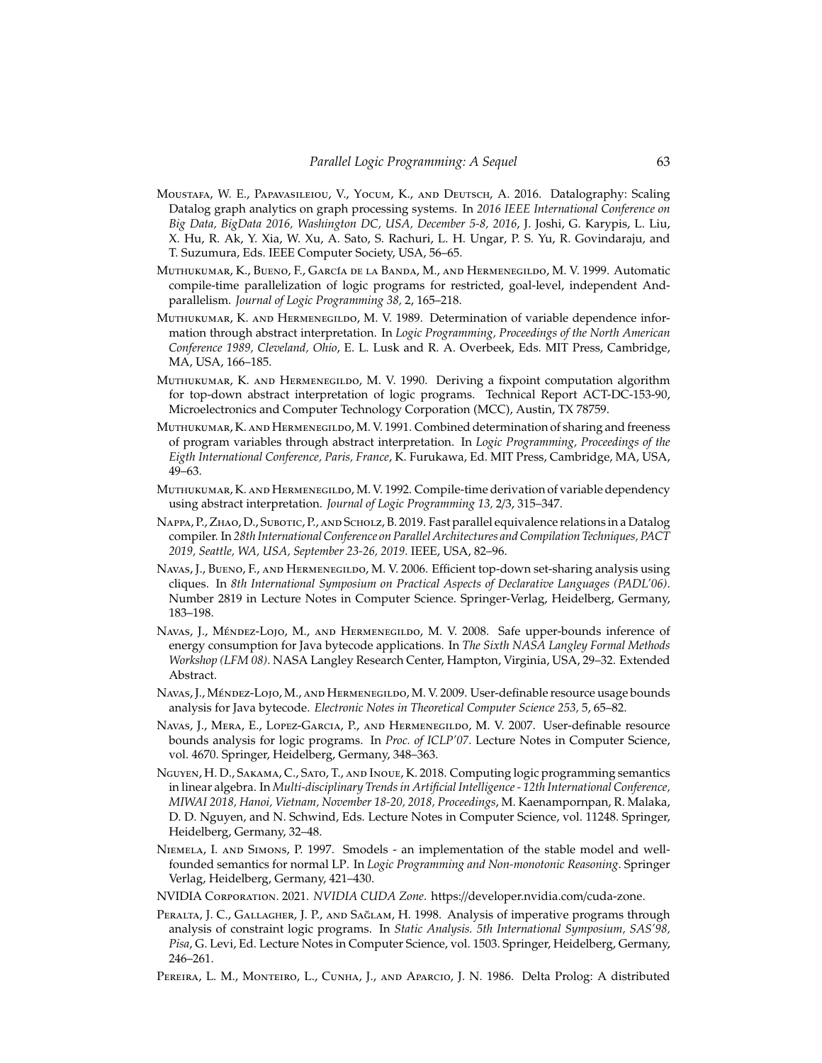- <span id="page-62-11"></span>Moustafa, W. E., Papavasileiou, V., Yocum, K., and Deutsch, A. 2016. Datalography: Scaling Datalog graph analytics on graph processing systems. In *2016 IEEE International Conference on Big Data, BigData 2016, Washington DC, USA, December 5-8, 2016*, J. Joshi, G. Karypis, L. Liu, X. Hu, R. Ak, Y. Xia, W. Xu, A. Sato, S. Rachuri, L. H. Ungar, P. S. Yu, R. Govindaraju, and T. Suzumura, Eds. IEEE Computer Society, USA, 56–65.
- <span id="page-62-1"></span>MUTHUKUMAR, K., BUENO, F., GARCÍA DE LA BANDA, M., AND HERMENEGILDO, M. V. 1999. Automatic compile-time parallelization of logic programs for restricted, goal-level, independent Andparallelism. *Journal of Logic Programming 38,* 2, 165–218.
- <span id="page-62-4"></span>MUTHUKUMAR, K. AND HERMENEGILDO, M. V. 1989. Determination of variable dependence information through abstract interpretation. In *Logic Programming, Proceedings of the North American Conference 1989, Cleveland, Ohio*, E. L. Lusk and R. A. Overbeek, Eds. MIT Press, Cambridge, MA, USA, 166–185.
- <span id="page-62-2"></span>Muthukumar, K. and Hermenegildo, M. V. 1990. Deriving a fixpoint computation algorithm for top-down abstract interpretation of logic programs. Technical Report ACT-DC-153-90, Microelectronics and Computer Technology Corporation (MCC), Austin, TX 78759.
- <span id="page-62-5"></span>MUTHUKUMAR, K. AND HERMENEGILDO, M. V. 1991. Combined determination of sharing and freeness of program variables through abstract interpretation. In *Logic Programming, Proceedings of the Eigth International Conference, Paris, France*, K. Furukawa, Ed. MIT Press, Cambridge, MA, USA, 49–63.
- <span id="page-62-3"></span>Muthukumar, K. and Hermenegildo, M. V. 1992. Compile-time derivation of variable dependency using abstract interpretation. *Journal of Logic Programming 13,* 2/3, 315–347.
- <span id="page-62-12"></span>Nappa, P., Zhao, D., Subotic, P., and Scholz, B. 2019. Fast parallel equivalence relations in a Datalog compiler. In *28th International Conference on Parallel Architectures and Compilation Techniques, PACT 2019, Seattle, WA, USA, September 23-26, 2019*. IEEE, USA, 82–96.
- <span id="page-62-6"></span>Navas, J., Bueno, F., and Hermenegildo, M. V. 2006. Efficient top-down set-sharing analysis using cliques. In *8th International Symposium on Practical Aspects of Declarative Languages (PADL'06)*. Number 2819 in Lecture Notes in Computer Science. Springer-Verlag, Heidelberg, Germany, 183–198.
- <span id="page-62-9"></span>Navas, J., Méndez-Lojo, M., and Hermenegildo, M. V. 2008. Safe upper-bounds inference of energy consumption for Java bytecode applications. In *The Sixth NASA Langley Formal Methods Workshop (LFM 08)*. NASA Langley Research Center, Hampton, Virginia, USA, 29–32. Extended Abstract.
- <span id="page-62-10"></span>Navas, J., Méndez-Lojo, M., and Hermenegildo, M. V. 2009. User-definable resource usage bounds analysis for Java bytecode. *Electronic Notes in Theoretical Computer Science 253,* 5, 65–82.
- <span id="page-62-7"></span>Navas, J., Mera, E., Lopez-Garcia, P., and Hermenegildo, M. V. 2007. User-definable resource bounds analysis for logic programs. In *Proc. of ICLP'07*. Lecture Notes in Computer Science, vol. 4670. Springer, Heidelberg, Germany, 348–363.
- <span id="page-62-15"></span>Nguyen, H. D., Sakama, C., Sato, T., and Inoue, K. 2018. Computing logic programming semantics in linear algebra. In *Multi-disciplinary Trends in Artificial Intelligence - 12th International Conference, MIWAI 2018, Hanoi, Vietnam, November 18-20, 2018, Proceedings*, M. Kaenampornpan, R. Malaka, D. D. Nguyen, and N. Schwind, Eds. Lecture Notes in Computer Science, vol. 11248. Springer, Heidelberg, Germany, 32–48.
- <span id="page-62-13"></span>Niemela, I. and Simons, P. 1997. Smodels - an implementation of the stable model and wellfounded semantics for normal LP. In *Logic Programming and Non-monotonic Reasoning*. Springer Verlag, Heidelberg, Germany, 421–430.
- <span id="page-62-14"></span>NVIDIA Corporation. 2021. *NVIDIA CUDA Zone*. https://developer.nvidia.com/cuda-zone.
- <span id="page-62-8"></span>PERALTA, J. C., GALLAGHER, J. P., AND SAĞLAM, H. 1998. Analysis of imperative programs through analysis of constraint logic programs. In *Static Analysis. 5th International Symposium, SAS'98, Pisa*, G. Levi, Ed. Lecture Notes in Computer Science, vol. 1503. Springer, Heidelberg, Germany, 246–261.
- <span id="page-62-0"></span>Pereira, L. M., Monteiro, L., Cunha, J., and Aparcio, J. N. 1986. Delta Prolog: A distributed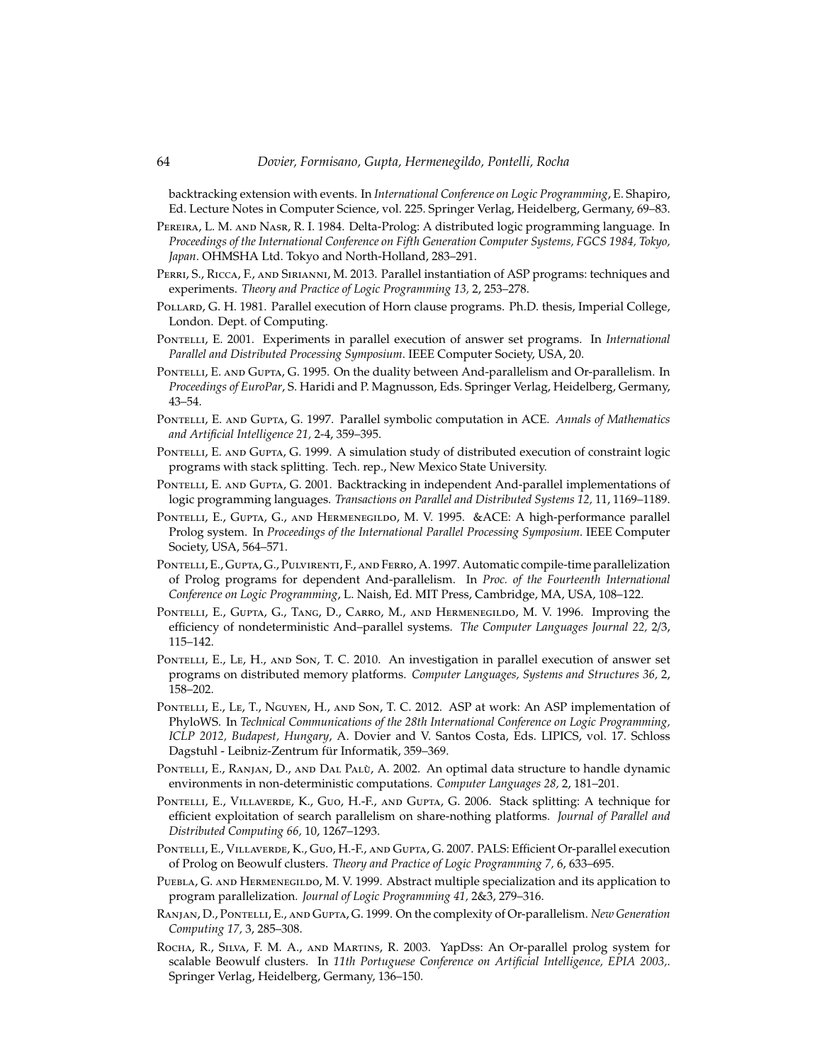backtracking extension with events. In *International Conference on Logic Programming*, E. Shapiro, Ed. Lecture Notes in Computer Science, vol. 225. Springer Verlag, Heidelberg, Germany, 69–83.

- <span id="page-63-1"></span>Pereira, L. M. and Nasr, R. I. 1984. Delta-Prolog: A distributed logic programming language. In *Proceedings of the International Conference on Fifth Generation Computer Systems, FGCS 1984, Tokyo, Japan*. OHMSHA Ltd. Tokyo and North-Holland, 283–291.
- <span id="page-63-17"></span>PERRI, S., RICCA, F., AND SIRIANNI, M. 2013. Parallel instantiation of ASP programs: techniques and experiments. *Theory and Practice of Logic Programming 13,* 2, 253–278.
- <span id="page-63-0"></span>POLLARD, G. H. 1981. Parallel execution of Horn clause programs. Ph.D. thesis, Imperial College, London. Dept. of Computing.
- <span id="page-63-15"></span>Pontelli, E. 2001. Experiments in parallel execution of answer set programs. In *International Parallel and Distributed Processing Symposium*. IEEE Computer Society, USA, 20.
- <span id="page-63-13"></span>PONTELLI, E. AND GUPTA, G. 1995. On the duality between And-parallelism and Or-parallelism. In *Proceedings of EuroPar*, S. Haridi and P. Magnusson, Eds. Springer Verlag, Heidelberg, Germany, 43–54.
- <span id="page-63-2"></span>Pontelli, E. and Gupta, G. 1997. Parallel symbolic computation in ACE. *Annals of Mathematics and Artificial Intelligence 21,* 2-4, 359–395.
- <span id="page-63-10"></span>PONTELLI, E. AND GUPTA, G. 1999. A simulation study of distributed execution of constraint logic programs with stack splitting. Tech. rep., New Mexico State University.
- <span id="page-63-4"></span>PONTELLI, E. AND GUPTA, G. 2001. Backtracking in independent And-parallel implementations of logic programming languages. *Transactions on Parallel and Distributed Systems 12,* 11, 1169–1189.
- <span id="page-63-3"></span>PONTELLI, E., GUPTA, G., AND HERMENEGILDO, M. V. 1995. &ACE: A high-performance parallel Prolog system. In *Proceedings of the International Parallel Processing Symposium*. IEEE Computer Society, USA, 564–571.
- <span id="page-63-12"></span>Pontelli, E., Gupta, G., Pulvirenti, F., and Ferro, A. 1997. Automatic compile-time parallelization of Prolog programs for dependent And-parallelism. In *Proc. of the Fourteenth International Conference on Logic Programming*, L. Naish, Ed. MIT Press, Cambridge, MA, USA, 108–122.
- <span id="page-63-11"></span>Pontelli, E., Gupta, G., Tang, D., Carro, M., and Hermenegildo, M. V. 1996. Improving the efficiency of nondeterministic And–parallel systems. *The Computer Languages Journal 22,* 2/3, 115–142.
- <span id="page-63-16"></span>PONTELLI, E., LE, H., AND SON, T. C. 2010. An investigation in parallel execution of answer set programs on distributed memory platforms. *Computer Languages, Systems and Structures 36,* 2, 158–202.
- <span id="page-63-18"></span>PONTELLI, E., LE, T., NGUYEN, H., AND SON, T. C. 2012. ASP at work: An ASP implementation of PhyloWS. In *Technical Communications of the 28th International Conference on Logic Programming, ICLP 2012, Budapest, Hungary*, A. Dovier and V. Santos Costa, Eds. LIPICS, vol. 17. Schloss Dagstuhl - Leibniz-Zentrum für Informatik, 359-369.
- <span id="page-63-6"></span>PONTELLI, E., RANJAN, D., AND DAL PALÙ, A. 2002. An optimal data structure to handle dynamic environments in non-deterministic computations. *Computer Languages 28,* 2, 181–201.
- <span id="page-63-8"></span>PONTELLI, E., VILLAVERDE, K., GUO, H.-F., AND GUPTA, G. 2006. Stack splitting: A technique for efficient exploitation of search parallelism on share-nothing platforms. *Journal of Parallel and Distributed Computing 66,* 10, 1267–1293.
- <span id="page-63-7"></span>PONTELLI, E., VILLAVERDE, K., GUO, H.-F., AND GUPTA, G. 2007. PALS: Efficient Or-parallel execution of Prolog on Beowulf clusters. *Theory and Practice of Logic Programming 7,* 6, 633–695.
- <span id="page-63-14"></span>PUEBLA, G. AND HERMENEGILDO, M. V. 1999. Abstract multiple specialization and its application to program parallelization. *Journal of Logic Programming 41,* 2&3, 279–316.
- <span id="page-63-5"></span>Ranjan, D., Pontelli, E., and Gupta, G. 1999. On the complexity of Or-parallelism. *New Generation Computing 17,* 3, 285–308.
- <span id="page-63-9"></span>Rocha, R., Silva, F. M. A., and Martins, R. 2003. YapDss: An Or-parallel prolog system for scalable Beowulf clusters. In *11th Portuguese Conference on Artificial Intelligence, EPIA 2003,*. Springer Verlag, Heidelberg, Germany, 136–150.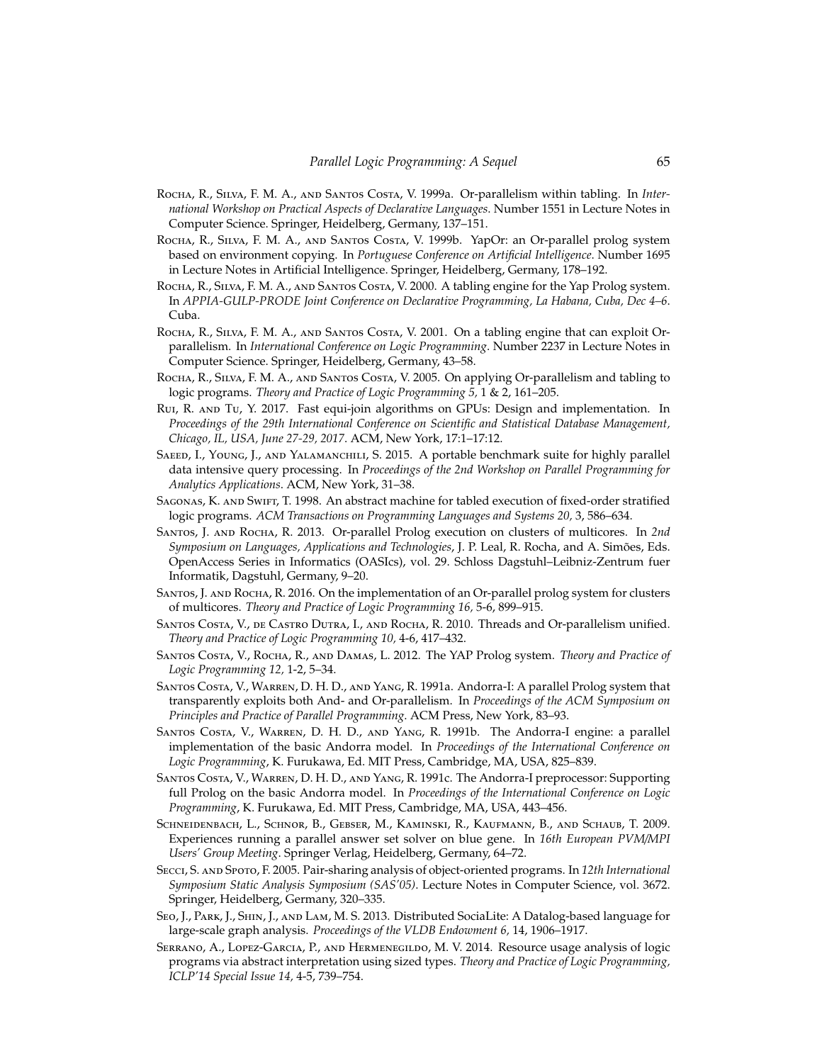- <span id="page-64-11"></span>Rocha, R., Silva, F. M. A., and Santos Costa, V. 1999a. Or-parallelism within tabling. In *International Workshop on Practical Aspects of Declarative Languages*. Number 1551 in Lecture Notes in Computer Science. Springer, Heidelberg, Germany, 137–151.
- <span id="page-64-5"></span>Rocha, R., Silva, F. M. A., and Santos Costa, V. 1999b. YapOr: an Or-parallel prolog system based on environment copying. In *Portuguese Conference on Artificial Intelligence*. Number 1695 in Lecture Notes in Artificial Intelligence. Springer, Heidelberg, Germany, 178–192.
- <span id="page-64-13"></span>Rocha, R., Silva, F. M. A., and Santos Costa, V. 2000. A tabling engine for the Yap Prolog system. In *APPIA-GULP-PRODE Joint Conference on Declarative Programming, La Habana, Cuba, Dec 4–6*. Cuba.
- <span id="page-64-14"></span>ROCHA, R., SILVA, F. M. A., AND SANTOS COSTA, V. 2001. On a tabling engine that can exploit Orparallelism. In *International Conference on Logic Programming*. Number 2237 in Lecture Notes in Computer Science. Springer, Heidelberg, Germany, 43–58.
- <span id="page-64-12"></span>Rocha, R., Silva, F. M. A., and Santos Costa, V. 2005. On applying Or-parallelism and tabling to logic programs. *Theory and Practice of Logic Programming 5,* 1 & 2, 161–205.
- <span id="page-64-17"></span>Rui, R. and Tu, Y. 2017. Fast equi-join algorithms on GPUs: Design and implementation. In *Proceedings of the 29th International Conference on Scientific and Statistical Database Management, Chicago, IL, USA, June 27-29, 2017*. ACM, New York, 17:1–17:12.
- <span id="page-64-18"></span>SAEED, I., YOUNG, J., AND YALAMANCHILI, S. 2015. A portable benchmark suite for highly parallel data intensive query processing. In *Proceedings of the 2nd Workshop on Parallel Programming for Analytics Applications*. ACM, New York, 31–38.
- <span id="page-64-10"></span>Sagonas, K. and Swift, T. 1998. An abstract machine for tabled execution of fixed-order stratified logic programs. *ACM Transactions on Programming Languages and Systems 20,* 3, 586–634.
- <span id="page-64-6"></span>Santos, J. and Rocha, R. 2013. Or-parallel Prolog execution on clusters of multicores. In *2nd Symposium on Languages, Applications and Technologies*, J. P. Leal, R. Rocha, and A. Simoes, Eds. ˜ OpenAccess Series in Informatics (OASIcs), vol. 29. Schloss Dagstuhl–Leibniz-Zentrum fuer Informatik, Dagstuhl, Germany, 9–20.
- <span id="page-64-7"></span>Santos, J. and Rocha, R. 2016. On the implementation of an Or-parallel prolog system for clusters of multicores. *Theory and Practice of Logic Programming 16,* 5-6, 899–915.
- <span id="page-64-4"></span>SANTOS COSTA, V., DE CASTRO DUTRA, I., AND ROCHA, R. 2010. Threads and Or-parallelism unified. *Theory and Practice of Logic Programming 10,* 4-6, 417–432.
- <span id="page-64-0"></span>Santos Costa, V., Rocha, R., and Damas, L. 2012. The YAP Prolog system. *Theory and Practice of Logic Programming 12,* 1-2, 5–34.
- <span id="page-64-2"></span>Santos Costa, V., Warren, D. H. D., and Yang, R. 1991a. Andorra-I: A parallel Prolog system that transparently exploits both And- and Or-parallelism. In *Proceedings of the ACM Symposium on Principles and Practice of Parallel Programming*. ACM Press, New York, 83–93.
- <span id="page-64-1"></span>Santos Costa, V., Warren, D. H. D., and Yang, R. 1991b. The Andorra-I engine: a parallel implementation of the basic Andorra model. In *Proceedings of the International Conference on Logic Programming*, K. Furukawa, Ed. MIT Press, Cambridge, MA, USA, 825–839.
- <span id="page-64-3"></span>Santos Costa, V., Warren, D. H. D., and Yang, R. 1991c. The Andorra-I preprocessor: Supporting full Prolog on the basic Andorra model. In *Proceedings of the International Conference on Logic Programming*, K. Furukawa, Ed. MIT Press, Cambridge, MA, USA, 443–456.
- <span id="page-64-16"></span>Schneidenbach, L., Schnor, B., Gebser, M., Kaminski, R., Kaufmann, B., and Schaub, T. 2009. Experiences running a parallel answer set solver on blue gene. In *16th European PVM*/*MPI Users' Group Meeting*. Springer Verlag, Heidelberg, Germany, 64–72.
- <span id="page-64-9"></span>Secci, S. and Spoto, F. 2005. Pair-sharing analysis of object-oriented programs. In *12th International Symposium Static Analysis Symposium (SAS'05)*. Lecture Notes in Computer Science, vol. 3672. Springer, Heidelberg, Germany, 320–335.
- <span id="page-64-15"></span>Seo, J., Park, J., Shin, J., and Lam, M. S. 2013. Distributed SociaLite: A Datalog-based language for large-scale graph analysis. *Proceedings of the VLDB Endowment 6,* 14, 1906–1917.
- <span id="page-64-8"></span>Serrano, A., Lopez-Garcia, P., and Hermenegildo, M. V. 2014. Resource usage analysis of logic programs via abstract interpretation using sized types. *Theory and Practice of Logic Programming, ICLP'14 Special Issue 14,* 4-5, 739–754.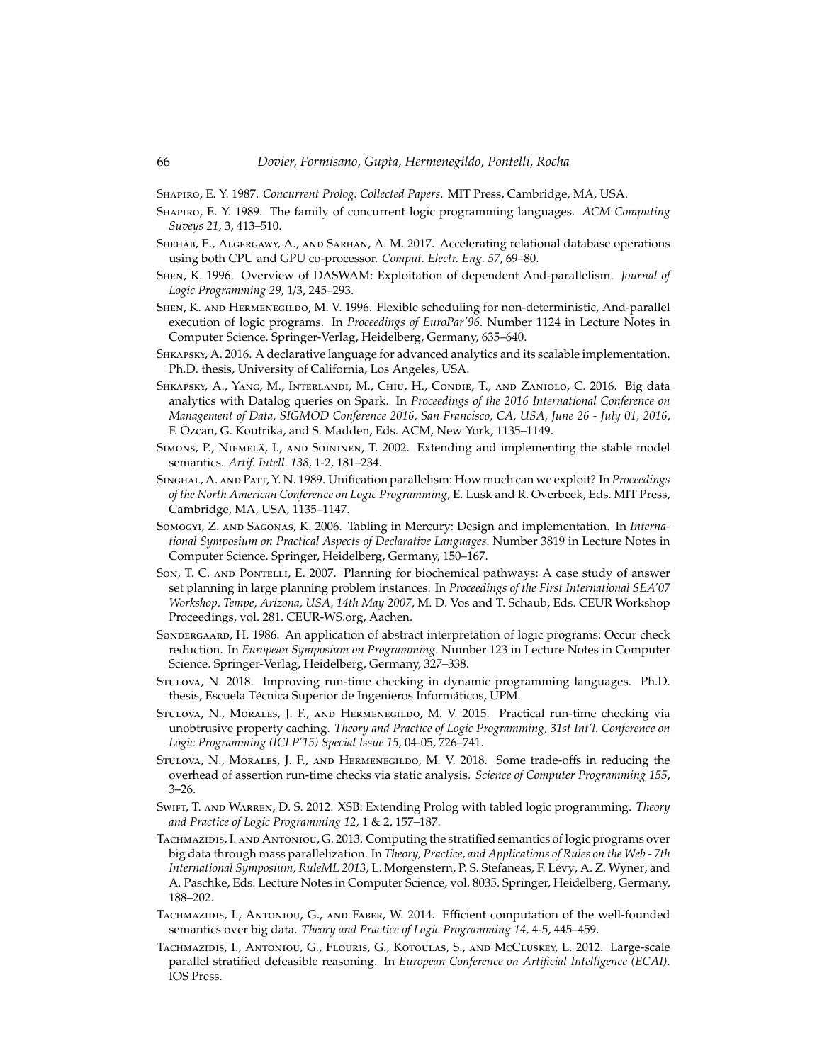- <span id="page-65-1"></span>Shapiro, E. Y. 1987. *Concurrent Prolog: Collected Papers*. MIT Press, Cambridge, MA, USA.
- <span id="page-65-2"></span>Shapiro, E. Y. 1989. The family of concurrent logic programming languages. *ACM Computing Suveys 21,* 3, 413–510.
- <span id="page-65-11"></span>Shehab, E., Algergawy, A., and Sarhan, A. M. 2017. Accelerating relational database operations using both CPU and GPU co-processor. *Comput. Electr. Eng. 57*, 69–80.
- <span id="page-65-3"></span>Shen, K. 1996. Overview of DASWAM: Exploitation of dependent And-parallelism. *Journal of Logic Programming 29,* 1/3, 245–293.
- <span id="page-65-5"></span>Shen, K. and Hermenegildo, M. V. 1996. Flexible scheduling for non-deterministic, And-parallel execution of logic programs. In *Proceedings of EuroPar'96*. Number 1124 in Lecture Notes in Computer Science. Springer-Verlag, Heidelberg, Germany, 635–640.
- <span id="page-65-13"></span>Shkapsky, A. 2016. A declarative language for advanced analytics and its scalable implementation. Ph.D. thesis, University of California, Los Angeles, USA.
- <span id="page-65-12"></span>Shkapsky, A., Yang, M., Interlandi, M., Chiu, H., Condie, T., and Zaniolo, C. 2016. Big data analytics with Datalog queries on Spark. In *Proceedings of the 2016 International Conference on Management of Data, SIGMOD Conference 2016, San Francisco, CA, USA, June 26 - July 01, 2016*, F. Ozcan, G. Koutrika, and S. Madden, Eds. ACM, New York, 1135–1149. ¨
- <span id="page-65-14"></span>SIMONS, P., NIEMELÄ, I., AND SOININEN, T. 2002. Extending and implementing the stable model semantics. *Artif. Intell. 138,* 1-2, 181–234.
- <span id="page-65-4"></span>Singhal, A. and Patt, Y. N. 1989. Unification parallelism: How much can we exploit? In *Proceedings of the North American Conference on Logic Programming*, E. Lusk and R. Overbeek, Eds. MIT Press, Cambridge, MA, USA, 1135–1147.
- <span id="page-65-10"></span>Somogyi, Z. and Sagonas, K. 2006. Tabling in Mercury: Design and implementation. In *International Symposium on Practical Aspects of Declarative Languages*. Number 3819 in Lecture Notes in Computer Science. Springer, Heidelberg, Germany, 150–167.
- <span id="page-65-15"></span>Son, T. C. and Pontelli, E. 2007. Planning for biochemical pathways: A case study of answer set planning in large planning problem instances. In *Proceedings of the First International SEA'07 Workshop, Tempe, Arizona, USA, 14th May 2007*, M. D. Vos and T. Schaub, Eds. CEUR Workshop Proceedings, vol. 281. CEUR-WS.org, Aachen.
- <span id="page-65-6"></span>Søndergaard, H. 1986. An application of abstract interpretation of logic programs: Occur check reduction. In *European Symposium on Programming*. Number 123 in Lecture Notes in Computer Science. Springer-Verlag, Heidelberg, Germany, 327–338.
- <span id="page-65-8"></span>Stulova, N. 2018. Improving run-time checking in dynamic programming languages. Ph.D. thesis, Escuela Técnica Superior de Ingenieros Informáticos, UPM.
- <span id="page-65-7"></span>Stulova, N., Morales, J. F., and Hermenegildo, M. V. 2015. Practical run-time checking via unobtrusive property caching. *Theory and Practice of Logic Programming, 31st Int'l. Conference on Logic Programming (ICLP'15) Special Issue 15,* 04-05, 726–741.
- <span id="page-65-9"></span>Stulova, N., Morales, J. F., and Hermenegildo, M. V. 2018. Some trade-offs in reducing the overhead of assertion run-time checks via static analysis. *Science of Computer Programming 155*, 3–26.
- <span id="page-65-0"></span>Swift, T. and Warren, D. S. 2012. XSB: Extending Prolog with tabled logic programming. *Theory and Practice of Logic Programming 12,* 1 & 2, 157–187.
- <span id="page-65-16"></span>TACHMAZIDIS, I. AND ANTONIOU, G. 2013. Computing the stratified semantics of logic programs over big data through mass parallelization. In *Theory, Practice, and Applications of Rules on the Web - 7th International Symposium, RuleML 2013, L. Morgenstern, P. S. Stefaneas, F. Lévy, A. Z. Wyner, and* A. Paschke, Eds. Lecture Notes in Computer Science, vol. 8035. Springer, Heidelberg, Germany, 188–202.
- <span id="page-65-17"></span>Tachmazidis, I., Antoniou, G., and Faber, W. 2014. Efficient computation of the well-founded semantics over big data. *Theory and Practice of Logic Programming 14,* 4-5, 445–459.
- <span id="page-65-18"></span>Tachmazidis, I., Antoniou, G., Flouris, G., Kotoulas, S., and McCluskey, L. 2012. Large-scale parallel stratified defeasible reasoning. In *European Conference on Artificial Intelligence (ECAI)*. IOS Press.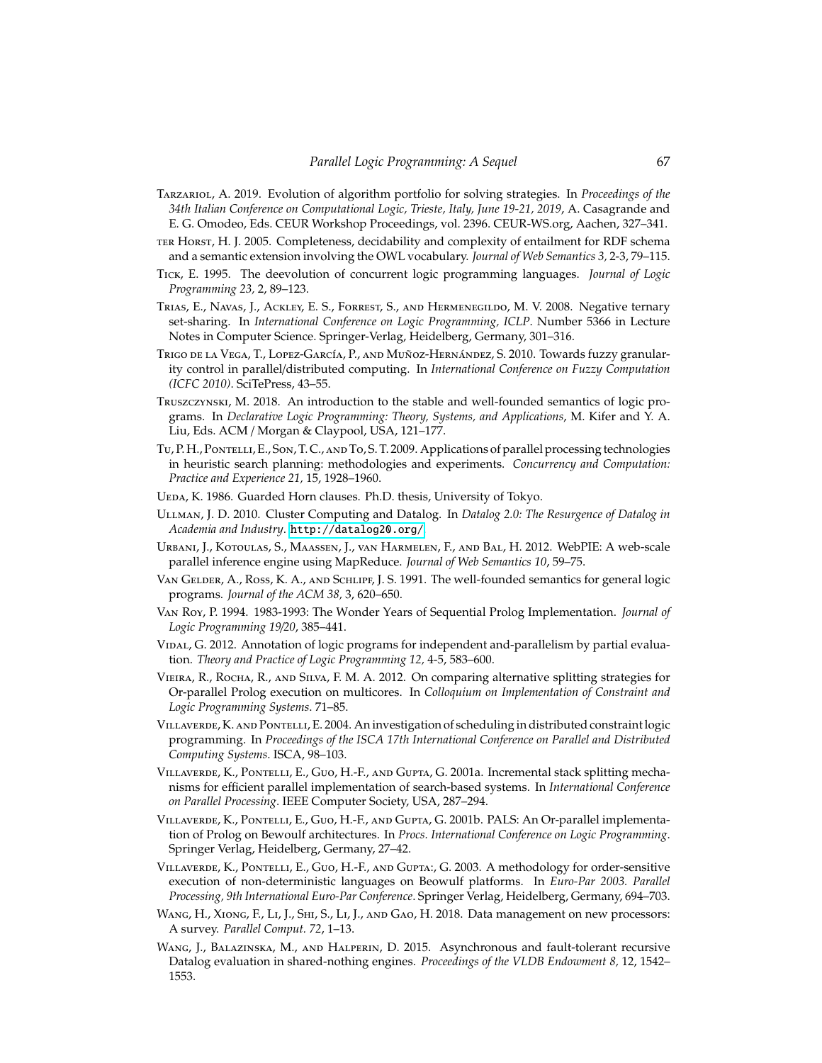- <span id="page-66-15"></span>Tarzariol, A. 2019. Evolution of algorithm portfolio for solving strategies. In *Proceedings of the 34th Italian Conference on Computational Logic, Trieste, Italy, June 19-21, 2019*, A. Casagrande and E. G. Omodeo, Eds. CEUR Workshop Proceedings, vol. 2396. CEUR-WS.org, Aachen, 327–341.
- <span id="page-66-18"></span>TER HORST, H. J. 2005. Completeness, decidability and complexity of entailment for RDF schema and a semantic extension involving the OWL vocabulary. *Journal of Web Semantics 3,* 2-3, 79–115.
- <span id="page-66-2"></span>Tick, E. 1995. The deevolution of concurrent logic programming languages. *Journal of Logic Programming 23,* 2, 89–123.
- <span id="page-66-10"></span>Trias, E., Navas, J., Ackley, E. S., Forrest, S., and Hermenegildo, M. V. 2008. Negative ternary set-sharing. In *International Conference on Logic Programming, ICLP*. Number 5366 in Lecture Notes in Computer Science. Springer-Verlag, Heidelberg, Germany, 301–316.
- <span id="page-66-11"></span>TRIGO DE LA VEGA, T., LOPEZ-GARCÍA, P., AND MUÑOZ-HERNÁNDEZ, S. 2010. Towards fuzzy granularity control in parallel/distributed computing. In *International Conference on Fuzzy Computation (ICFC 2010)*. SciTePress, 43–55.
- <span id="page-66-1"></span>Truszczynski, M. 2018. An introduction to the stable and well-founded semantics of logic programs. In *Declarative Logic Programming: Theory, Systems, and Applications*, M. Kifer and Y. A. Liu, Eds. ACM / Morgan & Claypool, USA, 121–177.
- <span id="page-66-19"></span>Tu, P.H., PONTELLI, E., SON, T.C., AND TO, S.T. 2009. Applications of parallel processing technologies in heuristic search planning: methodologies and experiments. *Concurrency and Computation: Practice and Experience 21,* 15, 1928–1960.
- <span id="page-66-3"></span>UEDA, K. 1986. Guarded Horn clauses. Ph.D. thesis, University of Tokyo.
- <span id="page-66-16"></span>Ullman, J. D. 2010. Cluster Computing and Datalog. In *Datalog 2.0: The Resurgence of Datalog in Academia and Industry*. <http://datalog20.org/>.
- <span id="page-66-17"></span>Urbani, J., Kotoulas, S., Maassen, J., van Harmelen, F., and Bal, H. 2012. WebPIE: A web-scale parallel inference engine using MapReduce. *Journal of Web Semantics 10*, 59–75.
- <span id="page-66-0"></span>VAN GELDER, A., Ross, K. A., AND SCHLIPF, J. S. 1991. The well-founded semantics for general logic programs. *Journal of the ACM 38,* 3, 620–650.
- <span id="page-66-9"></span>Van Roy, P. 1994. 1983-1993: The Wonder Years of Sequential Prolog Implementation. *Journal of Logic Programming 19*/*20*, 385–441.
- <span id="page-66-12"></span>VIDAL, G. 2012. Annotation of logic programs for independent and-parallelism by partial evaluation. *Theory and Practice of Logic Programming 12,* 4-5, 583–600.
- <span id="page-66-8"></span>Vieira, R., Rocha, R., and Silva, F. M. A. 2012. On comparing alternative splitting strategies for Or-parallel Prolog execution on multicores. In *Colloquium on Implementation of Constraint and Logic Programming Systems*. 71–85.
- <span id="page-66-7"></span>Villaverde, K. and Pontelli, E. 2004. An investigation of scheduling in distributed constraint logic programming. In *Proceedings of the ISCA 17th International Conference on Parallel and Distributed Computing Systems*. ISCA, 98–103.
- <span id="page-66-5"></span>Villaverde, K., Pontelli, E., Guo, H.-F., and Gupta, G. 2001a. Incremental stack splitting mechanisms for efficient parallel implementation of search-based systems. In *International Conference on Parallel Processing*. IEEE Computer Society, USA, 287–294.
- <span id="page-66-4"></span>Villaverde, K., Pontelli, E., Guo, H.-F., and Gupta, G. 2001b. PALS: An Or-parallel implementation of Prolog on Bewoulf architectures. In *Procs. International Conference on Logic Programming*. Springer Verlag, Heidelberg, Germany, 27–42.
- <span id="page-66-6"></span>Villaverde, K., Pontelli, E., Guo, H.-F., and Gupta:, G. 2003. A methodology for order-sensitive execution of non-deterministic languages on Beowulf platforms. In *Euro-Par 2003. Parallel Processing, 9th International Euro-Par Conference*. Springer Verlag, Heidelberg, Germany, 694–703.
- <span id="page-66-13"></span>Wang, H., Xiong, F., Li, J., Shi, S., Li, J., and Gao, H. 2018. Data management on new processors: A survey. *Parallel Comput. 72*, 1–13.
- <span id="page-66-14"></span>Wang, J., Balazinska, M., and Halperin, D. 2015. Asynchronous and fault-tolerant recursive Datalog evaluation in shared-nothing engines. *Proceedings of the VLDB Endowment 8,* 12, 1542– 1553.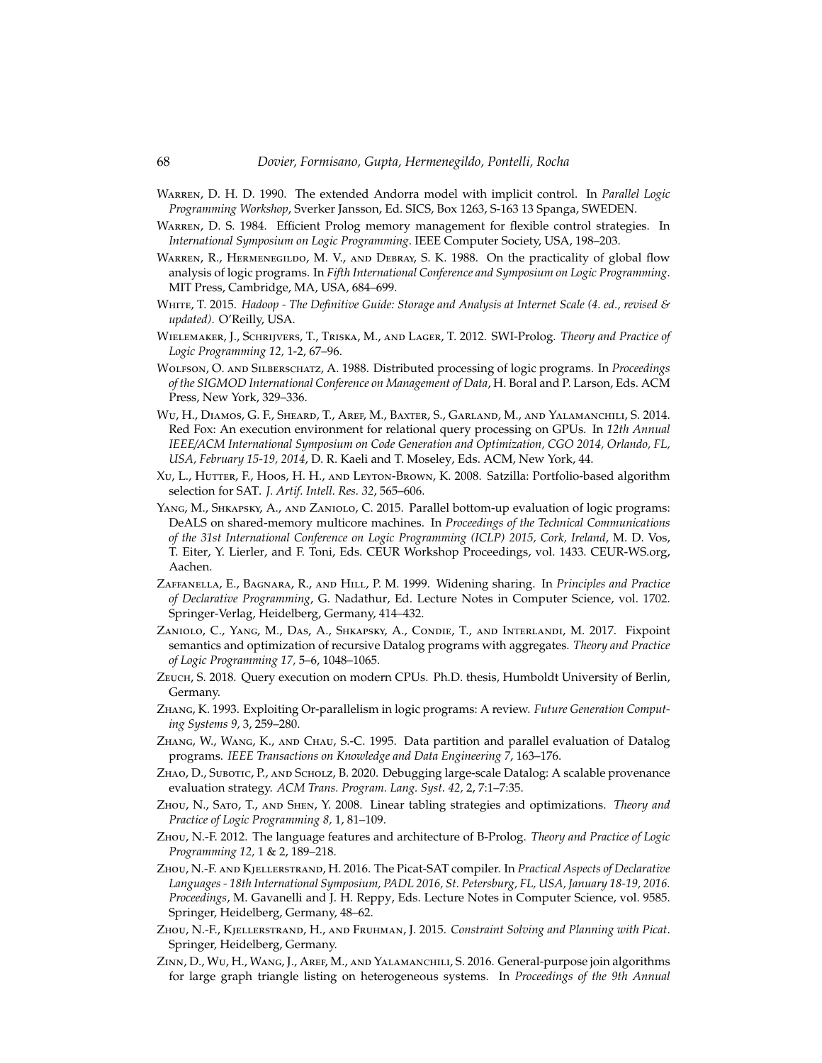- <span id="page-67-3"></span>Warren, D. H. D. 1990. The extended Andorra model with implicit control. In *Parallel Logic Programming Workshop*, Sverker Jansson, Ed. SICS, Box 1263, S-163 13 Spanga, SWEDEN.
- <span id="page-67-2"></span>WARREN, D. S. 1984. Efficient Prolog memory management for flexible control strategies. In *International Symposium on Logic Programming*. IEEE Computer Society, USA, 198–203.
- <span id="page-67-4"></span>WARREN, R., HERMENEGILDO, M. V., AND DEBRAY, S. K. 1988. On the practicality of global flow analysis of logic programs. In *Fifth International Conference and Symposium on Logic Programming*. MIT Press, Cambridge, MA, USA, 684–699.
- <span id="page-67-18"></span>White, T. 2015. *Hadoop - The Definitive Guide: Storage and Analysis at Internet Scale (4. ed., revised & updated)*. O'Reilly, USA.
- <span id="page-67-0"></span>Wielemaker, J., Schrijvers, T., Triska, M., and Lager, T. 2012. SWI-Prolog. *Theory and Practice of Logic Programming 12,* 1-2, 67–96.
- <span id="page-67-11"></span>Wolfson, O. and Silberschatz, A. 1988. Distributed processing of logic programs. In *Proceedings of the SIGMOD International Conference on Management of Data*, H. Boral and P. Larson, Eds. ACM Press, New York, 329–336.
- <span id="page-67-19"></span>Wu, H., Diamos, G. F., Sheard, T., Aref, M., Baxter, S., Garland, M., and Yalamanchili, S. 2014. Red Fox: An execution environment for relational query processing on GPUs. In *12th Annual IEEE*/*ACM International Symposium on Code Generation and Optimization, CGO 2014, Orlando, FL, USA, February 15-19, 2014*, D. R. Kaeli and T. Moseley, Eds. ACM, New York, 44.
- <span id="page-67-17"></span>Xu, L., Hutter, F., Hoos, H. H., and Leyton-Brown, K. 2008. Satzilla: Portfolio-based algorithm selection for SAT. *J. Artif. Intell. Res. 32*, 565–606.
- <span id="page-67-13"></span>YANG, M., SHKAPSKY, A., AND ZANIOLO, C. 2015. Parallel bottom-up evaluation of logic programs: DeALS on shared-memory multicore machines. In *Proceedings of the Technical Communications of the 31st International Conference on Logic Programming (ICLP) 2015, Cork, Ireland*, M. D. Vos, T. Eiter, Y. Lierler, and F. Toni, Eds. CEUR Workshop Proceedings, vol. 1433. CEUR-WS.org, Aachen.
- <span id="page-67-5"></span>Zaffanella, E., Bagnara, R., and Hill, P. M. 1999. Widening sharing. In *Principles and Practice of Declarative Programming*, G. Nadathur, Ed. Lecture Notes in Computer Science, vol. 1702. Springer-Verlag, Heidelberg, Germany, 414–432.
- <span id="page-67-15"></span>Zaniolo, C., Yang, M., Das, A., Shkapsky, A., Condie, T., and Interlandi, M. 2017. Fixpoint semantics and optimization of recursive Datalog programs with aggregates. *Theory and Practice of Logic Programming 17,* 5–6, 1048–1065.
- <span id="page-67-9"></span>Zeuch, S. 2018. Query execution on modern CPUs. Ph.D. thesis, Humboldt University of Berlin, Germany.
- <span id="page-67-1"></span>Zhang, K. 1993. Exploiting Or-parallelism in logic programs: A review. *Future Generation Computing Systems 9,* 3, 259–280.
- <span id="page-67-12"></span>Zhang, W., Wang, K., and Chau, S.-C. 1995. Data partition and parallel evaluation of Datalog programs. *IEEE Transactions on Knowledge and Data Engineering 7*, 163–176.
- <span id="page-67-14"></span>Zhao, D., Subotic, P., and Scholz, B. 2020. Debugging large-scale Datalog: A scalable provenance evaluation strategy. *ACM Trans. Program. Lang. Syst. 42,* 2, 7:1–7:35.
- <span id="page-67-8"></span>Zhou, N., Sato, T., and Shen, Y. 2008. Linear tabling strategies and optimizations. *Theory and Practice of Logic Programming 8,* 1, 81–109.
- <span id="page-67-6"></span>Zhou, N.-F. 2012. The language features and architecture of B-Prolog. *Theory and Practice of Logic Programming 12,* 1 & 2, 189–218.
- <span id="page-67-16"></span>Zhou, N.-F. and Kjellerstrand, H. 2016. The Picat-SAT compiler. In *Practical Aspects of Declarative Languages - 18th International Symposium, PADL 2016, St. Petersburg, FL, USA, January 18-19, 2016. Proceedings*, M. Gavanelli and J. H. Reppy, Eds. Lecture Notes in Computer Science, vol. 9585. Springer, Heidelberg, Germany, 48–62.
- <span id="page-67-7"></span>Zhou, N.-F., Kjellerstrand, H., and Fruhman, J. 2015. *Constraint Solving and Planning with Picat*. Springer, Heidelberg, Germany.
- <span id="page-67-10"></span>Zinn, D., Wu, H., Wang, J., Aref, M., and Yalamanchili, S. 2016. General-purpose join algorithms for large graph triangle listing on heterogeneous systems. In *Proceedings of the 9th Annual*